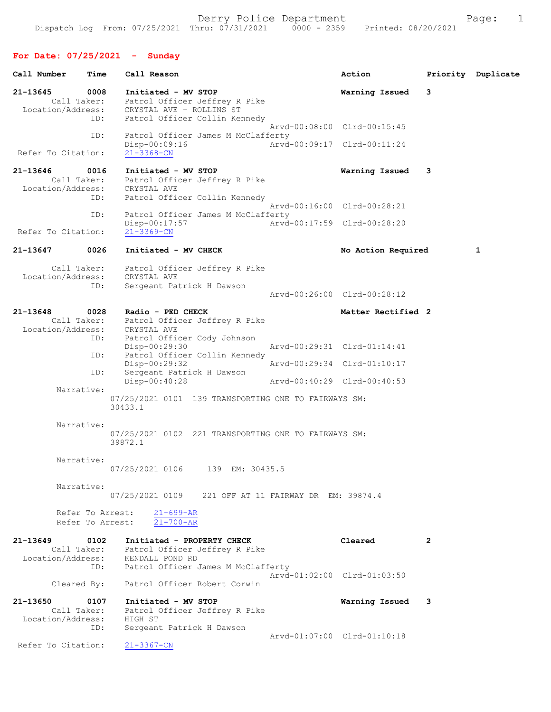# For Date: 07/25/2021 - Sunday

| Call Number                   | Time                       | Call Reason                                                                                                                                        |                             | Action                      | Priority | Duplicate |
|-------------------------------|----------------------------|----------------------------------------------------------------------------------------------------------------------------------------------------|-----------------------------|-----------------------------|----------|-----------|
| 21-13645                      | 0008<br>Call Taker:        | Initiated - MV STOP<br>Patrol Officer Jeffrey R Pike<br>Location/Address: CRYSTAL AVE + ROLLINS ST                                                 |                             | Warning Issued              | 3        |           |
|                               | ID:                        | Patrol Officer Collin Kennedy                                                                                                                      | Arvd-00:08:00 Clrd-00:15:45 |                             |          |           |
| Refer To Citation:            | ID:                        | Patrol Officer James M McClafferty<br>Disp-00:09:16<br>$21 - 3368 - CN$                                                                            | Arvd-00:09:17 Clrd-00:11:24 |                             |          |           |
| 21-13646                      | 0016<br>Call Taker:<br>ID: | Initiated - MV STOP<br>Patrol Officer Jeffrey R Pike<br>Location/Address: CRYSTAL AVE<br>Patrol Officer Collin Kennedy                             |                             | Warning Issued              | 3        |           |
|                               | ID:                        | Patrol Officer James M McClafferty                                                                                                                 | Arvd-00:16:00 Clrd-00:28:21 |                             |          |           |
| Refer To Citation:            |                            | $Disp-00:17:57$<br>$21 - 3369 - CN$                                                                                                                | Arvd-00:17:59 Clrd-00:28:20 |                             |          |           |
| 21-13647                      | 0026                       | Initiated - MV CHECK                                                                                                                               |                             | No Action Required          |          | 1         |
| Location/Address:             | Call Taker:                | Patrol Officer Jeffrey R Pike<br>CRYSTAL AVE                                                                                                       |                             |                             |          |           |
|                               | ID:                        | Sergeant Patrick H Dawson                                                                                                                          | Arvd-00:26:00 Clrd-00:28:12 |                             |          |           |
| 21-13648                      | 0028<br>ID:                | Radio - PED CHECK<br>Call Taker: Patrol Officer Jeffrey R Pike<br>Location/Address: CRYSTAL AVE<br>Patrol Officer Cody Johnson                     |                             | Matter Rectified 2          |          |           |
|                               |                            | $Disp-00:29:30$                                                                                                                                    | Arvd-00:29:31 Clrd-01:14:41 |                             |          |           |
|                               | ID:                        | Patrol Officer Collin Kennedy<br>Disp-00:29:32                                                                                                     | Arvd-00:29:34 Clrd-01:10:17 |                             |          |           |
|                               | ID:                        | Sergeant Patrick H Dawson<br>$Disp-00:40:28$                                                                                                       | Arvd-00:40:29 Clrd-00:40:53 |                             |          |           |
|                               | Narrative:                 | 07/25/2021 0101 139 TRANSPORTING ONE TO FAIRWAYS SM:<br>30433.1                                                                                    |                             |                             |          |           |
|                               | Narrative:                 | 07/25/2021 0102 221 TRANSPORTING ONE TO FAIRWAYS SM:<br>39872.1                                                                                    |                             |                             |          |           |
|                               | Narrative:                 | 07/25/2021 0106<br>139 EM: 30435.5                                                                                                                 |                             |                             |          |           |
|                               | Narrative:                 | 07/25/2021 0109 221 OFF AT 11 FAIRWAY DR EM: 39874.4                                                                                               |                             |                             |          |           |
|                               |                            | Refer To Arrest:<br>$21 - 699 - AR$<br>$21 - 700 - AR$<br>Refer To Arrest:                                                                         |                             |                             |          |           |
| $21 - 13649$                  | 0102<br>ID:                | Initiated - PROPERTY CHECK<br>Call Taker: Patrol Officer Jeffrey R Pike<br>Location/Address: KENDALL POND RD<br>Patrol Officer James M McClafferty |                             | Cleared                     | 2        |           |
|                               | Cleared By:                | Patrol Officer Robert Corwin                                                                                                                       |                             | Arvd-01:02:00 Clrd-01:03:50 |          |           |
| 21-13650<br>Location/Address: | 0107<br>Call Taker:<br>ID: | Initiated - MV STOP<br>Patrol Officer Jeffrey R Pike<br>HIGH ST<br>Sergeant Patrick H Dawson                                                       |                             | Warning Issued              | -3       |           |
| Refer To Citation:            |                            | $21 - 3367 - CN$                                                                                                                                   | Arvd-01:07:00 Clrd-01:10:18 |                             |          |           |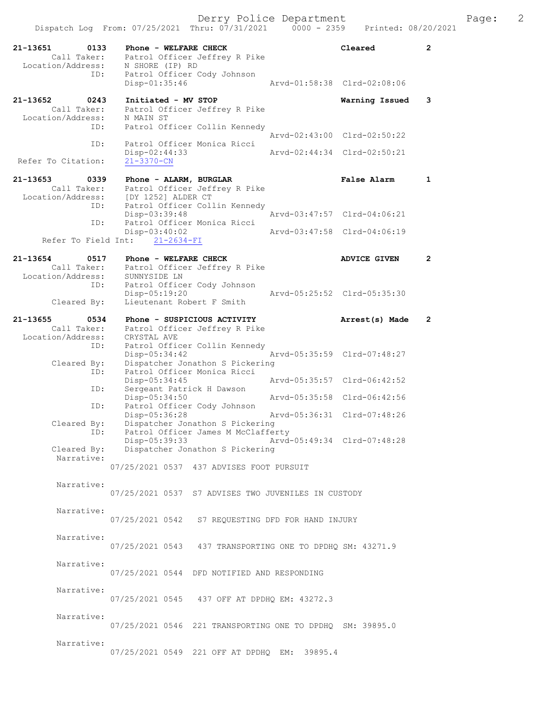|                                                      | Dispatch Log From: 07/25/2021 Thru: 07/31/2021                                            | $0000 - 2359$ | Printed: 08/20/2021         |                |
|------------------------------------------------------|-------------------------------------------------------------------------------------------|---------------|-----------------------------|----------------|
| 21-13651<br>0133<br>Call Taker:<br>Location/Address: | Phone - WELFARE CHECK<br>Patrol Officer Jeffrey R Pike<br>N SHORE (IP) RD                 |               | Cleared                     | $\overline{2}$ |
| ID:                                                  | Patrol Officer Cody Johnson<br>Disp-01:35:46                                              |               | Arvd-01:58:38 Clrd-02:08:06 |                |
| 21-13652<br>0243<br>Call Taker:<br>Location/Address: | Initiated - MV STOP<br>Patrol Officer Jeffrey R Pike<br>N MAIN ST                         |               | Warning Issued              | 3              |
| ID:                                                  | Patrol Officer Collin Kennedy                                                             |               | Arvd-02:43:00 Clrd-02:50:22 |                |
| ID:<br>Refer To Citation:                            | Patrol Officer Monica Ricci<br>Disp-02:44:33<br>$21 - 3370 - CN$                          |               | Arvd-02:44:34 Clrd-02:50:21 |                |
| 21-13653<br>0339                                     | Phone - ALARM, BURGLAR                                                                    |               | False Alarm                 | 1              |
| Call Taker:<br>Location/Address:                     | Patrol Officer Jeffrey R Pike<br>[DY 1252] ALDER CT                                       |               |                             |                |
| ID:<br>ID:                                           | Patrol Officer Collin Kennedy<br>$Disp-03:39:48$<br>Patrol Officer Monica Ricci           |               | Arvd-03:47:57 Clrd-04:06:21 |                |
| Refer To Field Int:                                  | $Disp-03:40:02$<br>$21 - 2634 - FI$                                                       |               | Arvd-03:47:58 Clrd-04:06:19 |                |
| 21-13654<br>0517<br>Call Taker:                      | Phone - WELFARE CHECK<br>Patrol Officer Jeffrey R Pike                                    |               | <b>ADVICE GIVEN</b>         | $\mathbf{2}$   |
| Location/Address:<br>ID:<br>Cleared By:              | SUNNYSIDE LN<br>Patrol Officer Cody Johnson<br>Disp-05:19:20<br>Lieutenant Robert F Smith |               | Arvd-05:25:52 Clrd-05:35:30 |                |
| 21-13655<br>0534<br>Call Taker:<br>Location/Address: | Phone - SUSPICIOUS ACTIVITY<br>Patrol Officer Jeffrey R Pike<br>CRYSTAL AVE               |               | Arrest(s) Made              | $\mathbf{2}$   |
| ID:<br>Cleared By:                                   | Patrol Officer Collin Kennedy<br>$Disp-05:34:42$<br>Dispatcher Jonathon S Pickering       |               | Arvd-05:35:59 Clrd-07:48:27 |                |
| ID:<br>ID:                                           | Patrol Officer Monica Ricci<br>Disp-05:34:45<br>Sergeant Patrick H Dawson                 |               | Arvd-05:35:57 Clrd-06:42:52 |                |
| ID:                                                  | Disp-05:34:50<br>Patrol Officer Cody Johnson                                              |               | Arvd-05:35:58 Clrd-06:42:56 |                |
| Cleared By:<br>ID:                                   | Disp-05:36:28<br>Dispatcher Jonathon S Pickering<br>Patrol Officer James M McClafferty    |               | Arvd-05:36:31 Clrd-07:48:26 |                |
| Cleared By:                                          | Disp-05:39:33<br>Dispatcher Jonathon S Pickering                                          |               | Arvd-05:49:34 Clrd-07:48:28 |                |
| Narrative:                                           | 07/25/2021 0537 437 ADVISES FOOT PURSUIT                                                  |               |                             |                |
| Narrative:                                           | 07/25/2021 0537 S7 ADVISES TWO JUVENILES IN CUSTODY                                       |               |                             |                |
| Narrative:                                           | 07/25/2021 0542 S7 REQUESTING DFD FOR HAND INJURY                                         |               |                             |                |
| Narrative:                                           | 07/25/2021 0543 437 TRANSPORTING ONE TO DPDHQ SM: 43271.9                                 |               |                             |                |
| Narrative:                                           | 07/25/2021 0544 DFD NOTIFIED AND RESPONDING                                               |               |                             |                |
| Narrative:                                           | 07/25/2021 0545 437 OFF AT DPDHQ EM: 43272.3                                              |               |                             |                |
| Narrative:                                           | 07/25/2021 0546 221 TRANSPORTING ONE TO DPDHQ SM: 39895.0                                 |               |                             |                |
| Narrative:                                           | 07/25/2021 0549 221 OFF AT DPDHQ EM: 39895.4                                              |               |                             |                |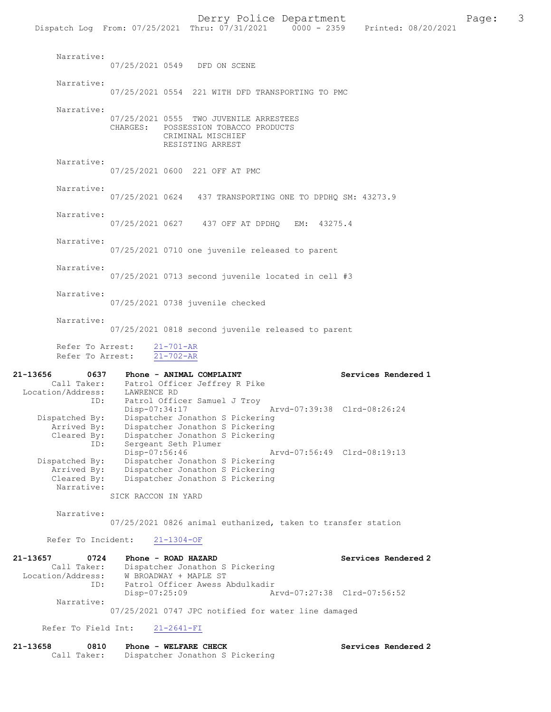|                                                             |                                                          |                                                                                                                         |                             | Dispatch Log From: 07/25/2021 Thru: 07/31/2021 0000 - 2359 Printed: 08/20/2021 |
|-------------------------------------------------------------|----------------------------------------------------------|-------------------------------------------------------------------------------------------------------------------------|-----------------------------|--------------------------------------------------------------------------------|
| Narrative:                                                  | 07/25/2021 0549 DFD ON SCENE                             |                                                                                                                         |                             |                                                                                |
| Narrative:                                                  |                                                          | 07/25/2021 0554 221 WITH DFD TRANSPORTING TO PMC                                                                        |                             |                                                                                |
| Narrative:                                                  |                                                          | 07/25/2021 0555 TWO JUVENILE ARRESTEES<br>CHARGES: POSSESSION TOBACCO PRODUCTS<br>CRIMINAL MISCHIEF<br>RESISTING ARREST |                             |                                                                                |
| Narrative:                                                  | 07/25/2021 0600 221 OFF AT PMC                           |                                                                                                                         |                             |                                                                                |
| Narrative:                                                  |                                                          | 07/25/2021 0624 437 TRANSPORTING ONE TO DPDHQ SM: 43273.9                                                               |                             |                                                                                |
| Narrative:                                                  |                                                          | 07/25/2021 0627 437 OFF AT DPDHQ EM: 43275.4                                                                            |                             |                                                                                |
| Narrative:                                                  |                                                          | 07/25/2021 0710 one juvenile released to parent                                                                         |                             |                                                                                |
| Narrative:                                                  |                                                          | 07/25/2021 0713 second juvenile located in cell #3                                                                      |                             |                                                                                |
| Narrative:                                                  |                                                          | 07/25/2021 0738 juvenile checked                                                                                        |                             |                                                                                |
| Narrative:                                                  |                                                          | 07/25/2021 0818 second juvenile released to parent                                                                      |                             |                                                                                |
|                                                             | Refer To Arrest: 21-701-AR<br>Refer To Arrest: 21-702-AR |                                                                                                                         |                             |                                                                                |
| 21-13656                                                    | 0637 Phone - ANIMAL COMPLAINT                            |                                                                                                                         |                             | Services Rendered 1                                                            |
| Location/Address:<br>TD:                                    | Call Taker: Patrol Officer Jeffrey R Pike<br>LAWRENCE RD | Patrol Officer Samuel J Troy                                                                                            |                             |                                                                                |
| Dispatched By:<br>Cleared By:<br>ID:                        | Disp-07:34:17<br>Sergeant Seth Plumer                    | Dispatcher Jonathon S Pickering<br>Arrived By: Dispatcher Jonathon S Pickering<br>Dispatcher Jonathon S Pickering       | Arvd-07:39:38 Clrd-08:26:24 |                                                                                |
| Dispatched By:<br>Arrived By:<br>Cleared By:<br>Narrative:  | Disp-07:56:46                                            | Dispatcher Jonathon S Pickering<br>Dispatcher Jonathon S Pickering<br>Dispatcher Jonathon S Pickering                   | Arvd-07:56:49 Clrd-08:19:13 |                                                                                |
| Narrative:                                                  | SICK RACCON IN YARD                                      | 07/25/2021 0826 animal euthanized, taken to transfer station                                                            |                             |                                                                                |
| Refer To Incident:                                          | $21 - 1304 - OF$                                         |                                                                                                                         |                             |                                                                                |
|                                                             |                                                          |                                                                                                                         |                             |                                                                                |
| 21-13657<br>0724<br>Call Taker:<br>Location/Address:<br>ID: | Phone - ROAD HAZARD<br>W BROADWAY + MAPLE ST             | Dispatcher Jonathon S Pickering<br>Patrol Officer Awess Abdulkadir                                                      |                             | Services Rendered 2                                                            |

 Disp-07:25:09 Arvd-07:27:38 Clrd-07:56:52 Narrative:

07/25/2021 0747 JPC notified for water line damaged

Refer To Field Int: 21-2641-FI

| 21-13658 | 0810        | Phone - WELFARE CHECK           | Services Rendered 2 |
|----------|-------------|---------------------------------|---------------------|
|          | Call Taker: | Dispatcher Jonathon S Pickering |                     |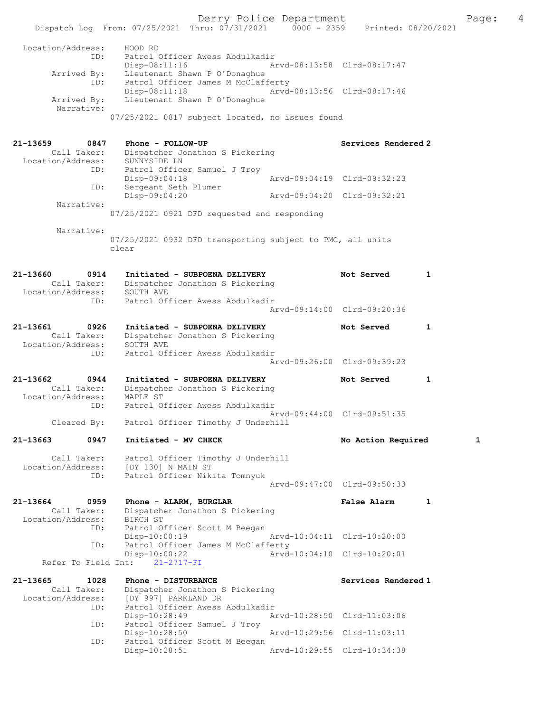Derry Police Department The Page: 4 Dispatch Log From: 07/25/2021 Thru: 07/31/2021 0000 - 2359 Printed: 08/20/2021 Location/Address: HOOD RD ID: Patrol Officer Awess Abdulkadir Disp-08:11:16 Arvd-08:13:58 Clrd-08:17:47 Arrived By: Lieutenant Shawn P O'Donaghue ID: Patrol Officer James M McClafferty Disp-08:11:18 Arvd-08:13:56 Clrd-08:17:46<br>Arrived By: Lieutenant Shawn P O'Donaghue Lieutenant Shawn P O'Donaghue Narrative: 07/25/2021 0817 subject located, no issues found 21-13659 0847 Phone - FOLLOW-UP Services Rendered 2 Call Taker: Dispatcher Jonathon S Pickering Location/Address: SUNNYSIDE LN ID: Patrol Officer Samuel J Troy Disp-09:04:18 Arvd-09:04:19 Clrd-09:32:23 ID: Sergeant Seth Plumer<br>Disp-09:04:20 Disp-09:04:20 Arvd-09:04:20 Clrd-09:32:21 Narrative: 07/25/2021 0921 DFD requested and responding Narrative: 07/25/2021 0932 DFD transporting subject to PMC, all units clear 21-13660 0914 Initiated - SUBPOENA DELIVERY Not Served 1 Call Taker: Dispatcher Jonathon S Pickering Location/Address: SOUTH AVE ID: Patrol Officer Awess Abdulkadir Arvd-09:14:00 Clrd-09:20:36 21-13661 0926 Initiated - SUBPOENA DELIVERY Not Served 1 Call Taker: Dispatcher Jonathon S Pickering Location/Address: SOUTH AVE ID: Patrol Officer Awess Abdulkadir Arvd-09:26:00 Clrd-09:39:23 21-13662 0944 Initiated - SUBPOENA DELIVERY Not Served 1 Call Taker: Dispatcher Jonathon S Pickering Location/Address: MAPLE ST ID: Patrol Officer Awess Abdulkadir Arvd-09:44:00 Clrd-09:51:35 Cleared By: Patrol Officer Timothy J Underhill 21-13663 0947 Initiated - MV CHECK No Action Required 1 Call Taker: Patrol Officer Timothy J Underhill Location/Address: [DY 130] N MAIN ST ID: Patrol Officer Nikita Tomnyuk Arvd-09:47:00 Clrd-09:50:33 21-13664 0959 Phone - ALARM, BURGLAR False Alarm 1 Call Taker: Dispatcher Jonathon S Pickering Location/Address: BIRCH ST ID: Patrol Officer Scott M Beegan Disp-10:00:19 Arvd-10:04:11 Clrd-10:20:00 ID: Patrol Officer James M McClafferty<br>Disp-10:00:22 Arvd Disp-10:00:22 Arvd-10:04:10 Clrd-10:20:01 Refer To Field Int: 21-2717-FI 21-13665 1028 Phone - DISTURBANCE Services Rendered 1 Call Taker: Dispatcher Jonathon S Pickering<br>Location/Address: [DY 997] PARKLAND DR Location/Address: [DY 997] PARKLAND DR ID: Patrol Officer Awess Abdulkadir Disp-10:28:49 Arvd-10:28:50 Clrd-11:03:06 ID: Patrol Officer Samuel J Troy Disp-10:28:50 Arvd-10:29:56 Clrd-11:03:11<br>ID: Patrol Officer Scott M Beegan Patrol Officer Scott M Beegan<br>Disp-10:28:51 Disp-10:28:51 Arvd-10:29:55 Clrd-10:34:38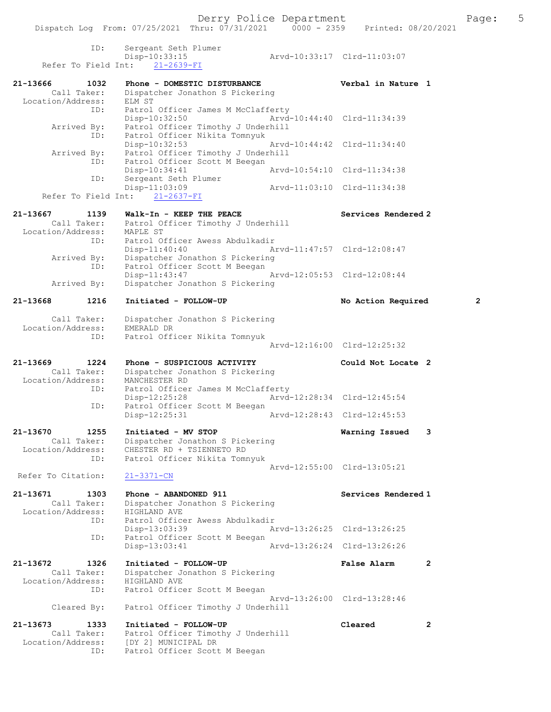|                    | ID:<br>Refer To Field Int: | Sergeant Seth Plumer<br>Disp-10:33:15<br>$21 - 2639 - FI$           | Arvd-10:33:17 Clrd-11:03:07 |                |
|--------------------|----------------------------|---------------------------------------------------------------------|-----------------------------|----------------|
| 21-13666           | 1032                       | Phone - DOMESTIC DISTURBANCE                                        | Verbal in Nature 1          |                |
|                    | Call Taker:                | Dispatcher Jonathon S Pickering                                     |                             |                |
| Location/Address:  |                            | ELM ST                                                              |                             |                |
|                    | ID:                        | Patrol Officer James M McClafferty<br>Disp-10:32:50                 | Arvd-10:44:40 Clrd-11:34:39 |                |
|                    | Arrived By:                | Patrol Officer Timothy J Underhill                                  |                             |                |
|                    | ID:                        | Patrol Officer Nikita Tomnyuk                                       |                             |                |
|                    |                            | Disp-10:32:53                                                       | Arvd-10:44:42 Clrd-11:34:40 |                |
|                    | Arrived By:<br>ID:         | Patrol Officer Timothy J Underhill<br>Patrol Officer Scott M Beegan |                             |                |
|                    |                            | Disp-10:34:41                                                       | Arvd-10:54:10 Clrd-11:34:38 |                |
|                    | ID:                        | Sergeant Seth Plumer                                                |                             |                |
|                    |                            | Disp-11:03:09                                                       | Arvd-11:03:10 Clrd-11:34:38 |                |
|                    |                            | Refer To Field Int: 21-2637-FI                                      |                             |                |
| 21-13667           | 1139                       | Walk-In - KEEP THE PEACE                                            | Services Rendered 2         |                |
|                    | Call Taker:                | Patrol Officer Timothy J Underhill                                  |                             |                |
| Location/Address:  | ID:                        | MAPLE ST<br>Patrol Officer Awess Abdulkadir                         |                             |                |
|                    |                            | $Disp-11:40:40$                                                     | Arvd-11:47:57 Clrd-12:08:47 |                |
|                    | Arrived By:                | Dispatcher Jonathon S Pickering                                     |                             |                |
|                    | ID:                        | Patrol Officer Scott M Beegan<br>$Disp-11:43:47$                    | Arvd-12:05:53 Clrd-12:08:44 |                |
|                    | Arrived By:                | Dispatcher Jonathon S Pickering                                     |                             |                |
|                    |                            |                                                                     |                             |                |
| 21-13668           | 1216                       | Initiated - FOLLOW-UP                                               | No Action Required          | $\overline{2}$ |
|                    | Call Taker:                | Dispatcher Jonathon S Pickering                                     |                             |                |
| Location/Address:  |                            | EMERALD DR                                                          |                             |                |
|                    | ID:                        | Patrol Officer Nikita Tomnyuk                                       | Arvd-12:16:00 Clrd-12:25:32 |                |
|                    |                            |                                                                     |                             |                |
| 21-13669           | 1224<br>Call Taker:        | Phone - SUSPICIOUS ACTIVITY                                         | Could Not Locate 2          |                |
| Location/Address:  |                            | Dispatcher Jonathon S Pickering<br>MANCHESTER RD                    |                             |                |
|                    | ID:                        | Patrol Officer James M McClafferty                                  |                             |                |
|                    |                            | Disp-12:25:28                                                       | Arvd-12:28:34 Clrd-12:45:54 |                |
|                    | ID:                        | Patrol Officer Scott M Beegan<br>Disp-12:25:31                      | Arvd-12:28:43 Clrd-12:45:53 |                |
|                    |                            |                                                                     |                             |                |
| 21-13670           | 1255                       | Initiated - MV STOP                                                 | Warning Issued              | 3              |
| Location/Address:  | Call Taker:                | Dispatcher Jonathon S Pickering<br>CHESTER RD + TSIENNETO RD        |                             |                |
|                    | ID:                        | Patrol Officer Nikita Tomnyuk                                       |                             |                |
|                    |                            |                                                                     | Arvd-12:55:00 Clrd-13:05:21 |                |
| Refer To Citation: |                            | $21 - 3371 - CN$                                                    |                             |                |
| 21-13671           | 1303                       | Phone - ABANDONED 911                                               | Services Rendered 1         |                |
|                    | Call Taker:                | Dispatcher Jonathon S Pickering                                     |                             |                |
| Location/Address:  |                            | HIGHLAND AVE                                                        |                             |                |
|                    | ID:                        | Patrol Officer Awess Abdulkadir<br>Disp-13:03:39                    | Arvd-13:26:25 Clrd-13:26:25 |                |
|                    | ID:                        | Patrol Officer Scott M Beegan                                       |                             |                |
|                    |                            | $Disp-13:03:41$                                                     | Arvd-13:26:24 Clrd-13:26:26 |                |
| 21-13672           | 1326                       | Initiated - FOLLOW-UP                                               | <b>False Alarm</b>          | $\mathbf{2}$   |
|                    | Call Taker:                | Dispatcher Jonathon S Pickering                                     |                             |                |
| Location/Address:  |                            | HIGHLAND AVE                                                        |                             |                |
|                    | ID:                        | Patrol Officer Scott M Beegan                                       | Arvd-13:26:00 Clrd-13:28:46 |                |
|                    | Cleared By:                | Patrol Officer Timothy J Underhill                                  |                             |                |
| 21-13673           | 1333                       | Initiated - FOLLOW-UP                                               | Cleared                     | 2              |
|                    | Call Taker:                | Patrol Officer Timothy J Underhill                                  |                             |                |
| Location/Address:  |                            | [DY 2] MUNICIPAL DR                                                 |                             |                |
|                    | ID:                        | Patrol Officer Scott M Beegan                                       |                             |                |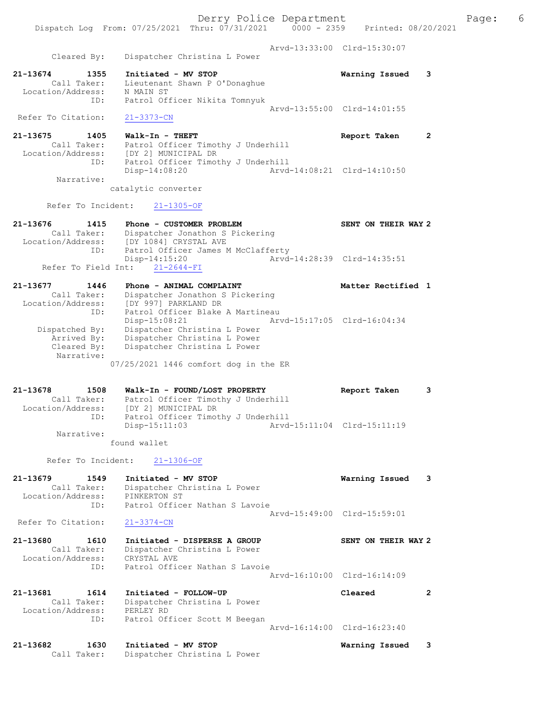Derry Police Department The Page: 6 Dispatch Log From: 07/25/2021 Thru: 07/31/2021 0000 - 2359 Printed: 08/20/2021 Arvd-13:33:00 Clrd-15:30:07 Cleared By: Dispatcher Christina L Power 21-13674 1355 Initiated - MV STOP Warning Issued 3 Call Taker: Lieutenant Shawn P O'Donaghue Location/Address: N MAIN ST ID: Patrol Officer Nikita Tomnyuk Arvd-13:55:00 Clrd-14:01:55 Refer To Citation: 21-3373-CN 21-13675 1405 Walk-In - THEFT Report Taken 2 Call Taker: Patrol Officer Timothy J Underhill Location/Address: [DY 2] MUNICIPAL DR ID: Patrol Officer Timothy J Underhill Disp-14:08:20 Arvd-14:08:21 Clrd-14:10:50 Narrative: catalytic converter Refer To Incident: 21-1305-OF 21-13676 1415 Phone - CUSTOMER PROBLEM SENT ON THEIR WAY 2 Call Taker: Dispatcher Jonathon S Pickering Location/Address: [DY 1084] CRYSTAL AVE ID: Patrol Officer James M McClafferty Disp-14:15:20 Arvd-14:28:39 Clrd-14:35:51 Refer To Field Int: 21-2644-FI 21-13677 1446 Phone - ANIMAL COMPLAINT Nettless and Matter Rectified 1 Call Taker: Dispatcher Jonathon S Pickering Location/Address: [DY 997] PARKLAND DR ID: Patrol Officer Blake A Martineau Disp-15:08:21 Arvd-15:17:05 Clrd-16:04:34 Dispatched By: Dispatcher Christina L Power Arrived By: Dispatcher Christina L Power Cleared By: Dispatcher Christina L Power Narrative: 07/25/2021 1446 comfort dog in the ER 21-13678 1508 Walk-In - FOUND/LOST PROPERTY Report Taken 3 Call Taker: Patrol Officer Timothy J Underhill Location/Address: [DY 2] MUNICIPAL DR ID: Patrol Officer Timothy J Underhill Disp-15:11:03 Arvd-15:11:04 Clrd-15:11:19 Narrative: found wallet Refer To Incident: 21-1306-OF 21-13679 1549 Initiated - MV STOP Warning Issued 3 Call Taker: Dispatcher Christina L Power Location/Address: PINKERTON ST ID: Patrol Officer Nathan S Lavoie Arvd-15:49:00 Clrd-15:59:01<br>21-3374-CN Refer To Citation: 21-13680 1610 Initiated - DISPERSE A GROUP SENT ON THEIR WAY 2 Call Taker: Dispatcher Christina L Power Location/Address: CRYSTAL AVE ID: Patrol Officer Nathan S Lavoie Arvd-16:10:00 Clrd-16:14:09 21-13681 1614 Initiated - FOLLOW-UP Cleared 2 Call Taker: Dispatcher Christina L Power Location/Address: PERLEY RD ID: Patrol Officer Scott M Beegan Arvd-16:14:00 Clrd-16:23:40 21-13682 1630 Initiated - MV STOP Warning Issued 3 Call Taker: Dispatcher Christina L Power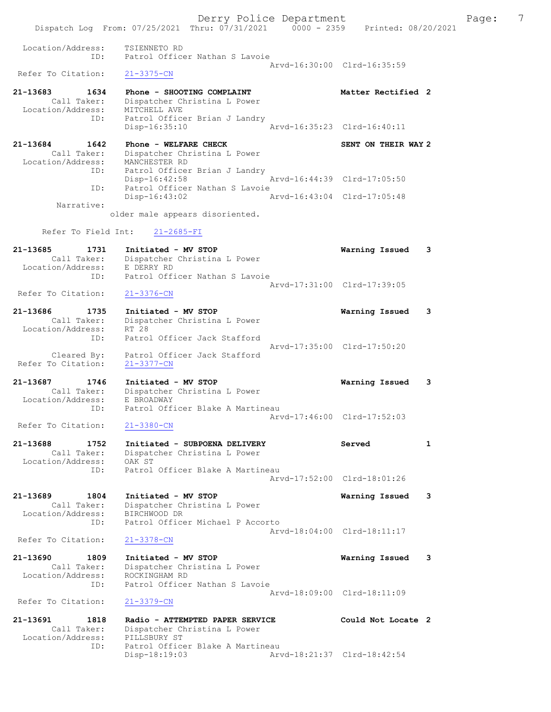Dispatch Log From: 07/25/2021 Thru: 07/31/2021 0000 - 2359 Printed: 08/20/2021 Location/Address: TSIENNETO RD ID: Patrol Officer Nathan S Lavoie Arvd-16:30:00 Clrd-16:35:59<br>21-3375-CN Refer To Citation: 21-13683 1634 Phone - SHOOTING COMPLAINT Matter Rectified 2 Call Taker: Dispatcher Christina L Power Location/Address: MITCHELL AVE ID: Patrol Officer Brian J Landry Disp-16:35:10 Arvd-16:35:23 Clrd-16:40:11 21-13684 1642 Phone - WELFARE CHECK SENT ON THEIR WAY 2 Call Taker: Dispatcher Christina L Power Location/Address: MANCHESTER RD ID: Patrol Officer Brian J Landry Disp-16:42:58 Arvd-16:44:39 Clrd-17:05:50 ID: Patrol Officer Nathan S Lavoie Disp-16:43:02 Arvd-16:43:04 Clrd-17:05:48 Narrative: older male appears disoriented. Refer To Field Int: 21-2685-FI 21-13685 1731 Initiated - MV STOP Warning Issued 3 Call Taker: Dispatcher Christina L Power Location/Address: E DERRY RD ID: Patrol Officer Nathan S Lavoie Arvd-17:31:00 Clrd-17:39:05<br>21-3376-CN Refer To Citation: 21-13686 1735 Initiated - MV STOP Warning Issued 3 Call Taker: Dispatcher Christina L Power Location/Address: RT 28 ID: Patrol Officer Jack Stafford Arvd-17:35:00 Clrd-17:50:20 Cleared By: Patrol Officer Jack Stafford Refer To Citation: 21-3377-CN 21-13687 1746 Initiated - MV STOP Warning Issued 3 Call Taker: Dispatcher Christina L Power Location/Address: E BROADWAY ID: Patrol Officer Blake A Martineau Arvd-17:46:00 Clrd-17:52:03<br>21-3380-CN Refer To Citation: 21-13688 1752 Initiated - SUBPOENA DELIVERY Served 1 Call Taker: Dispatcher Christina L Power Location/Address: OAK ST ID: Patrol Officer Blake A Martineau Arvd-17:52:00 Clrd-18:01:26 21-13689 1804 Initiated - MV STOP Warning Issued 3 Call Taker: Dispatcher Christina L Power Location/Address: BIRCHWOOD DR ID: Patrol Officer Michael P Accorto Arvd-18:04:00 Clrd-18:11:17<br>21-3378-CN Refer To Citation: 21-13690 1809 Initiated - MV STOP Warning Issued 3 Call Taker: Dispatcher Christina L Power Location/Address: ROCKINGHAM RD ID: Patrol Officer Nathan S Lavoie Arvd-18:09:00 Clrd-18:11:09 Refer To Citation: 21-3379-CN 21-13691 1818 Radio - ATTEMPTED PAPER SERVICE Could Not Locate 2 Call Taker: Dispatcher Christina L Power Location/Address: PILLSBURY ST<br>ID: Patrol Office Patrol Officer Blake A Martineau<br>Disp-18:19:03 Arw Disp-18:19:03 Arvd-18:21:37 Clrd-18:42:54

Derry Police Department The Page: 7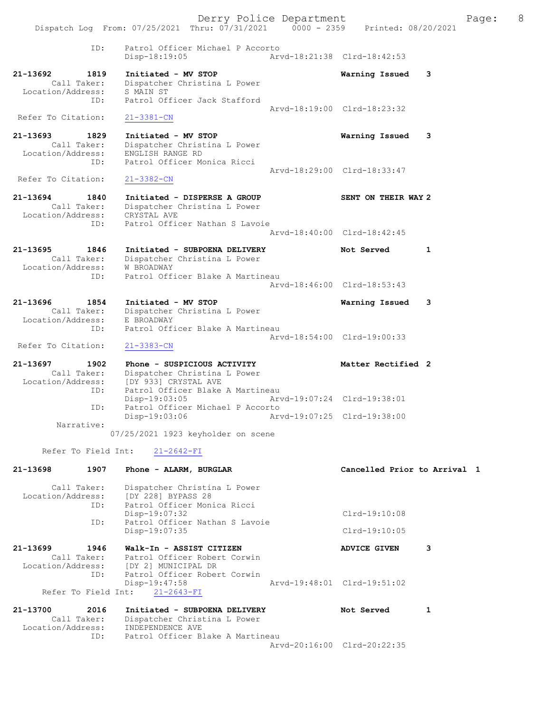Derry Police Department Fage: 8 Dispatch Log From: 07/25/2021 Thru: 07/31/2021 0000 - 2359 Printed: 08/20/2021 ID: Patrol Officer Michael P Accorto Disp-18:19:05 Arvd-18:21:38 Clrd-18:42:53 21-13692 1819 Initiated - MV STOP Warning Issued 3 Call Taker: Dispatcher Christina L Power Location/Address: S MAIN ST ID: Patrol Officer Jack Stafford Arvd-18:19:00 Clrd-18:23:32 Refer To Citation: 21-3381-CN 21-13693 1829 Initiated - MV STOP Warning Issued 3 Call Taker: Dispatcher Christina L Power Location/Address: ENGLISH RANGE RD ID: Patrol Officer Monica Ricci Arvd-18:29:00 Clrd-18:33:47<br>21-3382-CN Refer To Citation: 21-13694 1840 Initiated - DISPERSE A GROUP SENT ON THEIR WAY 2 Call Taker: Dispatcher Christina L Power Location/Address: CRYSTAL AVE ID: Patrol Officer Nathan S Lavoie Arvd-18:40:00 Clrd-18:42:45 21-13695 1846 Initiated - SUBPOENA DELIVERY Not Served 1 Call Taker: Dispatcher Christina L Power Location/Address: W BROADWAY ID: Patrol Officer Blake A Martineau Arvd-18:46:00 Clrd-18:53:43 21-13696 1854 Initiated - MV STOP Warning Issued 3 Call Taker: Dispatcher Christina L Power Location/Address: E BROADWAY ID: Patrol Officer Blake A Martineau Arvd-18:54:00 Clrd-19:00:33 Refer To Citation: 21-3383-CN 21-13697 1902 Phone - SUSPICIOUS ACTIVITY Natter Rectified 2 Call Taker: Dispatcher Christina L Power Location/Address: [DY 933] CRYSTAL AVE ID: Patrol Officer Blake A Martineau Disp-19:03:05 Arvd-19:07:24 Clrd-19:38:01 ID: Patrol Officer Michael P Accorto Disp-19:03:06 Arvd-19:07:25 Clrd-19:38:00 Narrative: 07/25/2021 1923 keyholder on scene Refer To Field Int: 21-2642-FI 21-13698 1907 Phone - ALARM, BURGLAR Cancelled Prior to Arrival 1 Call Taker: Dispatcher Christina L Power Location/Address: [DY 228] BYPASS 28 ID: Patrol Officer Monica Ricci Disp-19:07:32 Clrd-19:10:08<br>ID: Patrol Officer Nathan S Lavoie Clrd-19:10:06 Patrol Officer Nathan S Lavoie<br>Disp-19:07:35 Clrd-19:10:05 21-13699 1946 Walk-In - ASSIST CITIZEN ADVICE GIVEN 3 Call Taker: Patrol Officer Robert Corwin Location/Address: [DY 2] MUNICIPAL DR ID: Patrol Officer Robert Corwin Disp-19:47:58 Arvd-19:48:01 Clrd-19:51:02 Refer To Field Int: 21-2643-FI 21-13700 2016 Initiated - SUBPOENA DELIVERY Not Served 1 Call Taker: Dispatcher Christina L Power

 Location/Address: INDEPENDENCE AVE ID: Patrol Officer Blake A Martineau Arvd-20:16:00 Clrd-20:22:35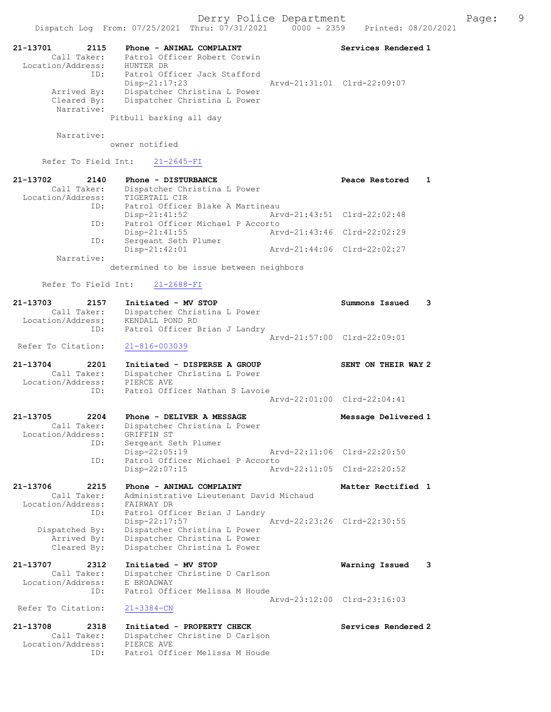Dispatch Log From: 07/25/2021 Thru: 07/31/2021 0000 - 2359 Printed: 08/20/2021 21-13701 2115 Phone - ANIMAL COMPLAINT Number of Services Rendered 1 Call Taker: Patrol Officer Robert Corwin Location/Address: HUNTER DR ID: Patrol Officer Jack Stafford Disp-21:17:23 Arvd-21:31:01 Clrd-22:09:07 Arrived By: Dispatcher Christina L Power Cleared By: Dispatcher Christina L Power Narrative: Pitbull barking all day Narrative: owner notified Refer To Field Int: 21-2645-FI 21-13702 2140 Phone - DISTURBANCE 2000 Peace Restored 1 Call Taker: Dispatcher Christina L Power Location/Address: TIGERTAIL CIR ID: Patrol Officer Blake A Martineau Disp-21:41:52 Arv<br>Disp-21:41:52 Arvd-21:41:52 Arvd-21:41:52 ID: Patrol Officer Michael P Accorto Disp-21:41:55 Arvd-21:43:46 Clrd-22:02:29 ID: Sergeant Seth Plumer Disp-21:42:01 Arvd-21:44:06 Clrd-22:02:27 Narrative: determined to be issue between neighbors Refer To Field Int: 21-2688-FI 21-13703 2157 Initiated - MV STOP Summons Issued 3 Call Taker: Dispatcher Christina L Power Location/Address: KENDALL POND RD ID: Patrol Officer Brian J Landry Arvd-21:57:00 Clrd-22:09:01 Refer To Citation: 21-816-003039 21-13704 2201 Initiated - DISPERSE A GROUP SENT ON THEIR WAY 2 Call Taker: Dispatcher Christina L Power Location/Address: PIERCE AVE ID: Patrol Officer Nathan S Lavoie Arvd-22:01:00 Clrd-22:04:41 21-13705 2204 Phone - DELIVER A MESSAGE Message Delivered 1 Call Taker: Dispatcher Christina L Power Location/Address: GRIFFIN ST ID: Sergeant Seth Plumer Disp-22:05:19 Arvd-22:11:06 Clrd-22:20:50 ID: Patrol Officer Michael P Accorto<br>Disp-22:07:15 Arv Disp-22:07:15 Arvd-22:11:05 Clrd-22:20:52 21-13706 2215 Phone - ANIMAL COMPLAINT Matter Rectified 1 Call Taker: Administrative Lieutenant David Michaud Location/Address: FAIRWAY DR ID: Patrol Officer Brian J Landry Disp-22:17:57 Arvd-22:23:26 Clrd-22:30:55 Dispatched By: Dispatcher Christina L Power Arrived By: Dispatcher Christina L Power Cleared By: Dispatcher Christina L Power 21-13707 2312 Initiated - MV STOP Warning Issued 3 Call Taker: Dispatcher Christine D Carlson Location/Address: E BROADWAY ID: Patrol Officer Melissa M Houde Arvd-23:12:00 Clrd-23:16:03 Refer To Citation: 21-13708 2318 Initiated - PROPERTY CHECK Services Rendered 2 Call Taker: Dispatcher Christine D Carlson Location/Address: PIERCE AVE ID: Patrol Officer Melissa M Houde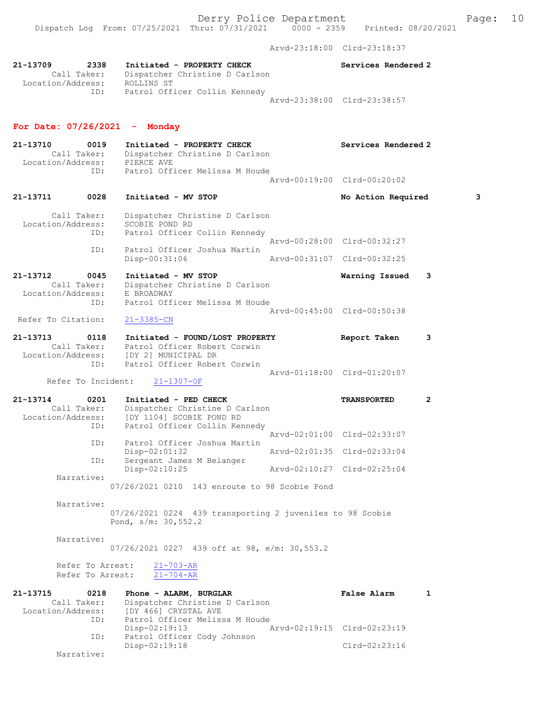Arvd-23:18:00 Clrd-23:18:37

| 21-13709          | 2338        | Initiated - PROPERTY CHECK     |                             | Services Rendered 2 |
|-------------------|-------------|--------------------------------|-----------------------------|---------------------|
|                   | Call Taker: | Dispatcher Christine D Carlson |                             |                     |
| Location/Address: |             | ROLLINS ST                     |                             |                     |
|                   | ID:         | Patrol Officer Collin Kennedy  |                             |                     |
|                   |             |                                | Arvd-23:38:00 Clrd-23:38:57 |                     |

## For Date: 07/26/2021 - Monday

| 21-13710<br>Location/Address: | 0019<br>Call Taker:<br>ID: | Initiated - PROPERTY CHECK<br>Dispatcher Christine D Carlson<br>PIERCE AVE<br>Patrol Officer Melissa M Houde | Services Rendered 2<br>Aryd-00:19:00 Clrd-00:20:02 |   |
|-------------------------------|----------------------------|--------------------------------------------------------------------------------------------------------------|----------------------------------------------------|---|
| 21-13711                      | 0028                       | Initiated - MV STOP                                                                                          | No Action Required                                 | 3 |
| T                             | Call Taker:                | Dispatcher Christine D Carlson<br>CCAPTE DAND PD                                                             |                                                    |   |

| Location/Address:<br>ID: | SCOBIE POND RD               |  | Patrol Officer Collin Kennedy |                             |  |
|--------------------------|------------------------------|--|-------------------------------|-----------------------------|--|
|                          |                              |  |                               | Arvd-00:28:00 Clrd-00:32:27 |  |
| TD:                      | Patrol Officer Joshua Martin |  |                               |                             |  |
|                          | Disp-00:31:06                |  |                               | Aryd-00:31:07 Clrd-00:32:25 |  |

#### 21-13712 0045 Initiated - MV STOP Warning Issued 3 Call Taker: Dispatcher Christine D Carlson Location/Address: E BROADWAY ID: Patrol Officer Melissa M Houde Arvd-00:45:00 Clrd-00:50:38

# Refer To Citation: 21-3385-CN

| 21-13713          | 0118        | Initiated - FOUND/LOST PROPERTY | Report Taken                |  |
|-------------------|-------------|---------------------------------|-----------------------------|--|
|                   | Call Taker: | Patrol Officer Robert Corwin    |                             |  |
| Location/Address: |             | [DY 2] MUNICIPAL DR             |                             |  |
|                   | TD:         | Patrol Officer Robert Corwin    |                             |  |
|                   |             |                                 | Arvd-01:18:00 Clrd-01:20:07 |  |

Refer To Incident: 21-1307-OF

| 21-13714          | 0201        | Initiated - PED CHECK          | <b>TRANSPORTED</b>          |  |
|-------------------|-------------|--------------------------------|-----------------------------|--|
|                   | Call Taker: | Dispatcher Christine D Carlson |                             |  |
| Location/Address: |             | [DY 1104] SCOBIE POND RD       |                             |  |
|                   | ID:         | Patrol Officer Collin Kennedy  |                             |  |
|                   |             |                                | Aryd-02:01:00 Clrd-02:33:07 |  |
|                   | ID:         | Patrol Officer Joshua Martin   |                             |  |
|                   |             | $Disp-02:01:32$                | Arvd-02:01:35 Clrd-02:33:04 |  |
|                   | ID:         | Sergeant James M Belanger      |                             |  |
|                   |             | $Disp-02:10:25$                | Arvd-02:10:27 Clrd-02:25:04 |  |
|                   | Narrative:  |                                |                             |  |

07/26/2021 0210 143 enroute to 98 Scobie Pond

Narrative:

07/26/2021 0224 439 transporting 2 juveniles to 98 Scobie Pond, s/m: 30,552.2

Narrative:

07/26/2021 0227 439 off at 98, e/m: 30,553.2

Refer To Arrest:  $\frac{21-703-AR}{21-704-AR}$ Refer To Arrest:

| 21-13715          | 0218        | Phone - ALARM, BURGLAR         | <b>False Alarm</b>          |  |
|-------------------|-------------|--------------------------------|-----------------------------|--|
|                   | Call Taker: | Dispatcher Christine D Carlson |                             |  |
| Location/Address: |             | [DY 466] CRYSTAL AVE           |                             |  |
|                   | ID:         | Patrol Officer Melissa M Houde |                             |  |
|                   |             | $Disp-02:19:13$                | Arvd-02:19:15 Clrd-02:23:19 |  |
|                   | ID:         | Patrol Officer Cody Johnson    |                             |  |
|                   |             | $Disp-02:19:18$                | Clrd-02:23:16               |  |
|                   | Narrative:  |                                |                             |  |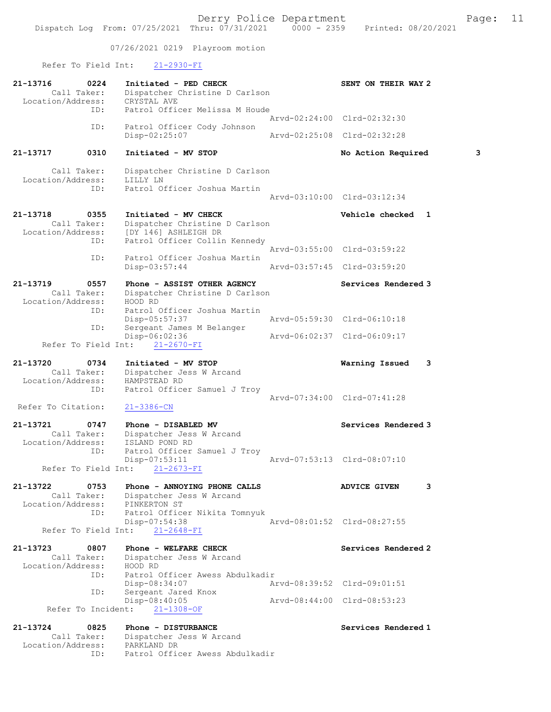07/26/2021 0219 Playroom motion

Refer To Field Int: 21-2930-FI

| 21-13716<br>Location/Address: | 0224<br>Call Taker:        | Initiated - PED CHECK<br>Dispatcher Christine D Carlson<br>CRYSTAL AVE                            | SENT ON THEIR WAY 2                           |   |
|-------------------------------|----------------------------|---------------------------------------------------------------------------------------------------|-----------------------------------------------|---|
|                               | ID:                        | Patrol Officer Melissa M Houde                                                                    | Arvd-02:24:00 Clrd-02:32:30                   |   |
|                               | ID:                        | Patrol Officer Cody Johnson                                                                       |                                               |   |
|                               |                            | Disp-02:25:07                                                                                     | Arvd-02:25:08 Clrd-02:32:28                   |   |
| 21-13717                      | 0310                       | Initiated - MV STOP                                                                               | No Action Required                            | 3 |
| Location/Address:             | Call Taker:<br>ID:         | Dispatcher Christine D Carlson<br>LILLY LN<br>Patrol Officer Joshua Martin                        |                                               |   |
|                               |                            |                                                                                                   | Arvd-03:10:00 Clrd-03:12:34                   |   |
| 21-13718<br>Location/Address: | 0355<br>Call Taker:        | Initiated - MV CHECK<br>Dispatcher Christine D Carlson<br>[DY 146] ASHLEIGH DR                    | Vehicle checked 1                             |   |
|                               | ID:                        | Patrol Officer Collin Kennedy                                                                     | Arvd-03:55:00 Clrd-03:59:22                   |   |
|                               | ID:                        | Patrol Officer Joshua Martin<br>$Disp-03:57:44$                                                   | Arvd-03:57:45 Clrd-03:59:20                   |   |
| 21-13719                      | 0557                       | Phone - ASSIST OTHER AGENCY                                                                       | Services Rendered 3                           |   |
|                               | Call Taker:                | Dispatcher Christine D Carlson                                                                    |                                               |   |
| Location/Address:             | ID:                        | HOOD RD<br>Patrol Officer Joshua Martin<br>Disp-05:57:37                                          | Arvd-05:59:30 Clrd-06:10:18                   |   |
|                               | ID:                        | Sergeant James M Belanger<br>Disp-06:02:36                                                        | Arvd-06:02:37 Clrd-06:09:17                   |   |
|                               | Refer To Field Int:        | $21 - 2670 - FI$                                                                                  |                                               |   |
| 21-13720<br>Location/Address: | 0734<br>Call Taker:<br>ID: | Initiated - MV STOP<br>Dispatcher Jess W Arcand<br>HAMPSTEAD RD<br>Patrol Officer Samuel J Troy   | Warning Issued<br>Arvd-07:34:00 Clrd-07:41:28 | 3 |
| Refer To Citation:            |                            | $21 - 3386 - CN$                                                                                  |                                               |   |
| 21-13721<br>Location/Address: | 0747<br>Call Taker:<br>ID: | Phone - DISABLED MV<br>Dispatcher Jess W Arcand<br>ISLAND POND RD<br>Patrol Officer Samuel J Troy | Services Rendered 3                           |   |
|                               | Refer To Field Int:        | $Disp-07:53:11$<br>$21 - 2673 - FI$                                                               | Arvd-07:53:13 Clrd-08:07:10                   |   |
| 21-13722<br>Location/Address: | 0753<br>Call Taker:        | Phone - ANNOYING PHONE CALLS<br>Dispatcher Jess W Arcand<br>PINKERTON ST                          | <b>ADVICE GIVEN</b>                           | 3 |
|                               | ID:<br>Refer To Field Int: | Patrol Officer Nikita Tomnyuk<br>Disp-07:54:38<br>$21 - 2648 - FI$                                | Arvd-08:01:52 Clrd-08:27:55                   |   |
| 21-13723<br>Location/Address: | 0807<br>Call Taker:        | Phone - WELFARE CHECK<br>Dispatcher Jess W Arcand<br>HOOD RD                                      | Services Rendered 2                           |   |
|                               | ID:                        | Patrol Officer Awess Abdulkadir<br>Disp-08:34:07                                                  | Arvd-08:39:52 Clrd-09:01:51                   |   |
|                               | ID:<br>Refer To Incident:  | Sergeant Jared Knox<br>Disp-08:40:05<br>$21 - 1308 - OF$                                          | Arvd-08:44:00 Clrd-08:53:23                   |   |
|                               |                            |                                                                                                   |                                               |   |
| 21-13724<br>Location/Address: | 0825<br>Call Taker:<br>ID: | Phone - DISTURBANCE<br>Dispatcher Jess W Arcand<br>PARKLAND DR<br>Patrol Officer Awess Abdulkadir | Services Rendered 1                           |   |
|                               |                            |                                                                                                   |                                               |   |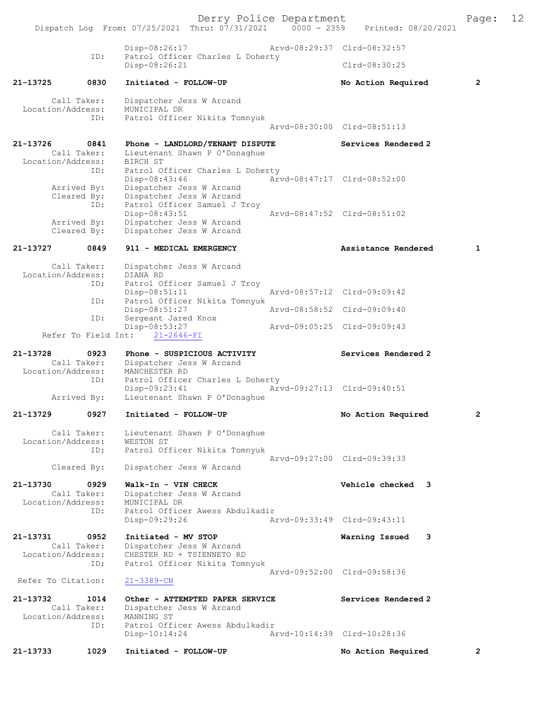Derry Police Department<br>Page: 12 (1207) 12021 0000 - 2359 Printed: 08/20/2021 Dispatch Log From:  $07/25/2021$  Thru:  $07/31/2021$  0000 - 2359 Disp-08:26:17 Arvd-08:29:37 Clrd-08:32:57 ID: Patrol Officer Charles L Doherty Disp-08:26:21 Clrd-08:30:25 21-13725 0830 Initiated - FOLLOW-UP No Action Required 2 Call Taker: Dispatcher Jess W Arcand<br>ion/Address: MUNICIPAL DR Location/Address:<br>ID: Patrol Officer Nikita Tomnyuk Arvd-08:30:00 Clrd-08:51:13 21-13726 0841 Phone - LANDLORD/TENANT DISPUTE Services Rendered 2 Call Taker: Lieutenant Shawn P O'Donaghue Location/Address: ess: BIRCH ST<br>ID: Patrol Officer Charles L Doherty Disp-08:43:46 Arvd-08:47:17 Clrd-08:52:00 Arrived By: Dispatcher Jess W Arcand<br>Cleared By: Dispatcher Jess W Arcand Dispatcher Jess W Arcand ID: Patrol Officer Samuel J Troy<br>Disp-08:43:51 Disp-08:43:51 Arvd-08:47:52 Clrd-08:51:02 Arrived By: Dispatcher Jess W Arcand Cleared By: Dispatcher Jess W Arcand 21-13727 0849 911 - MEDICAL EMERGENCY Assistance Rendered 1 Call Taker: Dispatcher Jess W Arcand Location/Address: DIANA RD ID: Patrol Officer Samuel J Troy<br>Disp-08:51:11 Disp-08:51:11 <br>Disp-08:57:12 Clrd-09:09:42<br>TD: Patrol Officer Nikita Tompyuk Patrol Officer Nikita Tomnyuk<br>Disp-08:51:27 Arvd-08:58:52 Clrd-09:09:40 ID: Sergeant Jared Knox<br>Disp-08:53:27 Disp-08:53:27 Arvd-09:05:25 Clrd-09:09:43 Refer To Field Int: 21-2646-FI 21-13728 0923 Phone - SUSPICIOUS ACTIVITY Services Rendered 2 Call Taker: Dispatcher Jess W Arcand<br>ion/Address: MANCHESTER RD Location/Address:<br>ID: Patrol Officer Charles L Doherty<br>Disp-09:23:41 Arv Disp-09:23:41 Arvd-09:27:13 Clrd-09:40:51<br>Arrived By: Lieutenant Shawn P O'Donaghue Lieutenant Shawn P O'Donaghue 21-13729 0927 Initiated - FOLLOW-UP No Action Required 2 Call Taker: Lieutenant Shawn P O'Donaghue<br>ion/Address: WESTON ST Location/Address:<br>TD: Patrol Officer Nikita Tomnyuk Arvd-09:27:00 Clrd-09:39:33 Cleared By: Dispatcher Jess W Arcand 21-13730 0929 Walk-In - VIN CHECK Vehicle checked 3<br>Call Taker: Dispatcher Jess W Arcand Dispatcher Jess W Arcand<br>MUNICIPAL DR Location/Address: ID: Patrol Officer Awess Abdulkadir<br>Disp-09:29:26 Ar Disp-09:29:26 Arvd-09:33:49 Clrd-09:43:11 21-13731 0952 Initiated - MV STOP Warning Issued 3<br>Call Taker: Dispatcher Jess W Arcand Dispatcher Jess W Arcand Location/Address: CHESTER RD + TSIENNETO RD Patrol Officer Nikita Tomnyuk Arvd-09:52:00 Clrd-09:58:36<br>21-3389-CN Refer To Citation: 21-13732 1014 Other - ATTEMPTED PAPER SERVICE Services Rendered 2<br>Call Taker: Dispatcher Jess W Arcand Dispatcher Jess W Arcand<br>MANNING ST Location/Address: ID: Patrol Officer Awess Abdulkadir<br>Disp-10:14:24 Ar Disp-10:14:24 Arvd-10:14:39 Clrd-10:28:36 21-13733 1029 Initiated - FOLLOW-UP No Action Required 2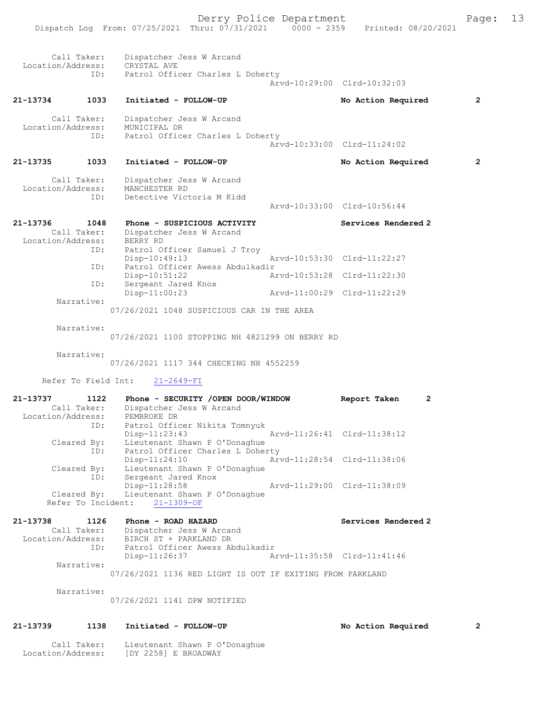| Call Taker:                                  |            | Dispatcher Jess W Arcand<br>Location/Address: CRYSTAL AVE                             |                             |                |
|----------------------------------------------|------------|---------------------------------------------------------------------------------------|-----------------------------|----------------|
|                                              | ID:        | Patrol Officer Charles L Doherty                                                      | Arvd-10:29:00 Clrd-10:32:03 |                |
| 21-13734                                     | 1033       | Initiated - FOLLOW-UP                                                                 | No Action Required          | $\overline{2}$ |
| Call Taker:<br>Location/Address:             |            | Dispatcher Jess W Arcand<br>MUNICIPAL DR                                              |                             |                |
|                                              | ID:        | Patrol Officer Charles L Doherty                                                      | Arvd-10:33:00 Clrd-11:24:02 |                |
| 21-13735                                     | 1033       | Initiated - FOLLOW-UP                                                                 | No Action Required          | 2              |
| Call Taker:<br>Location/Address:             |            | Dispatcher Jess W Arcand<br>MANCHESTER RD                                             |                             |                |
|                                              | ID:        | Detective Victoria M Kidd                                                             | Arvd-10:33:00 Clrd-10:56:44 |                |
| 21-13736<br>Call Taker:<br>Location/Address: | 1048       | Phone - SUSPICIOUS ACTIVITY<br>Dispatcher Jess W Arcand<br>BERRY RD                   | Services Rendered 2         |                |
|                                              | ID:        | Patrol Officer Samuel J Troy<br>$Disp-10:49:13$                                       | Arvd-10:53:30 Clrd-11:22:27 |                |
|                                              | ID:<br>ID: | Patrol Officer Awess Abdulkadir<br>$Disp-10:51:22$<br>Sergeant Jared Knox             | Arvd-10:53:28 Clrd-11:22:30 |                |
| Narrative:                                   |            | $Disp-11:00:23$                                                                       | Arvd-11:00:29 Clrd-11:22:29 |                |
|                                              |            | 07/26/2021 1048 SUSPICIOUS CAR IN THE AREA                                            |                             |                |
| Narrative:                                   |            | 07/26/2021 1100 STOPPING NH 4821299 ON BERRY RD                                       |                             |                |
| Narrative:                                   |            | 07/26/2021 1117 344 CHECKING NH 4552259                                               |                             |                |
| Refer To Field Int:                          |            | $21 - 2649 - FI$                                                                      |                             |                |
| 21-13737<br>Call Taker:                      | 1122       | Phone - SECURITY /OPEN DOOR/WINDOW<br>Dispatcher Jess W Arcand                        | 2<br>Report Taken           |                |
| Location/Address:                            | ID:        | PEMBROKE DR<br>Patrol Officer Nikita Tomnyuk                                          |                             |                |
| Cleared By:                                  |            | Disp-11:23:43<br>Lieutenant Shawn P O'Donaghue                                        | Arvd-11:26:41 Clrd-11:38:12 |                |
| Cleared By:                                  | ID:        | Patrol Officer Charles L Doherty<br>$Disp-11:24:10$<br>Lieutenant Shawn P O'Donaghue  | Arvd-11:28:54 Clrd-11:38:06 |                |
|                                              | ID:        | Sergeant Jared Knox<br>Disp-11:28:58                                                  | Arvd-11:29:00 Clrd-11:38:09 |                |
| Cleared By:<br>Refer To Incident:            |            | Lieutenant Shawn P O'Donaghue<br>$21 - 1309 - OF$                                     |                             |                |
| 21-13738                                     | 1126       | Phone - ROAD HAZARD                                                                   | Services Rendered 2         |                |
| Call Taker:<br>Location/Address:             | ID:        | Dispatcher Jess W Arcand<br>BIRCH ST + PARKLAND DR<br>Patrol Officer Awess Abdulkadir |                             |                |
| Narrative:                                   |            | $Disp-11:26:37$                                                                       | Arvd-11:35:58 Clrd-11:41:46 |                |
|                                              |            | 07/26/2021 1136 RED LIGHT IS OUT IF EXITING FROM PARKLAND                             |                             |                |
| Narrative:                                   |            | 07/26/2021 1141 DPW NOTIFIED                                                          |                             |                |
| 21-13739                                     | 1138       | Initiated - FOLLOW-UP                                                                 | No Action Required          | 2              |
| Call Taker:<br>Location/Address:             |            | Lieutenant Shawn P O'Donaghue<br>[DY 2258] E BROADWAY                                 |                             |                |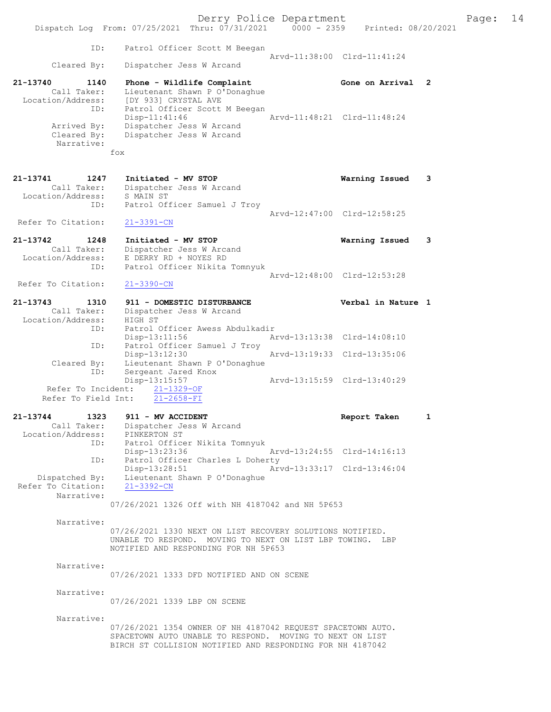Derry Police Department Fage: 14 Dispatch Log From: 07/25/2021 Thru: 07/31/2021 0000 - 2359 Printed: 08/20/2021 ID: Patrol Officer Scott M Beegan Arvd-11:38:00 Clrd-11:41:24<br>Cleared By: Dispatcher Jess W Arcand Dispatcher Jess W Arcand 21-13740 1140 Phone - Wildlife Complaint Gone on Arrival 2 Call Taker: Lieutenant Shawn P O'Donaghue Location/Address: [DY 933] CRYSTAL AVE ID: Patrol Officer Scott M Beegan Disp-11:41:46 Arvd-11:48:21 Clrd-11:48:24 Arrived By: Dispatcher Jess W Arcand Cleared By: Dispatcher Jess W Arcand Narrative: fox 21-13741 1247 Initiated - MV STOP Warning Issued 3 Call Taker: Dispatcher Jess W Arcand Location/Address: S MAIN ST ID: Patrol Officer Samuel J Troy Arvd-12:47:00 Clrd-12:58:25 Refer To Citation: 21-3391-CN 21-13742 1248 Initiated - MV STOP Warning Issued 3 Call Taker: Dispatcher Jess W Arcand Location/Address: E DERRY RD + NOYES RD ID: Patrol Officer Nikita Tomnyuk Arvd-12:48:00 Clrd-12:53:28<br>21-3390-CN Refer To Citation: 21-13743 1310 911 - DOMESTIC DISTURBANCE Verbal in Nature 1 Call Taker: Dispatcher Jess W Arcand Location/Address: HIGH ST ID: Patrol Officer Awess Abdulkadir Disp-13:11:56 Arvd-13:13:38 Clrd-14:08:10 ID: Patrol Officer Samuel J Troy<br>Disp-13:12:30 Arvd-13:19:33 Clrd-13:35:06 Disp-13:12:30 Cleared By: Lieutenant Shawn P O'Donaghue ID: Sergeant Jared Knox<br>Disp-13:15:57 Disp-13:15:57 Arvd-13:15:59 Clrd-13:40:29 Refer To Incident: 21-1329-OF Refer To Field Int: 21-2658-FI 21-13744 1323 911 - MV ACCIDENT Report Taken 1 Call Taker: Dispatcher Jess W Arcand Location/Address: PINKERTON ST ID: Patrol Officer Nikita Tomnyuk Disp-13:23:36 Arvd-13:24:55 Clrd-14:16:13 ID: Patrol Officer Charles L Doherty Disp-13:28:51 Arvd-13:33:17 Clrd-13:46:04 Dispatched By: Lieutenant Shawn P O'Donaghue<br>
Pr To Citation: 21-3392-CN Refer To Citation: Narrative: 07/26/2021 1326 Off with NH 4187042 and NH 5P653 Narrative: 07/26/2021 1330 NEXT ON LIST RECOVERY SOLUTIONS NOTIFIED. UNABLE TO RESPOND. MOVING TO NEXT ON LIST LBP TOWING. LBP NOTIFIED AND RESPONDING FOR NH 5P653 Narrative: 07/26/2021 1333 DFD NOTIFIED AND ON SCENE Narrative: 07/26/2021 1339 LBP ON SCENE Narrative: 07/26/2021 1354 OWNER OF NH 4187042 REQUEST SPACETOWN AUTO. SPACETOWN AUTO UNABLE TO RESPOND. MOVING TO NEXT ON LIST

BIRCH ST COLLISION NOTIFIED AND RESPONDING FOR NH 4187042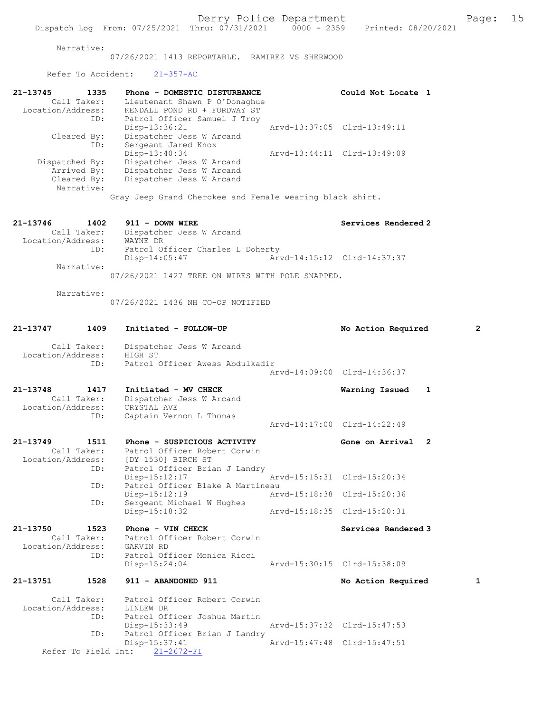Narrative:

07/26/2021 1413 REPORTABLE. RAMIREZ VS SHERWOOD

Refer To Accident: 21-357-AC

| 21-13745<br>Location/Address: | 1335<br>Call Taker:<br>ID: | Phone - DOMESTIC DISTURBANCE<br>Lieutenant Shawn P O'Donaghue<br>KENDALL POND RD + FORDWAY ST<br>Patrol Officer Samuel J Troy |                             | Could Not Locate 1 |  |
|-------------------------------|----------------------------|-------------------------------------------------------------------------------------------------------------------------------|-----------------------------|--------------------|--|
|                               |                            | Disp-13:36:21                                                                                                                 | Arvd-13:37:05 Clrd-13:49:11 |                    |  |
|                               | Cleared By:                | Dispatcher Jess W Arcand                                                                                                      |                             |                    |  |
|                               | ID:                        | Sergeant Jared Knox                                                                                                           |                             |                    |  |
|                               |                            | $Disp-13:40:34$                                                                                                               | Arvd-13:44:11 Clrd-13:49:09 |                    |  |
| Dispatched By:                |                            | Dispatcher Jess W Arcand                                                                                                      |                             |                    |  |
|                               | Arrived By:                | Dispatcher Jess W Arcand                                                                                                      |                             |                    |  |
|                               | Cleared By:                | Dispatcher Jess W Arcand                                                                                                      |                             |                    |  |
|                               | Narrative:                 |                                                                                                                               |                             |                    |  |
|                               |                            | Gray Jeep Grand Cherokee and Female wearing black shirt.                                                                      |                             |                    |  |

| 21-13746<br>1402  | 911 - DOWN WIRE                                                        | Services Rendered 2         |
|-------------------|------------------------------------------------------------------------|-----------------------------|
|                   | Call Taker: Dispatcher Jess W Arcand                                   |                             |
| Location/Address: | WAYNE DR                                                               |                             |
| ID:               | Patrol Officer Charles L Doherty                                       |                             |
|                   | Disp-14:05:47                                                          | Arvd-14:15:12 Clrd-14:37:37 |
| Narrative:        | $200(200)(200)$ $200(200)$ $200(200)$ $200(200)$ $200(200)$ $200(200)$ |                             |

07/26/2021 1427 TREE ON WIRES WITH POLE SNAPPED.

Narrative:

07/26/2021 1436 NH CO-OP NOTIFIED

| 21-13747                      | 1409                       | Initiated - FOLLOW-UP                                                                                                                | No Action Required          |                | $\overline{2}$ |
|-------------------------------|----------------------------|--------------------------------------------------------------------------------------------------------------------------------------|-----------------------------|----------------|----------------|
| Location/Address:             | Call Taker:                | Dispatcher Jess W Arcand<br>HIGH ST                                                                                                  |                             |                |                |
|                               | ID:                        | Patrol Officer Awess Abdulkadir                                                                                                      | Arvd-14:09:00 Clrd-14:36:37 |                |                |
| 21-13748<br>Location/Address: | 1417<br>Call Taker:<br>ID: | Initiated - MV CHECK<br>Dispatcher Jess W Arcand<br>CRYSTAL AVE<br>Captain Vernon L Thomas                                           | Warning Issued              | $\mathbf{1}$   |                |
|                               |                            |                                                                                                                                      | Aryd-14:17:00 Clrd-14:22:49 |                |                |
| 21-13749                      | 1511<br>Call Taker:<br>ID: | Phone - SUSPICIOUS ACTIVITY<br>Patrol Officer Robert Corwin<br>Location/Address: [DY 1530] BIRCH ST<br>Patrol Officer Brian J Landry | Gone on Arrival             | $\overline{2}$ |                |
|                               | ID:                        | Disp-15:12:17<br>Patrol Officer Blake A Martineau                                                                                    | Arvd-15:15:31 Clrd-15:20:34 |                |                |
|                               | ID:                        | Disp-15:12:19<br>Sergeant Michael W Hughes                                                                                           | Arvd-15:18:38 Clrd-15:20:36 |                |                |
|                               |                            | Disp-15:18:32                                                                                                                        | Arvd-15:18:35 Clrd-15:20:31 |                |                |
| 21-13750                      | 1523<br>Call Taker:<br>ID: | Phone - VIN CHECK<br>Patrol Officer Robert Corwin<br>Location/Address: GARVIN RD<br>Patrol Officer Monica Ricci                      | Services Rendered 3         |                |                |
|                               |                            | Disp-15:24:04                                                                                                                        | Arvd-15:30:15 Clrd-15:38:09 |                |                |
| 21-13751                      | 1528                       | 911 - ABANDONED 911                                                                                                                  | No Action Required          |                | $\mathbf{1}$   |
|                               | Call Taker:<br>ID:         | Patrol Officer Robert Corwin<br>Location/Address: LINLEW DR<br>Patrol Officer Joshua Martin                                          |                             |                |                |
|                               | ID:                        | Disp-15:33:49<br>Patrol Officer Brian J Landry                                                                                       | Arvd-15:37:32 Clrd-15:47:53 |                |                |
|                               | Refer To Field Int:        | Disp-15:37:41<br>$21 - 2672 - FI$                                                                                                    | Arvd-15:47:48 Clrd-15:47:51 |                |                |
|                               |                            |                                                                                                                                      |                             |                |                |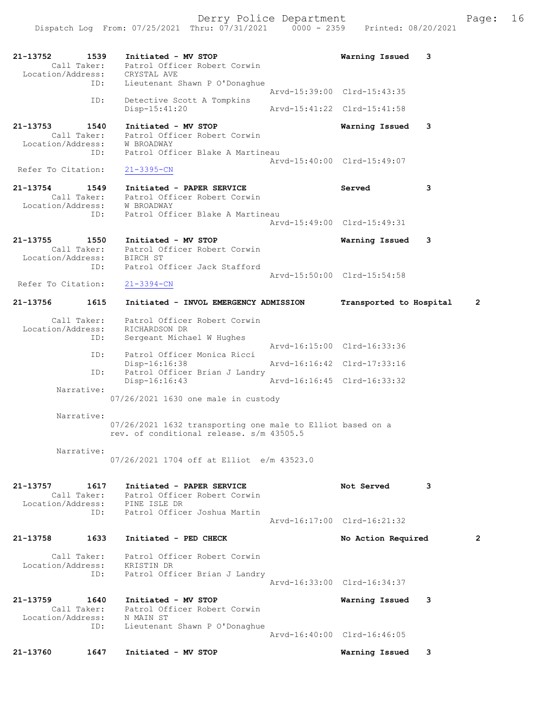Derry Police Department Fage: 16

21-13752 1539 Initiated - MV STOP Warning Issued 3 Call Taker: Patrol Officer Robert Corwin Location/Address: CRYSTAL AVE ID: Lieutenant Shawn P O'Donaghue Arvd-15:39:00 Clrd-15:43:35 ID: Detective Scott A Tompkins<br>Disp-15:41:20 Disp-15:41:20 Arvd-15:41:22 Clrd-15:41:58 21-13753 1540 Initiated - MV STOP Warning Issued 3 Call Taker: Patrol Officer Robert Corwin Location/Address: W BROADWAY ID: Patrol Officer Blake A Martineau Arvd-15:40:00 Clrd-15:49:07<br>21-3395-CN Refer To Citation: 21-13754 1549 Initiated - PAPER SERVICE Served 3 Call Taker: Patrol Officer Robert Corwin Location/Address: W BROADWAY ID: Patrol Officer Blake A Martineau Arvd-15:49:00 Clrd-15:49:31 21-13755 1550 Initiated - MV STOP Warning Issued 3 Call Taker: Patrol Officer Robert Corwin Location/Address: BIRCH ST ID: Patrol Officer Jack Stafford Arvd-15:50:00 Clrd-15:54:58<br>
21-3394-CN Refer To Citation: 21-13756 1615 Initiated - INVOL EMERGENCY ADMISSION Transported to Hospital 2 Call Taker: Patrol Officer Robert Corwin Location/Address: RICHARDSON DR<br>TD: Sergeant Micha Sergeant Michael W Hughes Arvd-16:15:00 Clrd-16:33:36 ID: Patrol Officer Monica Ricci Disp-16:16:38 Arvd-16:16:42 Clrd-17:33:16 ID: Patrol Officer Brian J Landry<br>Disp-16:16:43 Arvd-16:16:45 Clrd-16:33:32 Disp-16:16:43 Narrative: 07/26/2021 1630 one male in custody Narrative: 07/26/2021 1632 transporting one male to Elliot based on a rev. of conditional release. s/m 43505.5 Narrative: 07/26/2021 1704 off at Elliot e/m 43523.0 21-13757 1617 Initiated - PAPER SERVICE Not Served 3 Call Taker: Patrol Officer Robert Corwin Location/Address: PINE ISLE DR ID: Patrol Officer Joshua Martin Arvd-16:17:00 Clrd-16:21:32 21-13758 1633 Initiated - PED CHECK No Action Required 2 Call Taker: Patrol Officer Robert Corwin Location/Address: KRISTIN DR ID: Patrol Officer Brian J Landry Arvd-16:33:00 Clrd-16:34:37 21-13759 1640 Initiated - MV STOP Warning Issued 3 Call Taker: Patrol Officer Robert Corwin Location/Address: N MAIN ST ID: Lieutenant Shawn P O'Donaghue Arvd-16:40:00 Clrd-16:46:05 21-13760 1647 Initiated - MV STOP Warning Issued 3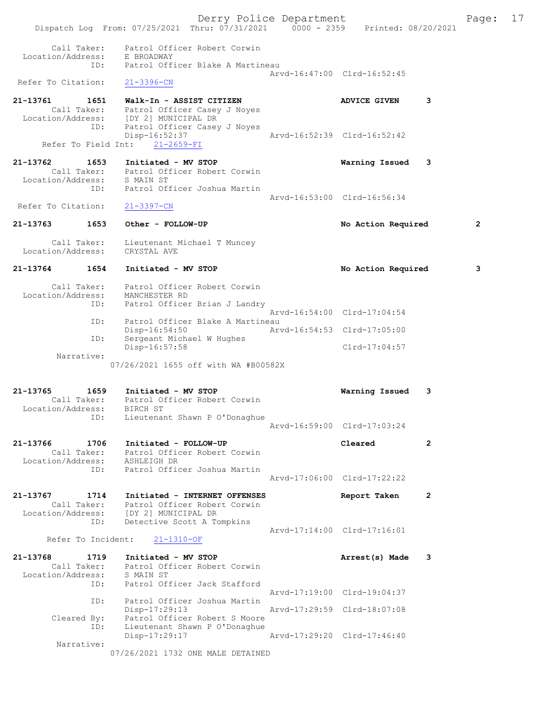|                                                                          | Derry Police Department<br>Dispatch Log From: 07/25/2021 Thru: 07/31/2021 0000 - 2359 Printed: 08/20/2021   |                             |                             |   | Page: 17 |  |
|--------------------------------------------------------------------------|-------------------------------------------------------------------------------------------------------------|-----------------------------|-----------------------------|---|----------|--|
| Location/Address: E BROADWAY                                             | Call Taker: Patrol Officer Robert Corwin<br>ID: Patrol Officer Blake A Martineau                            |                             |                             |   |          |  |
| Refer To Citation:                                                       | 21-3396-CN                                                                                                  |                             | Arvd-16:47:00 Clrd-16:52:45 |   |          |  |
| 21-13761 1651<br>Location/Address: [DY 2] MUNICIPAL DR                   | 1651 Walk-In - ASSIST CITIZEN<br>Call Taker: Patrol Officer Casey J Noyes                                   |                             | <b>ADVICE GIVEN</b>         | 3 |          |  |
|                                                                          | ID: Patrol Officer Casey J Noyes<br>$Disp-16:52:37$<br>Refer To Field Int: 21-2659-FI                       |                             | Arvd-16:52:39 Clrd-16:52:42 |   |          |  |
| 21-13762                                                                 | 1653 Initiated - MV STOP                                                                                    |                             | Warning Issued              | 3 |          |  |
|                                                                          | Call Taker: Patrol Officer Robert Corwin<br>Location/Address: S MAIN ST<br>ID: Patrol Officer Joshua Martin |                             |                             |   |          |  |
| Refer To Citation:                                                       | $21 - 3397 - CN$                                                                                            | Arvd-16:53:00 Clrd-16:56:34 |                             |   |          |  |
| 21-13763<br>1653                                                         | Other - FOLLOW-UP                                                                                           |                             | No Action Required          |   | 2        |  |
| Call Taker:<br>Location/Address: CRYSTAL AVE                             | Lieutenant Michael T Muncey                                                                                 |                             |                             |   |          |  |
| 1654<br>21-13764                                                         | Initiated - MV STOP                                                                                         |                             | No Action Required          |   | 3        |  |
| Location/Address: MANCHESTER RD                                          | Call Taker: Patrol Officer Robert Corwin<br>ID: Patrol Officer Brian J Landry                               |                             |                             |   |          |  |
| ID:                                                                      | Patrol Officer Blake A Martineau                                                                            |                             | Arvd-16:54:00 Clrd-17:04:54 |   |          |  |
| ID:                                                                      | Disp-16:54:50<br>Sergeant Michael W Hughes                                                                  | Arvd-16:54:53 Clrd-17:05:00 |                             |   |          |  |
| Narrative:                                                               | Disp-16:57:58<br>07/26/2021 1655 off with WA #B00582X                                                       |                             | Clrd-17:04:57               |   |          |  |
| 21-13765 1659 Initiated - MV STOP                                        |                                                                                                             |                             | Warning Issued              | 3 |          |  |
| Location/Address:<br>ID:                                                 | Call Taker: Patrol Officer Robert Corwin<br>BIRCH ST<br>Lieutenant Shawn P O'Donaghue                       |                             | Arvd-16:59:00 Clrd-17:03:24 |   |          |  |
| 21-13766<br>1706                                                         |                                                                                                             |                             | Cleared                     | 2 |          |  |
| Call Taker:<br>Location/Address:                                         | Initiated - FOLLOW-UP<br>Patrol Officer Robert Corwin<br>ASHLEIGH DR                                        |                             |                             |   |          |  |
| ID:                                                                      | Patrol Officer Joshua Martin                                                                                |                             | Arvd-17:06:00 Clrd-17:22:22 |   |          |  |
| 21-13767<br>1714<br>Call Taker:<br>Location/Address: [DY 2] MUNICIPAL DR | Initiated - INTERNET OFFENSES<br>Patrol Officer Robert Corwin                                               |                             | Report Taken                | 2 |          |  |
| ID:<br>Refer To Incident:                                                | Detective Scott A Tompkins<br>$21 - 1310 - OF$                                                              |                             | Arvd-17:14:00 Clrd-17:16:01 |   |          |  |
| 21-13768<br>1719                                                         | Initiated - MV STOP                                                                                         |                             |                             | 3 |          |  |
| Location/Address:<br>ID:                                                 | Call Taker: Patrol Officer Robert Corwin<br>S MAIN ST<br>Patrol Officer Jack Stafford                       |                             | Arrest(s) Made              |   |          |  |
| ID:                                                                      | Patrol Officer Joshua Martin                                                                                | Arvd-17:19:00 Clrd-19:04:37 |                             |   |          |  |
| Cleared By:<br>ID:                                                       | $Disp-17:29:13$<br>Patrol Officer Robert S Moore<br>Lieutenant Shawn P O'Donaghue                           | Arvd-17:29:59 Clrd-18:07:08 |                             |   |          |  |
| Narrative:                                                               | Disp-17:29:17                                                                                               | Arvd-17:29:20 Clrd-17:46:40 |                             |   |          |  |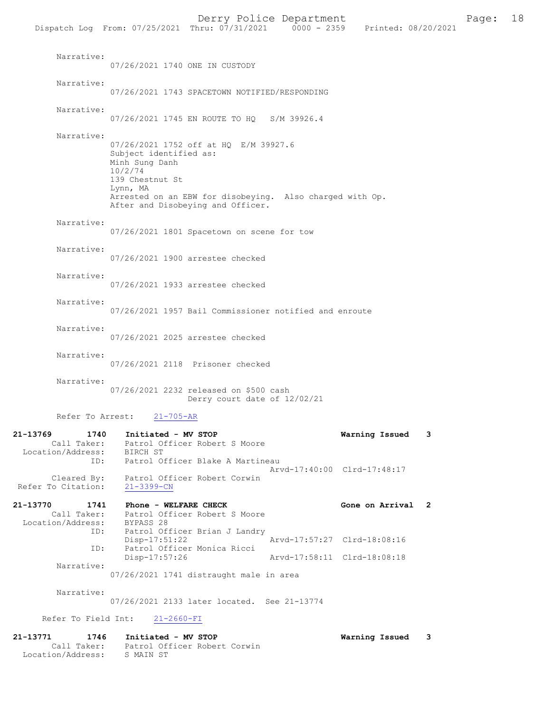| Narrative:                                                         | 07/26/2021 1740 ONE IN CUSTODY                                                                                                                                                                                               |                   |   |
|--------------------------------------------------------------------|------------------------------------------------------------------------------------------------------------------------------------------------------------------------------------------------------------------------------|-------------------|---|
| Narrative:                                                         | 07/26/2021 1743 SPACETOWN NOTIFIED/RESPONDING                                                                                                                                                                                |                   |   |
| Narrative:                                                         | 07/26/2021 1745 EN ROUTE TO HQ S/M 39926.4                                                                                                                                                                                   |                   |   |
| Narrative:                                                         | 07/26/2021 1752 off at HQ E/M 39927.6<br>Subject identified as:<br>Minh Sung Danh<br>10/2/74<br>139 Chestnut St<br>Lynn, MA<br>Arrested on an EBW for disobeying. Also charged with Op.<br>After and Disobeying and Officer. |                   |   |
| Narrative:                                                         | 07/26/2021 1801 Spacetown on scene for tow                                                                                                                                                                                   |                   |   |
| Narrative:                                                         | 07/26/2021 1900 arrestee checked                                                                                                                                                                                             |                   |   |
| Narrative:                                                         | 07/26/2021 1933 arrestee checked                                                                                                                                                                                             |                   |   |
| Narrative:                                                         | 07/26/2021 1957 Bail Commissioner notified and enroute                                                                                                                                                                       |                   |   |
| Narrative:                                                         | 07/26/2021 2025 arrestee checked                                                                                                                                                                                             |                   |   |
| Narrative:                                                         | 07/26/2021 2118 Prisoner checked                                                                                                                                                                                             |                   |   |
| Narrative:                                                         | 07/26/2021 2232 released on \$500 cash<br>Derry court date of 12/02/21                                                                                                                                                       |                   |   |
| Refer To Arrest:                                                   | $21 - 705 - AR$                                                                                                                                                                                                              |                   |   |
| 21-13769<br>1740<br>Call Taker:<br>Location/Address:               | Initiated - MV STOP<br>Patrol Officer Robert S Moore<br>BIRCH ST                                                                                                                                                             | Warning Issued    | 3 |
| ID:<br>Cleared By:<br>Refer To Citation:                           | Patrol Officer Blake A Martineau<br>Arvd-17:40:00 Clrd-17:48:17<br>Patrol Officer Robert Corwin<br>$21 - 3399 - CN$                                                                                                          |                   |   |
| 21-13770<br>1741<br>Call Taker:<br>Location/Address:<br>ID:<br>ID: | Phone - WELFARE CHECK<br>Patrol Officer Robert S Moore<br>BYPASS 28<br>Patrol Officer Brian J Landry<br>Arvd-17:57:27 Clrd-18:08:16<br>Disp-17:51:22<br>Patrol Officer Monica Ricci                                          | Gone on Arrival 2 |   |
|                                                                    | Disp-17:57:26<br>Arvd-17:58:11 Clrd-18:08:18                                                                                                                                                                                 |                   |   |
| Narrative:                                                         | 07/26/2021 1741 distraught male in area                                                                                                                                                                                      |                   |   |
| Narrative:                                                         | 07/26/2021 2133 later located. See 21-13774                                                                                                                                                                                  |                   |   |
| Refer To Field Int:                                                | $21 - 2660 - FI$                                                                                                                                                                                                             |                   |   |

21-13771 1746 Initiated - MV STOP Warning Issued 3 Call Taker: Patrol Officer Robert Corwin Location/Address: S MAIN ST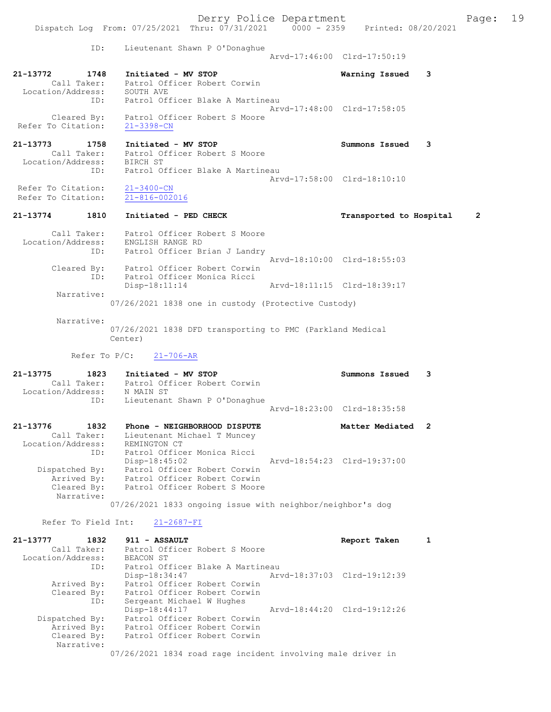Derry Police Department Fage: 19 Dispatch Log From: 07/25/2021 Thru: 07/31/2021 0000 - 2359 Printed: 08/20/2021 ID: Lieutenant Shawn P O'Donaghue Arvd-17:46:00 Clrd-17:50:19 21-13772 1748 Initiated - MV STOP Warning Issued 3 Call Taker: Patrol Officer Robert Corwin Location/Address: SOUTH AVE ID: Patrol Officer Blake A Martineau Arvd-17:48:00 Clrd-17:58:05 Cleared By: Patrol Officer Robert S Moore Refer To Citation: 21-3398-CN 21-13773 1758 Initiated - MV STOP Summons Issued 3 Call Taker: Patrol Officer Robert S Moore Location/Address: BIRCH ST ID: Patrol Officer Blake A Martineau Arvd-17:58:00 Clrd-18:10:10<br>
21-3400-CN Refer To Citation: Refer To Citation: 21-816-002016 21-13774 1810 Initiated - PED CHECK Transported to Hospital 2 Call Taker: Patrol Officer Robert S Moore Location/Address: ENGLISH RANGE RD ID: Patrol Officer Brian J Landry Arvd-18:10:00 Clrd-18:55:03 Cleared By: Patrol Officer Robert Corwin ID: Patrol Officer Monica Ricci Disp-18:11:14 Arvd-18:11:15 Clrd-18:39:17 Narrative: 07/26/2021 1838 one in custody (Protective Custody) Narrative: 07/26/2021 1838 DFD transporting to PMC (Parkland Medical Center) Refer To P/C: 21-706-AR 21-13775 1823 Initiated - MV STOP Summons Issued 3 Call Taker: Patrol Officer Robert Corwin Location/Address: N MAIN ST ID: Lieutenant Shawn P O'Donaghue Arvd-18:23:00 Clrd-18:35:58 21-13776 1832 Phone - NEIGHBORHOOD DISPUTE Matter Mediated 2 Call Taker: Lieutenant Michael T Muncey Location/Address: REMINGTON CT ID: Patrol Officer Monica Ricci Disp-18:45:02 Arvd-18:54:23 Clrd-19:37:00 Dispatched By: Patrol Officer Robert Corwin Arrived By: Patrol Officer Robert Corwin Cleared By: Patrol Officer Robert S Moore Narrative: 07/26/2021 1833 ongoing issue with neighbor/neighbor's dog Refer To Field Int: 21-2687-FI 21-13777 1832 911 - ASSAULT Report Taken 1 Call Taker: Patrol Officer Robert S Moore Location/Address: BEACON ST ID: Patrol Officer Blake A Martineau Disp-18:34:47 Arvd-18:37:03 Clrd-19:12:39 Arrived By: Patrol Officer Robert Corwin Cleared By: Patrol Officer Robert Corwin ID: Sergeant Michael W Hughes Disp-18:44:17 Arvd-18:44:20 Clrd-19:12:26

 Narrative: 07/26/2021 1834 road rage incident involving male driver in

 Dispatched By: Patrol Officer Robert Corwin Arrived By: Patrol Officer Robert Corwin Cleared By: Patrol Officer Robert Corwin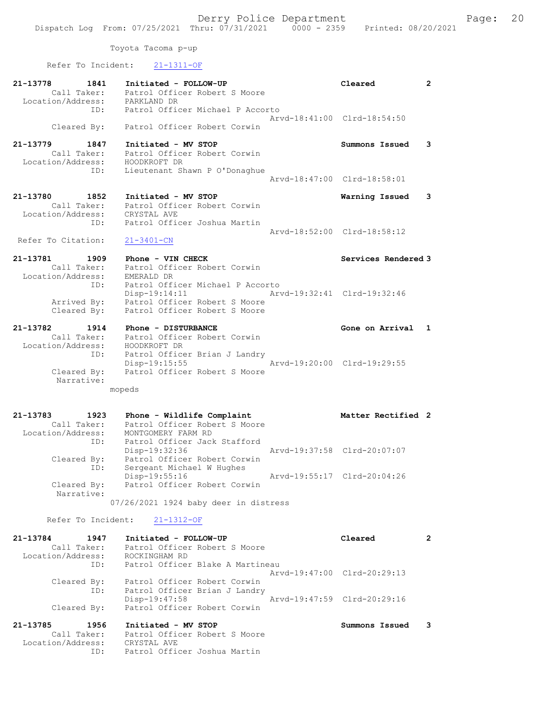Toyota Tacoma p-up

Refer To Incident: 21-1311-OF

| 21-13778<br>1841                 | Initiated - FOLLOW-UP                                     | Cleared                     | 2            |
|----------------------------------|-----------------------------------------------------------|-----------------------------|--------------|
| Call Taker:                      | Patrol Officer Robert S Moore                             |                             |              |
| Location/Address:                | PARKLAND DR                                               |                             |              |
| ID:                              | Patrol Officer Michael P Accorto                          | Arvd-18:41:00 Clrd-18:54:50 |              |
| Cleared By:                      | Patrol Officer Robert Corwin                              |                             |              |
| 21-13779<br>1847<br>Call Taker:  | Initiated - MV STOP<br>Patrol Officer Robert Corwin       | Summons Issued              | 3            |
| Location/Address:                | HOODKROFT DR                                              |                             |              |
| ID:                              | Lieutenant Shawn P O'Donaghue                             |                             |              |
|                                  |                                                           | Arvd-18:47:00 Clrd-18:58:01 |              |
|                                  |                                                           |                             |              |
| 21-13780<br>1852<br>Call Taker:  | Initiated - MV STOP<br>Patrol Officer Robert Corwin       | Warning Issued              | 3            |
| Location/Address:                | CRYSTAL AVE                                               |                             |              |
| ID:                              | Patrol Officer Joshua Martin                              |                             |              |
|                                  |                                                           | Arvd-18:52:00 Clrd-18:58:12 |              |
| Refer To Citation:               | $21 - 3401 - CN$                                          |                             |              |
|                                  |                                                           |                             |              |
| 21-13781<br>1909                 | Phone - VIN CHECK                                         | Services Rendered 3         |              |
| Call Taker:<br>Location/Address: | Patrol Officer Robert Corwin<br>EMERALD DR                |                             |              |
| ID:                              | Patrol Officer Michael P Accorto                          |                             |              |
|                                  | Disp-19:14:11<br>Arvd-19:32:41 Clrd-19:32:46              |                             |              |
| Arrived By:                      | Patrol Officer Robert S Moore                             |                             |              |
| Cleared By:                      | Patrol Officer Robert S Moore                             |                             |              |
|                                  |                                                           |                             |              |
| 21-13782<br>1914                 | Phone - DISTURBANCE                                       | Gone on Arrival             | $\mathbf{1}$ |
| Call Taker:<br>Location/Address: | Patrol Officer Robert Corwin<br>HOODKROFT DR              |                             |              |
| ID:                              | Patrol Officer Brian J Landry                             |                             |              |
|                                  | Disp-19:15:55                                             | Arvd-19:20:00 Clrd-19:29:55 |              |
| Cleared By:                      | Patrol Officer Robert S Moore                             |                             |              |
| Narrative:                       |                                                           |                             |              |
|                                  | mopeds                                                    |                             |              |
|                                  |                                                           |                             |              |
| 21-13783<br>1923                 | Phone - Wildlife Complaint                                | Matter Rectified 2          |              |
| Call Taker:                      | Patrol Officer Robert S Moore                             |                             |              |
| Location/Address:                | MONTGOMERY FARM RD                                        |                             |              |
| ID:                              | Patrol Officer Jack Stafford                              |                             |              |
|                                  | Disp-19:32:36                                             | Arvd-19:37:58 Clrd-20:07:07 |              |
| Cleared By:<br>ID:               | Patrol Officer Robert Corwin<br>Sergeant Michael W Hughes |                             |              |
|                                  | Disp-19:55:16                                             | Arvd-19:55:17 Clrd-20:04:26 |              |
| Cleared By:                      | Patrol Officer Robert Corwin                              |                             |              |
| Narrative:                       |                                                           |                             |              |
|                                  | 07/26/2021 1924 baby deer in distress                     |                             |              |
| Refer To Incident:               | $21 - 1312 - OF$                                          |                             |              |
|                                  |                                                           |                             |              |
| 21-13784<br>1947<br>Call Taker:  | Initiated - FOLLOW-UP                                     | Cleared                     | 2            |
| Location/Address:                | Patrol Officer Robert S Moore<br>ROCKINGHAM RD            |                             |              |
| ID:                              | Patrol Officer Blake A Martineau                          |                             |              |
|                                  |                                                           | Arvd-19:47:00 Clrd-20:29:13 |              |
| Cleared By:                      | Patrol Officer Robert Corwin                              |                             |              |
| ID:                              | Patrol Officer Brian J Landry                             |                             |              |
|                                  | Disp-19:47:58                                             | Arvd-19:47:59 Clrd-20:29:16 |              |
| Cleared By:                      |                                                           |                             |              |
|                                  | Patrol Officer Robert Corwin                              |                             |              |
|                                  |                                                           |                             |              |
| 21-13785<br>1956<br>Call Taker:  | Initiated - MV STOP<br>Patrol Officer Robert S Moore      | Summons Issued              | 3            |
| Location/Address:                | CRYSTAL AVE                                               |                             |              |
| ID:                              | Patrol Officer Joshua Martin                              |                             |              |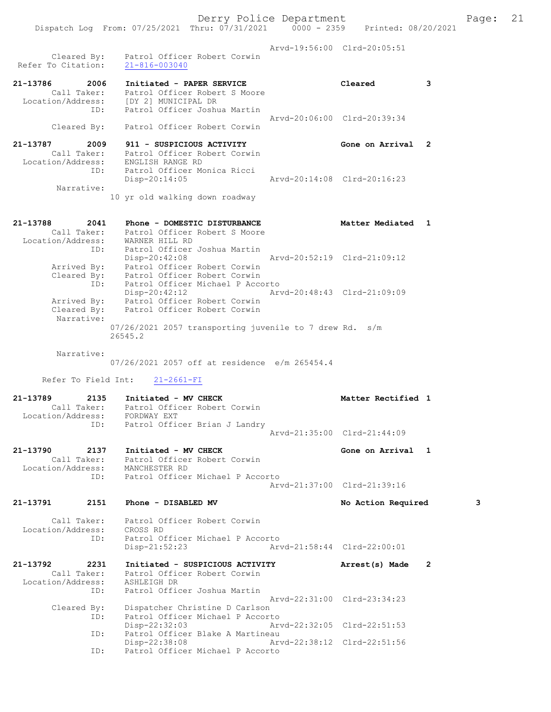Derry Police Department Fage: 21 Dispatch Log From: 07/25/2021 Thru: 07/31/2021 0000 - 2359 Printed: 08/20/2021 Arvd-19:56:00 Clrd-20:05:51 Cleared By: Patrol Officer Robert Corwin Refer To Citation: 21-816-003040 21-13786 2006 Initiated - PAPER SERVICE Cleared 3 Call Taker: Patrol Officer Robert S Moore Location/Address: [DY 2] MUNICIPAL DR ID: Patrol Officer Joshua Martin Arvd-20:06:00 Clrd-20:39:34 Cleared By: Patrol Officer Robert Corwin 21-13787 2009 911 - SUSPICIOUS ACTIVITY Gone on Arrival 2 Call Taker: Patrol Officer Robert Corwin Location/Address: ENGLISH RANGE RD<br>ID: Patrol Officer Monica Ricci ID: Patrol Officer Monica Ricci Disp-20:14:05 Arvd-20:14:08 Clrd-20:16:23 Narrative: 10 yr old walking down roadway 21-13788 2041 Phone - DOMESTIC DISTURBANCE Natter Mediated 1 Call Taker: Patrol Officer Robert S Moore Location/Address: WARNER HILL RD ID: Patrol Officer Joshua Martin Disp-20:42:08 Arvd-20:52:19 Clrd-21:09:12 Arrived By: Patrol Officer Robert Corwin Cleared By: Patrol Officer Robert Corwin ID: Patrol Officer Michael P Accorto Disp-20:42:12 Arvd-20:48:43 Clrd-21:09:09 Arrived By: Patrol Officer Robert Corwin Cleared By: Patrol Officer Robert Corwin Narrative: 07/26/2021 2057 transporting juvenile to 7 drew Rd. s/m 26545.2 Narrative: 07/26/2021 2057 off at residence e/m 265454.4 Refer To Field Int: 21-2661-FI 21-13789 2135 Initiated - MV CHECK Matter Rectified 1 Call Taker: Patrol Officer Robert Corwin Location/Address: FORDWAY EXT ID: Patrol Officer Brian J Landry Arvd-21:35:00 Clrd-21:44:09 21-13790 2137 Initiated - MV CHECK CHECH Gone on Arrival 1 Call Taker: Patrol Officer Robert Corwin Location/Address: MANCHESTER RD ID: Patrol Officer Michael P Accorto Arvd-21:37:00 Clrd-21:39:16 21-13791 2151 Phone - DISABLED MV No Action Required 3 Call Taker: Patrol Officer Robert Corwin Location/Address: CROSS RD ID: Patrol Officer Michael P Accorto<br>Disp-21:52:23 Arv Disp-21:52:23 Arvd-21:58:44 Clrd-22:00:01 21-13792 2231 Initiated - SUSPICIOUS ACTIVITY Arrest(s) Made 2 Call Taker: Patrol Officer Robert Corwin Location/Address: ASHLEIGH DR ID: Patrol Officer Joshua Martin Arvd-22:31:00 Clrd-23:34:23 Cleared By: Dispatcher Christine D Carlson ID: Patrol Officer Michael P Accorto Disp-22:32:03 Arvd-22:32:05 Clrd-22:51:53 ID: Patrol Officer Blake A Martineau Disp-22:38:08 Arvd-22:38:12 Clrd-22:51:56

ID: Patrol Officer Michael P Accorto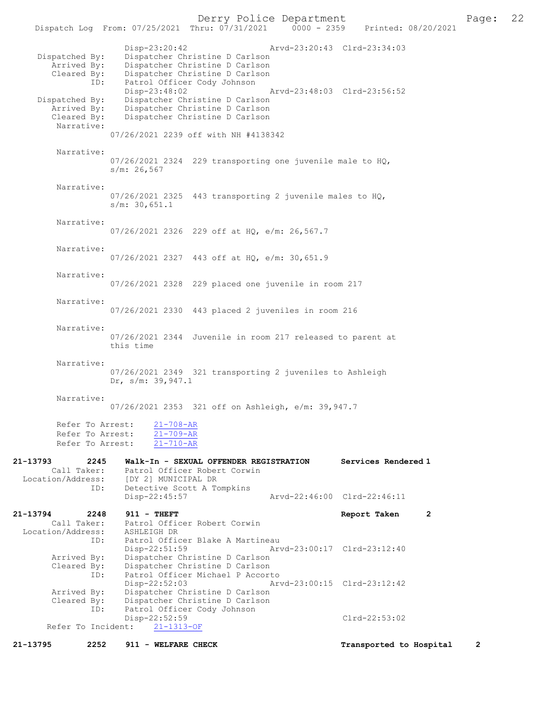Derry Police Department Page: 22 Dispatch Log From: 07/25/2021 Thru: 07/31/2021 Disp-23:20:42 Arvd-23:20:43 Clrd-23:34:03 Dispatched By: Dispatcher Christine D Carlson<br>Arrived By: Dispatcher Christine D Carlson Arrived By: Dispatcher Christine D Carlson<br>Cleared By: Dispatcher Christine D Carlson By: Dispatcher Christine D Carlson<br>ID: Patrol Officer Cody Johnson Patrol Officer Cody Johnson<br>Disp-23:48:02 Disp-23:48:02 Arvd-23:48:03 Clrd-23:56:52<br>Dispatched By: Dispatcher Christine D Carlson Dispatcher Christine D Carlson Arrived By: Dispatcher Christine D Carlson<br>Cleared By: Dispatcher Christine D Carlson Dispatcher Christine D Carlson Narrative: 07/26/2021 2239 off with NH #4138342 Narrative: 07/26/2021 2324 229 transporting one juvenile male to HQ, s/m: 26,567 Narrative: 07/26/2021 2325 443 transporting 2 juvenile males to HQ, s/m: 30,651.1 Narrative: 07/26/2021 2326 229 off at HQ, e/m: 26,567.7 Narrative: 07/26/2021 2327 443 off at HQ, e/m: 30,651.9 Narrative: 07/26/2021 2328 229 placed one juvenile in room 217 Narrative: 07/26/2021 2330 443 placed 2 juveniles in room 216 Narrative: 07/26/2021 2344 Juvenile in room 217 released to parent at this time Narrative: 07/26/2021 2349 321 transporting 2 juveniles to Ashleigh Dr, s/m: 39,947.1 Narrative: 07/26/2021 2353 321 off on Ashleigh, e/m: 39,947.7 Refer To Arrest: 21-708-AR Refer To Arrest: 21-709-AR Refer To Arrest: 21-710-AR 21-13793 2245 Walk-In - SEXUAL OFFENDER REGISTRATION Services Rendered 1 Call Taker: Patrol Officer Robert Corwin Location/Address: [DY 2] MUNICIPAL DR ID: Detective Scott A Tompkins<br>Disp-22:45:57 Disp-22:45:57 Arvd-22:46:00 Clrd-22:46:11 21-13794 2248 911 - THEFT Report Taken 2<br>Call Taker: Patrol Officer Robert Corwin Patrol Officer Robert Corwin<br>ASHLEIGH DR Location/Address: ID: Patrol Officer Blake A Martineau<br>Disp-22:51:59 Art Arvd-23:00:17 Clrd-23:12:40 Arrived By: Dispatcher Christine D Carlson<br>Cleared By: Dispatcher Christine D Carlson By: Dispatcher Christine D Carlson<br>ID: Patrol Officer Michael P Accor Patrol Officer Michael P Accorto<br>Disp-22:52:03 Ar Disp-22:52:03 Arvd-23:00:15 Clrd-23:12:42<br>Arrived By: Dispatcher Christine D Carlson Dispatcher Christine D Carlson Cleared By: Dispatcher Christine D Carlson ID: Patrol Officer Cody Johnson Disp-22:52:59 Clrd-22:53:02<br>ht: 21-1313-OF Refer To Incident:

21-13795 2252 911 - WELFARE CHECK Transported to Hospital 2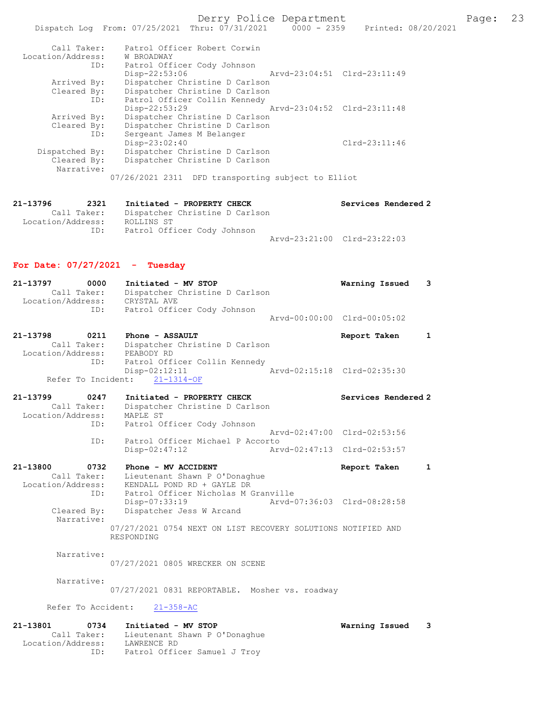Derry Police Department Fage: 23

| Call Taker:                                                               | Patrol Officer Robert Corwin                                                                                                                                                                                                                                                                                              |  |
|---------------------------------------------------------------------------|---------------------------------------------------------------------------------------------------------------------------------------------------------------------------------------------------------------------------------------------------------------------------------------------------------------------------|--|
| Location/Address:                                                         | W BROADWAY                                                                                                                                                                                                                                                                                                                |  |
| ID:                                                                       | Patrol Officer Cody Johnson                                                                                                                                                                                                                                                                                               |  |
|                                                                           | Disp-22:53:06<br>Arvd-23:04:51 Clrd-23:11:49                                                                                                                                                                                                                                                                              |  |
| Arrived By:                                                               | Dispatcher Christine D Carlson                                                                                                                                                                                                                                                                                            |  |
| Cleared By:                                                               | Dispatcher Christine D Carlson                                                                                                                                                                                                                                                                                            |  |
| ID:                                                                       |                                                                                                                                                                                                                                                                                                                           |  |
|                                                                           |                                                                                                                                                                                                                                                                                                                           |  |
|                                                                           |                                                                                                                                                                                                                                                                                                                           |  |
|                                                                           |                                                                                                                                                                                                                                                                                                                           |  |
| ID:                                                                       |                                                                                                                                                                                                                                                                                                                           |  |
|                                                                           | $Clrd-23:11:46$                                                                                                                                                                                                                                                                                                           |  |
|                                                                           |                                                                                                                                                                                                                                                                                                                           |  |
|                                                                           |                                                                                                                                                                                                                                                                                                                           |  |
|                                                                           |                                                                                                                                                                                                                                                                                                                           |  |
|                                                                           |                                                                                                                                                                                                                                                                                                                           |  |
| Arrived By:<br>Cleared By:<br>Dispatched By:<br>Cleared By:<br>Narrative: | Patrol Officer Collin Kennedy<br>Arvd-23:04:52 Clrd-23:11:48<br>Disp-22:53:29<br>Dispatcher Christine D Carlson<br>Dispatcher Christine D Carlson<br>Sergeant James M Belanger<br>Disp-23:02:40<br>Dispatcher Christine D Carlson<br>Dispatcher Christine D Carlson<br>07/26/2021 2311 DFD transporting subject to Elliot |  |

| 21-13796          | 2321        | Initiated - PROPERTY CHECK     |                             | Services Rendered 2 |
|-------------------|-------------|--------------------------------|-----------------------------|---------------------|
|                   | Call Taker: | Dispatcher Christine D Carlson |                             |                     |
| Location/Address: |             | ROLLINS ST                     |                             |                     |
|                   | ID:         | Patrol Officer Cody Johnson    |                             |                     |
|                   |             |                                | Arvd-23:21:00 Clrd-23:22:03 |                     |

## For Date: 07/27/2021 - Tuesday

| 21-13797          | 0000                        | Initiated - MV STOP                                | Warning Issued              | $\overline{\mathbf{3}}$ |
|-------------------|-----------------------------|----------------------------------------------------|-----------------------------|-------------------------|
| Location/Address: | Call Taker:                 | Dispatcher Christine D Carlson<br>CRYSTAL AVE      |                             |                         |
|                   | ID:                         | Patrol Officer Cody Johnson                        | Arvd-00:00:00 Clrd-00:05:02 |                         |
| 21-13798          | 0211<br>$0.11 \text{ m}$ -1 | Phone - ASSAULT<br>Dissemblate Chairman D. Caulass | Report Taken                |                         |

| Call Taker:       |     |            | Dispatcher Christine D Carlson |  |                             |  |
|-------------------|-----|------------|--------------------------------|--|-----------------------------|--|
| Location/Address: |     | PEABODY RD |                                |  |                             |  |
|                   | ID: |            | Patrol Officer Collin Kennedy  |  |                             |  |
|                   |     |            | Disp-02:12:11                  |  | Arvd-02:15:18 Clrd-02:35:30 |  |
|                   |     |            | Refer To Incident: 21-1314-OF  |  |                             |  |

| 21-13799          | 0247        | Initiated - PROPERTY CHECK       | Services Rendered 2         |
|-------------------|-------------|----------------------------------|-----------------------------|
|                   | Call Taker: | Dispatcher Christine D Carlson   |                             |
| Location/Address: |             | MAPLE ST                         |                             |
|                   | ID:         | Patrol Officer Cody Johnson      |                             |
|                   |             |                                  | Aryd-02:47:00 Clrd-02:53:56 |
|                   | ID:         | Patrol Officer Michael P Accorto |                             |
|                   |             | Disp-02:47:12                    | Arvd-02:47:13 Clrd-02:53:57 |

21-13800 0732 Phone - MV ACCIDENT Report Taken 1 Call Taker: Lieutenant Shawn P O'Donaghue

 Location/Address: KENDALL POND RD + GAYLE DR ID: Patrol Officer Nicholas M Granville Disp-07:33:19 Arvd-07:36:03 Clrd-08:28:58 Cleared By: Dispatcher Jess W Arcand Narrative: 07/27/2021 0754 NEXT ON LIST RECOVERY SOLUTIONS NOTIFIED AND RESPONDING

Narrative:

07/27/2021 0805 WRECKER ON SCENE

Narrative:

07/27/2021 0831 REPORTABLE. Mosher vs. roadway

Refer To Accident: 21-358-AC

| 21–13801<br>0734  | Initiated - MV STOP           | Warning Issued |  |
|-------------------|-------------------------------|----------------|--|
| Call Taker:       | Lieutenant Shawn P O'Donaghue |                |  |
| Location/Address: | LAWRENCE RD                   |                |  |
| ID:               | Patrol Officer Samuel J Troy  |                |  |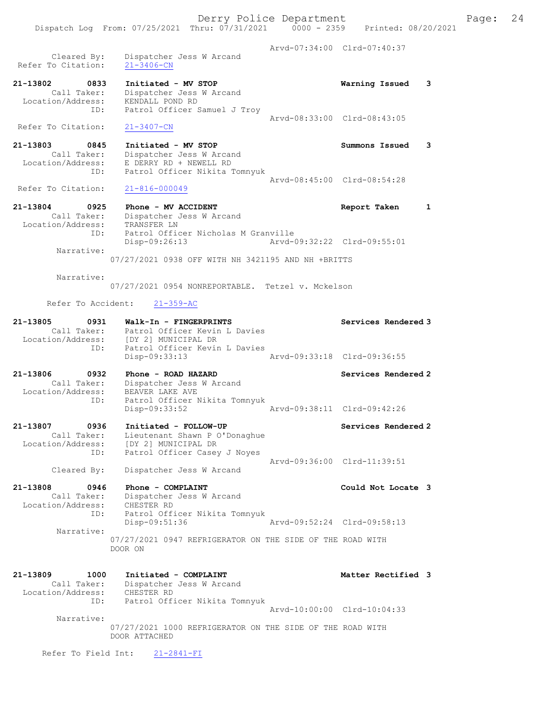Arvd-07:34:00 Clrd-07:40:37 Cleared By: Dispatcher Jess W Arcand Refer To Citation: 21-3406-CN

21-13802 0833 Initiated - MV STOP Warning Issued 3 Call Taker: Dispatcher Jess W Arcand Location/Address: KENDALL POND RD ID: Patrol Officer Samuel J Troy Arvd-08:33:00 Clrd-08:43:05

Dispatch Log From: 07/25/2021 Thru: 07/31/2021 0000 - 2359 Printed: 08/20/2021

Refer To Citation: 21-3407-CN

- 21-13803 0845 Initiated MV STOP Summons Issued 3 Call Taker: Dispatcher Jess W Arcand Location/Address: E DERRY RD + NEWELL RD ID: Patrol Officer Nikita Tomnyuk Arvd-08:45:00 Clrd-08:54:28<br>21-816-000049
- Refer To Citation: 21-13804 0925 Phone - MV ACCIDENT Report Taken 1 Call Taker: Dispatcher Jess W Arcand Location/Address: TRANSFER LN ID: Patrol Officer Nicholas M Granville<br>Disp-09:26:13 Arvd-
	- Disp-09:26:13 Arvd-09:32:22 Clrd-09:55:01 Narrative: 07/27/2021 0938 OFF WITH NH 3421195 AND NH +BRITTS

Narrative:

07/27/2021 0954 NONREPORTABLE. Tetzel v. Mckelson

## Refer To Accident: 21-359-AC

| 21-13805<br>0931<br>Call Taker:                                 | Walk-In - FINGERPRINTS<br>Patrol Officer Kevin L Davies<br>Location/Address: [DY 2] MUNICIPAL DR<br>Patrol Officer Kevin L Davies<br>ID: |                             | Services Rendered 3 |
|-----------------------------------------------------------------|------------------------------------------------------------------------------------------------------------------------------------------|-----------------------------|---------------------|
|                                                                 | Disp-09:33:13                                                                                                                            | Arvd-09:33:18 Clrd-09:36:55 |                     |
| 21-13806<br>0932<br>Call Taker:<br>Location/Address:<br>ID:     | Phone - ROAD HAZARD<br>Dispatcher Jess W Arcand<br>BEAVER LAKE AVE<br>Patrol Officer Nikita Tomnyuk<br>Disp-09:33:52                     | Arvd-09:38:11 Clrd-09:42:26 | Services Rendered 2 |
| 21-13807<br>0936<br>Call Taker:<br>Location/Address:<br>ID:     | Initiated - FOLLOW-UP<br>Lieutenant Shawn P O'Donaghue<br>[DY 2] MUNICIPAL DR<br>Patrol Officer Casey J Noyes                            |                             | Services Rendered 2 |
| Cleared By:                                                     | Dispatcher Jess W Arcand                                                                                                                 | Arvd-09:36:00 Clrd-11:39:51 |                     |
| 21-13808<br>0946<br>Call Taker:<br>Location/Address: CHESTER RD | Phone - COMPLAINT<br>Dispatcher Jess W Arcand                                                                                            |                             | Could Not Locate 3  |
| ID:<br>Narrative:                                               | Patrol Officer Nikita Tomnyuk<br>Disp-09:51:36                                                                                           | Arvd-09:52:24 Clrd-09:58:13 |                     |
|                                                                 | 07/27/2021 0947 REFRIGERATOR ON THE SIDE OF THE ROAD WITH<br>DOOR ON                                                                     |                             |                     |
| 21-13809<br>1000<br>Call Taker:<br>Location/Address:            | Initiated - COMPLAINT<br>Dispatcher Jess W Arcand<br>CHESTER RD                                                                          |                             | Matter Rectified 3  |

 ID: Patrol Officer Nikita Tomnyuk Arvd-10:00:00 Clrd-10:04:33 Narrative: 07/27/2021 1000 REFRIGERATOR ON THE SIDE OF THE ROAD WITH DOOR ATTACHED

Refer To Field Int: 21-2841-FI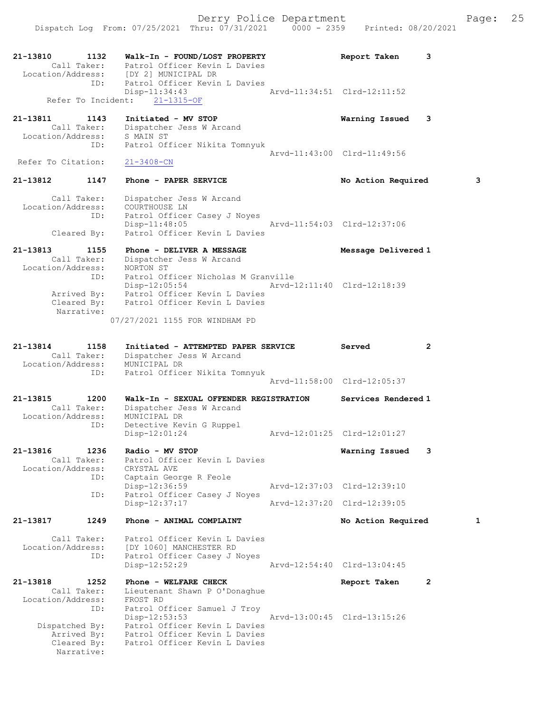21-13810 1132 Walk-In - FOUND/LOST PROPERTY Report Taken 3 Call Taker: Patrol Officer Kevin L Davies Location/Address: [DY 2] MUNICIPAL DR ID: Patrol Officer Kevin L Davies Disp-11:34:43<br>  $\text{Arvd-11:34:51 } \text{Clrd-12:11:52}$ Refer To Incident: 21-1315-OF 21-13811 1143 Initiated - MV STOP Warning Issued 3 Call Taker: Dispatcher Jess W Arcand Location/Address: S MAIN ST ID: Patrol Officer Nikita Tomnyuk Arvd-11:43:00 Clrd-11:49:56 Refer To Citation: 21-3408-CN 21-13812 1147 Phone - PAPER SERVICE No Action Required 3 Call Taker: Dispatcher Jess W Arcand Location/Address: COURTHOUSE LN ID: Patrol Officer Casey J Noyes Disp-11:48:05 Arvd-11:54:03 Clrd-12:37:06 Cleared By: Patrol Officer Kevin L Davies 21-13813 1155 Phone - DELIVER A MESSAGE Nessage Delivered 1 Call Taker: Dispatcher Jess W Arcand Location/Address: NORTON ST ID: Patrol Officer Nicholas M Granville Disp-12:05:54 Arvd-12:11:40 Clrd-12:18:39 Arrived By: Patrol Officer Kevin L Davies Cleared By: Patrol Officer Kevin L Davies Narrative: 07/27/2021 1155 FOR WINDHAM PD 21-13814 1158 Initiated - ATTEMPTED PAPER SERVICE Served 2 Call Taker: Dispatcher Jess W Arcand Location/Address: MUNICIPAL DR ID: Patrol Officer Nikita Tomnyuk Arvd-11:58:00 Clrd-12:05:37 21-13815 1200 Walk-In - SEXUAL OFFENDER REGISTRATION Services Rendered 1 Call Taker: Dispatcher Jess W Arcand Location/Address: MUNICIPAL DR ID: Detective Kevin G Ruppel Disp-12:01:24 Arvd-12:01:25 Clrd-12:01:27 21-13816 1236 Radio - MV STOP Warning Issued 3 Call Taker: Patrol Officer Kevin L Davies Location/Address: CRYSTAL AVE ID: Captain George R Feole Disp-12:36:59 Arvd-12:37:03 Clrd-12:39:10 ID: Patrol Officer Casey J Noyes<br>Disp-12:37:17 Disp-12:37:17 Arvd-12:37:20 Clrd-12:39:05 21-13817 1249 Phone - ANIMAL COMPLAINT No Action Required 1 Call Taker: Patrol Officer Kevin L Davies Location/Address: [DY 1060] MANCHESTER RD ID: Patrol Officer Casey J Noyes<br>Disp-12:52:29  $\frac{1}{2}$  u noyes<br>Arvd-12:54:40 Clrd-13:04:45 21-13818 1252 Phone - WELFARE CHECK Report Taken 2 Call Taker: Lieutenant Shawn P O'Donaghue Location/Address: FROST RD ID: Patrol Officer Samuel J Troy Disp-12:53:53 Arvd-13:00:45 Clrd-13:15:26 Dispatched By: Patrol Officer Kevin L Davies Arrived By: Patrol Officer Kevin L Davies Cleared By: Patrol Officer Kevin L Davies Narrative: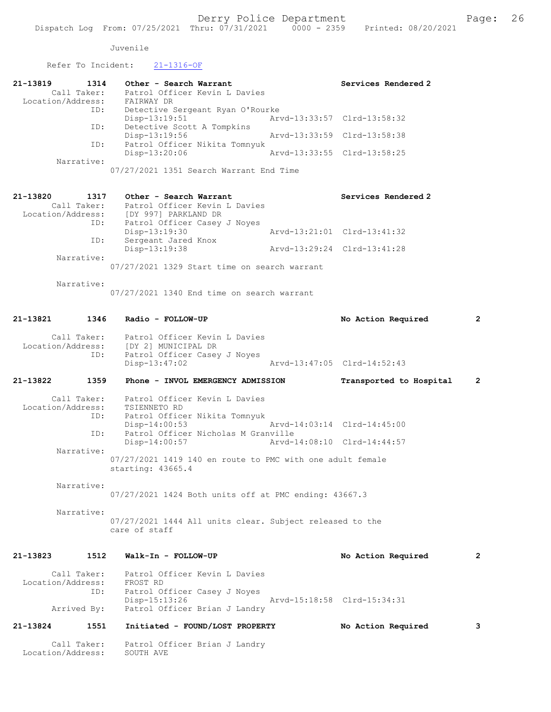## Juvenile

Refer To Incident: 21-1316-OF

| INCICI IO INCIQUING.                             | $2 + 10 + 0$                                                                                                       |                             |                             |                |
|--------------------------------------------------|--------------------------------------------------------------------------------------------------------------------|-----------------------------|-----------------------------|----------------|
| 21-13819<br>1314<br>Location/Address: FAIRWAY DR | Other - Search Warrant<br>Call Taker: Patrol Officer Kevin L Davies                                                |                             | Services Rendered 2         |                |
| ID:                                              | Detective Sergeant Ryan O'Rourke                                                                                   |                             |                             |                |
| ID:                                              | $Disp-13:19:51$<br>Detective Scott A Tompkins                                                                      |                             | Arvd-13:33:57 Clrd-13:58:32 |                |
| ID:                                              | $Disp-13:19:56$<br>Patrol Officer Nikita Tomnyuk                                                                   | Arvd-13:33:59 Clrd-13:58:38 |                             |                |
| Narrative:                                       | Disp-13:20:06                                                                                                      |                             | Arvd-13:33:55 Clrd-13:58:25 |                |
|                                                  | 07/27/2021 1351 Search Warrant End Time                                                                            |                             |                             |                |
| 21-13820<br>1317                                 | Other - Search Warrant<br>Call Taker: Patrol Officer Kevin L Davies                                                |                             | Services Rendered 2         |                |
|                                                  | Location/Address: [DY 997] PARKLAND DR                                                                             |                             |                             |                |
| ID:                                              | Patrol Officer Casey J Noyes<br>Disp-13:19:30                                                                      |                             | Arvd-13:21:01 Clrd-13:41:32 |                |
| ID:                                              | Sergeant Jared Knox<br>Disp-13:19:38                                                                               |                             | Arvd-13:29:24 Clrd-13:41:28 |                |
| Narrative:                                       | 07/27/2021 1329 Start time on search warrant                                                                       |                             |                             |                |
| Narrative:                                       |                                                                                                                    |                             |                             |                |
|                                                  | 07/27/2021 1340 End time on search warrant                                                                         |                             |                             |                |
|                                                  | 21-13821 1346 Radio - FOLLOW-UP                                                                                    |                             | No Action Required          | $\overline{2}$ |
| ID:                                              | Call Taker: Patrol Officer Kevin L Davies<br>Location/Address: [DY 2] MUNICIPAL DR<br>Patrol Officer Casey J Noyes |                             |                             |                |
|                                                  | Disp-13:47:02                                                                                                      |                             | Arvd-13:47:05 Clrd-14:52:43 |                |
| 21-13822<br>1359                                 | Phone - INVOL EMERGENCY ADMISSION                                                                                  |                             | Transported to Hospital     | 2              |
| Location/Address:<br>Iocation/Address:<br>ID:    | Call Taker: Patrol Officer Kevin L Davies<br>TSIENNETO RD                                                          |                             |                             |                |
|                                                  | Patrol Officer Nikita Tomnyuk<br>$Disp-14:00:53$                                                                   |                             | Arvd-14:03:14 Clrd-14:45:00 |                |
| ID:                                              | Patrol Officer Nicholas M Granville<br>$Disp-14:00:57$                                                             |                             | Arvd-14:08:10 Clrd-14:44:57 |                |
| Narrative:                                       | 07/27/2021 1419 140 en route to PMC with one adult female<br>starting: 43665.4                                     |                             |                             |                |
| Narrative:                                       | 07/27/2021 1424 Both units off at PMC ending: 43667.3                                                              |                             |                             |                |
| Narrative:                                       | 07/27/2021 1444 All units clear. Subject released to the<br>care of staff                                          |                             |                             |                |
| 1512<br>21-13823                                 | Walk-In - FOLLOW-UP                                                                                                |                             | No Action Required          | 2              |
| Call Taker:<br>Location/Address:                 | Patrol Officer Kevin L Davies<br>FROST RD                                                                          |                             |                             |                |
| ID:                                              | Patrol Officer Casey J Noyes<br>Disp-15:13:26                                                                      |                             | Arvd-15:18:58 Clrd-15:34:31 |                |

21-13824 1551 Initiated - FOUND/LOST PROPERTY No Action Required 3

Arrived By: Patrol Officer Brian J Landry

Call Taker: Patrol Officer Brian J Landry

Location/Address: SOUTH AVE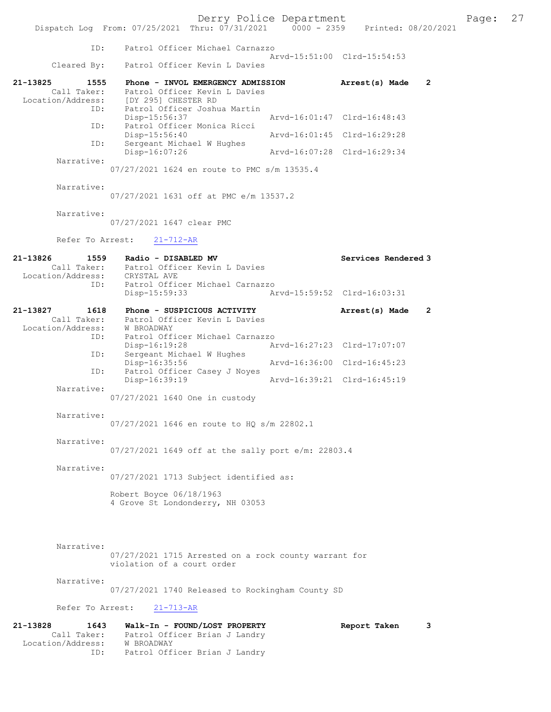Derry Police Department<br>
Page: 27 (17/31/2021 0000 - 2359 Printed: 08/20/2021 Dispatch Log From: 07/25/2021 Thru: 07/31/2021 ID: Patrol Officer Michael Carnazzo Arvd-15:51:00 Clrd-15:54:53<br>Cleared By: Patrol Officer Kevin L Davies Patrol Officer Kevin L Davies 21-13825 1555 Phone - INVOL EMERGENCY ADMISSION Arrest(s) Made 2 Call Taker: Patrol Officer Kevin L Davies<br>Location/Address: [DY 295] CHESTER RD ess: [DY 295] CHESTER RD<br>ID: Patrol Officer Joshu Patrol Officer Joshua Martin<br>Disp-15:56:37 Disp-15:56:37 Arvd-16:01:47 Clrd-16:48:43<br>ID: Patrol Officer Monica Ricci Patrol Officer Monica Ricci Disp-15:56:40 Arvd-16:01:45 Clrd-16:29:28<br>TD: Sergeant Michael W Hughes Sergeant Michael W Hughes<br>Disp-16:07:26 Disp-16:07:26 Arvd-16:07:28 Clrd-16:29:34 Narrative: 07/27/2021 1624 en route to PMC s/m 13535.4 Narrative: 07/27/2021 1631 off at PMC e/m 13537.2 Narrative: 07/27/2021 1647 clear PMC Refer To Arrest: 21-712-AR 21-13826 1559 Radio - DISABLED MV <br>Call Taker: Patrol Officer Kevin L Davies Patrol Officer Kevin L Davies<br>CRYSTAL AVE Location/Address: ID: Patrol Officer Michael Carnazzo Disp-15:59:33 Arvd-15:59:52 Clrd-16:03:31 21-13827 1618 Phone - SUSPICIOUS ACTIVITY Arrest(s) Made 2 Call Taker: Patrol Officer Kevin L Davies<br>ion/Address: W BROADWAY Location/Address:<br>ID: Patrol Officer Michael Carnazzo<br>Disp-16:19:28 A Disp-16:19:28 Arvd-16:27:23 Clrd-17:07:07<br>ID: Sergeant Michael W Hughes Sergeant Michael W Hughes Disp-16:35:56 Arvd-16:36:00 Clrd-16:45:23<br>TD: Patrol Officer Casey J Noves Patrol Officer Casey J Noyes<br>Disp-16:39:19 Disp-16:39:19 Arvd-16:39:21 Clrd-16:45:19 Narrative: 07/27/2021 1640 One in custody Narrative: 07/27/2021 1646 en route to HQ s/m 22802.1 Narrative: 07/27/2021 1649 off at the sally port e/m: 22803.4 Narrative: 07/27/2021 1713 Subject identified as: Robert Boyce 06/18/1963 4 Grove St Londonderry, NH 03053 Narrative: 07/27/2021 1715 Arrested on a rock county warrant for violation of a court order Narrative: 07/27/2021 1740 Released to Rockingham County SD Refer To Arrest: 21-713-AR

21-13828 1643 Walk-In - FOUND/LOST PROPERTY Report Taken 3<br>Call Taker: Patrol Officer Brian J Landry Patrol Officer Brian J Landry Location/Address: W BROADWAY<br>ID: Patrol Off: Patrol Officer Brian J Landry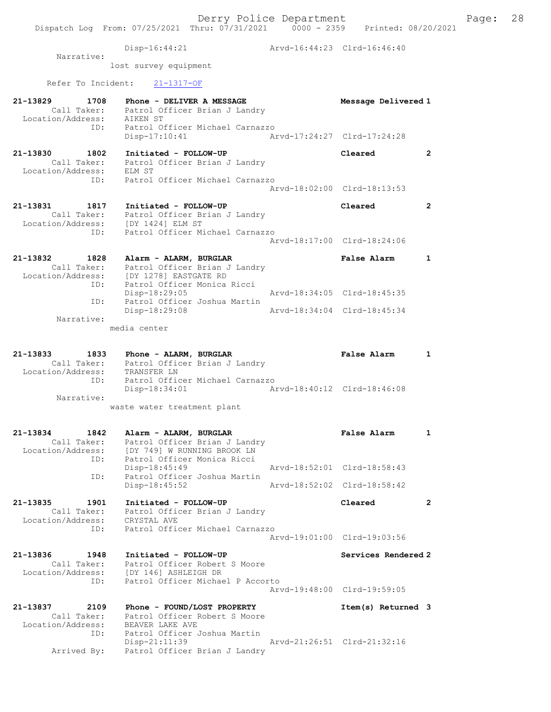#### Disp-16:44:21 Arvd-16:44:23 Clrd-16:46:40

 Narrative: lost survey equipment

# Refer To Incident: 21-1317-OF

| 21-13829<br>1708<br>Call Taker:<br>Location/Address:        | Phone - DELIVER A MESSAGE<br>Patrol Officer Brian J Landry<br>AIKEN ST                                                           | Message Delivered 1                        |                |
|-------------------------------------------------------------|----------------------------------------------------------------------------------------------------------------------------------|--------------------------------------------|----------------|
| ID:                                                         | Patrol Officer Michael Carnazzo<br>Disp-17:10:41                                                                                 | Arvd-17:24:27 Clrd-17:24:28                |                |
| 21-13830<br>1802<br>Call Taker:<br>Location/Address:        | Initiated - FOLLOW-UP<br>Patrol Officer Brian J Landry<br>ELM ST                                                                 | Cleared                                    | $\overline{2}$ |
| ID:                                                         | Patrol Officer Michael Carnazzo                                                                                                  | Arvd-18:02:00 Clrd-18:13:53                |                |
| 21-13831<br>1817<br>Call Taker:<br>Location/Address:        | Initiated - FOLLOW-UP<br>Patrol Officer Brian J Landry<br>[DY 1424] ELM ST                                                       | Cleared                                    | $\overline{2}$ |
| ID:                                                         | Patrol Officer Michael Carnazzo                                                                                                  | Arvd-18:17:00 Clrd-18:24:06                |                |
| 21-13832<br>1828<br>Call Taker:<br>Location/Address:<br>ID: | Alarm - ALARM, BURGLAR<br>Patrol Officer Brian J Landry<br>[DY 1278] EASTGATE RD<br>Patrol Officer Monica Ricci<br>Disp-18:29:05 | False Alarm<br>Arvd-18:34:05 Clrd-18:45:35 | $\mathbf{1}$   |
| ID:                                                         | Patrol Officer Joshua Martin<br>Disp-18:29:08                                                                                    | Aryd-18:34:04 Clrd-18:45:34                |                |
| Narrative:                                                  | media center                                                                                                                     |                                            |                |
| 21-13833<br>1833<br>Call Taker:<br>Location/Address:<br>ID: | Phone - ALARM, BURGLAR<br>Patrol Officer Brian J Landry<br>TRANSFER LN<br>Patrol Officer Michael Carnazzo                        | False Alarm                                | 1              |
| Narrative:                                                  | Disp-18:34:01<br>Arvd-18:40:12 Clrd-18:46:08<br>waste water treatment plant                                                      |                                            |                |
| 21-13834<br>1842<br>Call Taker:<br>Location/Address:<br>ID: | Alarm - ALARM, BURGLAR<br>Patrol Officer Brian J Landry<br>[DY 749] W RUNNING BROOK LN<br>Patrol Officer Monica Ricci            | <b>False Alarm</b>                         | $\mathbf{1}$   |
| ID:                                                         | Disp-18:45:49<br>Patrol Officer Joshua Martin                                                                                    | Arvd-18:52:01 Clrd-18:58:43                |                |
|                                                             | Disp-18:45:52                                                                                                                    | Arvd-18:52:02 Clrd-18:58:42                |                |
| 1901<br>21-13835<br>Call Taker:<br>Location/Address:<br>ID: | Initiated - FOLLOW-UP<br>Patrol Officer Brian J Landry<br>CRYSTAL AVE<br>Patrol Officer Michael Carnazzo                         | Cleared                                    | $\mathbf{2}$   |
|                                                             |                                                                                                                                  | Arvd-19:01:00 Clrd-19:03:56                |                |
| 21-13836<br>1948<br>Call Taker:<br>Location/Address:<br>ID: | Initiated - FOLLOW-UP<br>Patrol Officer Robert S Moore<br>[DY 146] ASHLEIGH DR<br>Patrol Officer Michael P Accorto               | Services Rendered 2                        |                |
|                                                             |                                                                                                                                  | Arvd-19:48:00 Clrd-19:59:05                |                |
| 21-13837<br>2109<br>Call Taker:<br>Location/Address:<br>ID: | Phone - FOUND/LOST PROPERTY<br>Patrol Officer Robert S Moore<br>BEAVER LAKE AVE<br>Patrol Officer Joshua Martin                  | Item(s) Returned 3                         |                |
| Arrived By:                                                 | $Disp-21:11:39$<br>Patrol Officer Brian J Landry                                                                                 | Arvd-21:26:51 Clrd-21:32:16                |                |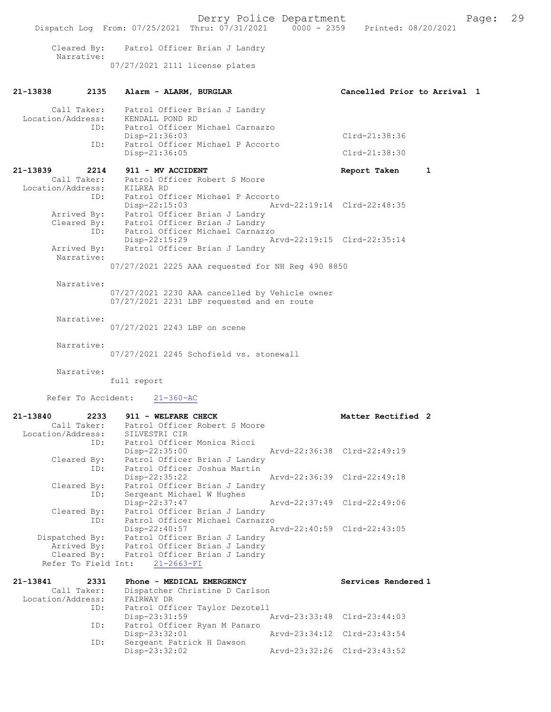Derry Police Department The Page: 29 Dispatch Log From: 07/25/2021 Thru: 07/31/2021 0000 - 2359 Printed: 08/20/2021 Cleared By: Patrol Officer Brian J Landry Narrative: 07/27/2021 2111 license plates 21-13838 2135 Alarm - ALARM, BURGLAR Cancelled Prior to Arrival 1 Call Taker: Patrol Officer Brian J Landry Location/Address: KENDALL POND RD ID: Patrol Officer Michael Carnazzo Disp-21:36:03 Clrd-21:38:36<br>ID: Patrol Officer Michael P Accorto Patrol Officer Michael P Accorto Disp-21:36:05 Clrd-21:38:30 21-13839 2214 911 - MV ACCIDENT Report Taken 1 Call Taker: Patrol Officer Robert S Moore Location/Address: KILREA RD ID: Patrol Officer Michael P Accorto Disp-22:15:03 Arvd-22:19:14 Clrd-22:48:35 Arrived By: Patrol Officer Brian J Landry Cleared By: Patrol Officer Brian J Landry ID: Patrol Officer Michael Carnazzo Disp-22:15:29 Arvd-22:19:15 Clrd-22:35:14<br>Arrived By: Patrol Officer Brian J Landry Patrol Officer Brian J Landry Narrative: 07/27/2021 2225 AAA requested for NH Reg 490 8850 Narrative: 07/27/2021 2230 AAA cancelled by Vehicle owner 07/27/2021 2231 LBP requested and en route Narrative: 07/27/2021 2243 LBP on scene Narrative: 07/27/2021 2245 Schofield vs. stonewall Narrative: full report Refer To Accident: 21-360-AC 21-13840 2233 911 - WELFARE CHECK Matter Rectified 2 Call Taker: Patrol Officer Robert S Moore Location/Address: SILVESTRI CIR ID: Patrol Officer Monica Ricci Disp-22:35:00 Arvd-22:36:38 Clrd-22:49:19 Cleared By: Patrol Officer Brian J Landry ID: Patrol Officer Joshua Martin Disp-22:35:22 Arvd-22:36:39 Clrd-22:49:18 Cleared By: Patrol Officer Brian J Landry ID: Sergeant Michael W Hughes Disp-22:37:47 Arvd-22:37:49 Clrd-22:49:06 Cleared By: Patrol Officer Brian J Landry ID: Patrol Officer Michael Carnazzo Disp-22:40:57 Arvd-22:40:59 Clrd-22:43:05 Dispatched By: Patrol Officer Brian J Landry Arrived By: Patrol Officer Brian J Landry Cleared By: Patrol Officer Brian J Landry Refer To Field Int: 21-2663-FI 21-13841 2331 Phone - MEDICAL EMERGENCY Services Rendered 1 Call Taker: Dispatcher Christine D Carlson<br>ion/Address: FAIRWAY DR Location/Address:<br>ID: Patrol Officer Taylor Dezotell<br>Disp-23:31:59 Disp-23:31:59 Arvd-23:33:48 Clrd-23:44:03<br>ID: Patrol Officer Ryan M Panaro Patrol Officer Ryan M Panaro<br>Disp-23:32:01 Disp-23:32:01 Arvd-23:34:12 Clrd-23:43:54<br>TD: Sergeant Patrick H Dawson Sergeant Patrick H Dawson<br>Disp-23:32:02 Disp-23:32:02 Arvd-23:32:26 Clrd-23:43:52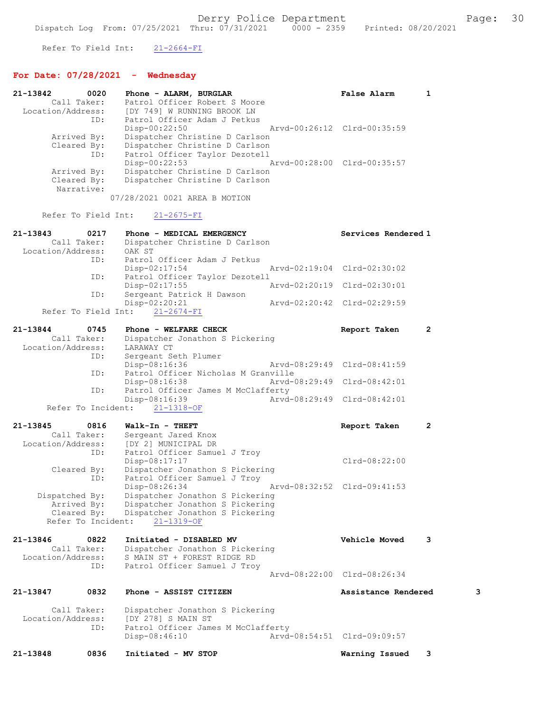Refer To Field Int: 21-2664-FI

 Location/Address: S MAIN ST + FOREST RIDGE RD ID: Patrol Officer Samuel J Troy

## For Date: 07/28/2021 - Wednesday

| 21-13842<br>Location/Address: | 0020<br>Call Taker:<br>ID:               | Phone - ALARM, BURGLAR<br>Patrol Officer Robert S Moore<br>IDY 7491 W RUNNING BROOK LN<br>Patrol Officer Adam J Petkus | False Alarm                 | 1                    |
|-------------------------------|------------------------------------------|------------------------------------------------------------------------------------------------------------------------|-----------------------------|----------------------|
|                               | Arrived By:<br>Cleared By:<br>ID:        | Disp-00:22:50<br>Dispatcher Christine D Carlson<br>Dispatcher Christine D Carlson<br>Patrol Officer Taylor Dezotell    | Arvd-00:26:12 Clrd-00:35:59 |                      |
|                               | Arrived By:<br>Cleared By:<br>Narrative: | Disp-00:22:53<br>Dispatcher Christine D Carlson<br>Dispatcher Christine D Carlson                                      | Arvd-00:28:00 Clrd-00:35:57 |                      |
|                               |                                          | 07/28/2021 0021 AREA B MOTION                                                                                          |                             |                      |
|                               | Refer To Field Int:                      | $21 - 2675 - FI$                                                                                                       |                             |                      |
| 21-13843<br>Location/Address: | 0217<br>Call Taker:                      | Phone - MEDICAL EMERGENCY<br>Dispatcher Christine D Carlson<br>OAK ST                                                  | Services Rendered 1         |                      |
|                               | ID:<br>ID:                               | Patrol Officer Adam J Petkus<br>$Disp-02:17:54$<br>Patrol Officer Taylor Dezotell                                      | Arvd-02:19:04 Clrd-02:30:02 |                      |
|                               |                                          | Disp-02:17:55                                                                                                          | Arvd-02:20:19 Clrd-02:30:01 |                      |
|                               | ID:                                      | Sergeant Patrick H Dawson<br>Disp-02:20:21                                                                             | Arvd-02:20:42 Clrd-02:29:59 |                      |
|                               | Refer To Field Int:                      | $21 - 2674 - FI$                                                                                                       |                             |                      |
| 21-13844                      | 0745                                     | Phone - WELFARE CHECK                                                                                                  | Report Taken                | $\overline{2}$       |
| Location/Address:             | Call Taker:                              | Dispatcher Jonathon S Pickering<br>LARAWAY CT                                                                          |                             |                      |
|                               | ID:                                      | Sergeant Seth Plumer                                                                                                   |                             |                      |
|                               |                                          | Disp-08:16:36                                                                                                          | Arvd-08:29:49 Clrd-08:41:59 |                      |
|                               | ID:                                      | Patrol Officer Nicholas M Granville<br>Arvd-08:29:49<br>$Disp-08:16:38$                                                | Clrd-08:42:01               |                      |
|                               | ID:                                      | Patrol Officer James M McClafferty                                                                                     |                             |                      |
|                               |                                          | Disp-08:16:39                                                                                                          | Arvd-08:29:49 Clrd-08:42:01 |                      |
|                               | Refer To Incident:                       | $21 - 1318 - OF$                                                                                                       |                             |                      |
| 21-13845                      | 0816                                     | Walk-In - THEFT                                                                                                        | Report Taken                | $\mathbf{2}^{\circ}$ |
|                               | Call Taker:                              | Sergeant Jared Knox                                                                                                    |                             |                      |
| Location/Address:             |                                          | [DY 2] MUNICIPAL DR                                                                                                    |                             |                      |
|                               | ID:                                      | Patrol Officer Samuel J Troy<br>Disp-08:17:17                                                                          | Clrd-08:22:00               |                      |
|                               | Cleared By:                              | Dispatcher Jonathon S Pickering                                                                                        |                             |                      |
|                               | ID:                                      | Patrol Officer Samuel J Troy                                                                                           |                             |                      |
|                               |                                          | Disp-08:26:34                                                                                                          | Arvd-08:32:52 Clrd-09:41:53 |                      |
| Dispatched By:                |                                          | Dispatcher Jonathon S Pickering                                                                                        |                             |                      |
|                               | Arrived By:                              | Dispatcher Jonathon S Pickering                                                                                        |                             |                      |
|                               | Cleared By:<br>Refer To Incident:        | Dispatcher Jonathon S Pickering<br>$21 - 1319 - OF$                                                                    |                             |                      |
| 21-13846                      | 0822                                     | Initiated - DISABLED MV                                                                                                | Vehicle Moved               | 3                    |
|                               | Call Taker:                              | Dispatcher Jonathon S Pickering                                                                                        |                             |                      |
|                               |                                          |                                                                                                                        |                             |                      |

Arvd-08:22:00 Clrd-08:26:34

21-13847 0832 Phone - ASSIST CITIZEN Assistance Rendered 3 Call Taker: Dispatcher Jonathon S Pickering Location/Address: [DY 278] S MAIN ST ID: Patrol Officer James M McClafferty<br>Disp-08:46:10 Arvd Disp-08:46:10 Arvd-08:54:51 Clrd-09:09:57

21-13848 0836 Initiated - MV STOP Warning Issued 3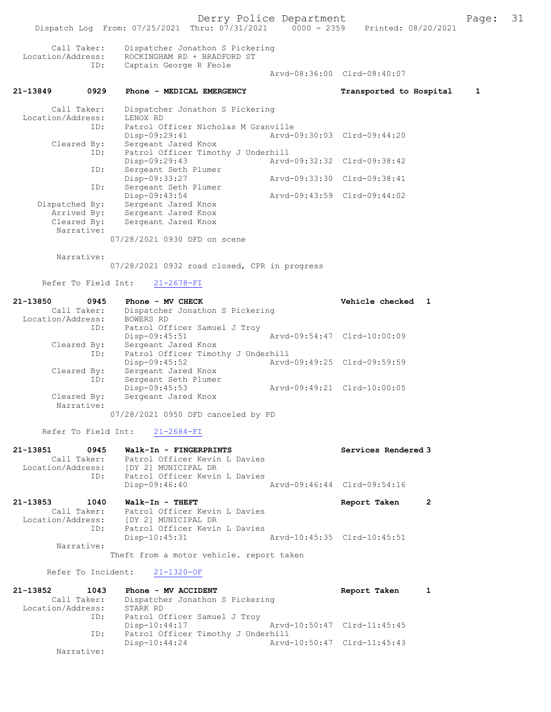Derry Police Department Page: 31 Dispatch Log From: 07/25/2021 Thru: 07/31/2021 Call Taker: Dispatcher Jonathon S Pickering Location/Address: ROCKINGHAM RD + BRADFORD ST<br>TD: Captain George R Feole Captain George R Feole Arvd-08:36:00 Clrd-08:40:07 21-13849 0929 Phone - MEDICAL EMERGENCY Transported to Hospital 1 Call Taker: Dispatcher Jonathon S Pickering Location/Address: LENOX RD ID: Patrol Officer Nicholas M Granville Disp-09:29:41 Arvd-09:30:03 Clrd-09:44:20<br>Cleared By: Sergeant Jared Knox By: Sergeant Jared Knox<br>ID: Patrol Officer Timotl Patrol Officer Timothy J Underhill<br>Disp-09:29:43 Arvd Disp-09:29:43 Arvd-09:32:32 Clrd-09:38:42 ID: Sergeant Seth Plumer<br>Disp-09:33:27 Disp-09:33:27 Arvd-09:33:30 Clrd-09:38:41 ID: Sergeant Seth Plumer<br>Disp-09:43:54 Disp-09:43:54 Arvd-09:43:59 Clrd-09:44:02<br>Dispatched By: Sergeant Jared Knox Dispatched By: Sergeant Jared Knox Arrived By: Sergeant Jared Knox Cleared By: Sergeant Jared Knox Narrative: 07/28/2021 0930 DFD on scene Narrative: 07/28/2021 0932 road closed, CPR in progress

Refer To Field Int: 21-2678-FI

| 21-13850          | 0945                      | Phone - MV CHECK                   | Vehicle checked             |  |
|-------------------|---------------------------|------------------------------------|-----------------------------|--|
| Call Taker:       |                           | Dispatcher Jonathon S Pickering    |                             |  |
| Location/Address: |                           | BOWERS RD                          |                             |  |
|                   | ID:                       | Patrol Officer Samuel J Troy       |                             |  |
|                   |                           | $Disp-09:45:51$                    | Arvd-09:54:47 Clrd-10:00:09 |  |
|                   | Cleared By:               | Sergeant Jared Knox                |                             |  |
| ID:               |                           | Patrol Officer Timothy J Underhill |                             |  |
|                   |                           | $Disp-09:45:52$                    | Arvd-09:49:25 Clrd-09:59:59 |  |
|                   | Cleared By:               | Sergeant Jared Knox                |                             |  |
|                   | ID:                       | Sergeant Seth Plumer               |                             |  |
|                   |                           | $Disp-09:45:53$                    | Arvd-09:49:21 Clrd-10:00:05 |  |
|                   | Cleared By:<br>Narrative: | Sergeant Jared Knox                |                             |  |

07/28/2021 0950 DFD canceled by PD

Refer To Field Int: 21-2684-FI

| Location/Address: | ID:  | Patrol Officer Kevin L Davies<br>[DY 2] MUNICIPAL DR<br>Patrol Officer Kevin L Davies<br>Disp-09:46:40 | Aryd-09:46:44 Clrd-09:54:16 |  |
|-------------------|------|--------------------------------------------------------------------------------------------------------|-----------------------------|--|
| 21-13853          | 1040 | Walk-In - THEFT                                                                                        | Report Taken                |  |

Disp-10:45:31 Arvd-10:45:35 Clrd-10:45:51

Call Taker: Patrol Officer Kevin L Davies<br>Location/Address: [DY 2] MUNICIPAL DR ess: [DY 2] MUNICIPAL DR<br>ID: Patrol Officer Kevin

Narrative:

Theft from a motor vehicle. report taken

Patrol Officer Kevin L Davies<br>Disp-10:45:31

#### Refer To Incident: 21-1320-OF

| 21-13852          | 1043        | Phone - MV ACCIDENT                |                             | Report Taken |  |
|-------------------|-------------|------------------------------------|-----------------------------|--------------|--|
|                   | Call Taker: | Dispatcher Jonathon S Pickering    |                             |              |  |
| Location/Address: |             | STARK RD                           |                             |              |  |
|                   | ID:         | Patrol Officer Samuel J Troy       |                             |              |  |
|                   |             | $Disp-10:44:17$                    | Arvd-10:50:47 Clrd-11:45:45 |              |  |
|                   | ID:         | Patrol Officer Timothy J Underhill |                             |              |  |
|                   |             | $Disp-10:44:24$                    | Arvd-10:50:47 Clrd-11:45:43 |              |  |
|                   | Narrative:  |                                    |                             |              |  |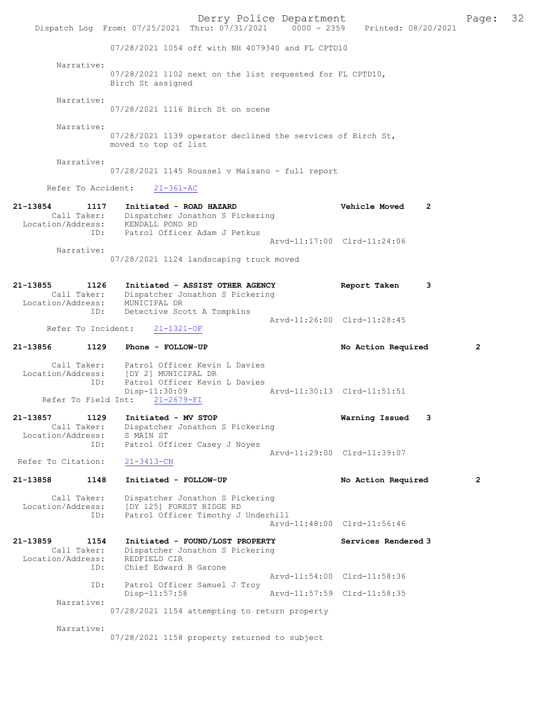Derry Police Department Fage: 32 Dispatch Log From: 07/25/2021 Thru: 07/31/2021 0000 - 2359 Printed: 08/20/2021 07/28/2021 1054 off with NH 4079340 and FL CPTD10 Narrative: 07/28/2021 1102 next on the list requested for FL CPTD10, Birch St assigned Narrative: 07/28/2021 1116 Birch St on scene Narrative: 07/28/2021 1139 operator declined the services of Birch St, moved to top of list Narrative: 07/28/2021 1145 Roussel v Maisano - full report Refer To Accident: 21-361-AC 21-13854 1117 Initiated - ROAD HAZARD Vehicle Moved 2 Call Taker: Dispatcher Jonathon S Pickering Location/Address: KENDALL POND RD ID: Patrol Officer Adam J Petkus Arvd-11:17:00 Clrd-11:24:06 Narrative: 07/28/2021 1124 landscaping truck moved 21-13855 1126 Initiated - ASSIST OTHER AGENCY Report Taken 3 Call Taker: Dispatcher Jonathon S Pickering Location/Address: MUNICIPAL DR ID: Detective Scott A Tompkins Arvd-11:26:00 Clrd-11:28:45<br>21-1321-OF Refer To Incident: 21-13856 1129 Phone - FOLLOW-UP No Action Required 2 Call Taker: Patrol Officer Kevin L Davies Location/Address: [DY 2] MUNICIPAL DR ID: Patrol Officer Kevin L Davies<br>Disp-11:30:09 Disp-11:30:09 Arvd-11:30:13 Clrd-11:51:51 Refer To Field Int: 21-2679-FI 21-13857 1129 Initiated - MV STOP Warning Issued 3 Call Taker: Dispatcher Jonathon S Pickering Location/Address: S MAIN ST ID: Patrol Officer Casey J Noyes Arvd-11:29:00 Clrd-11:39:07 Refer To Citation: 21-3413-CN 21-13858 1148 Initiated - FOLLOW-UP No Action Required 2 Call Taker: Dispatcher Jonathon S Pickering Location/Address: [DY 125] FOREST RIDGE RD ID: Patrol Officer Timothy J Underhill Arvd-11:48:00 Clrd-11:56:46 21-13859 1154 Initiated - FOUND/LOST PROPERTY Services Rendered 3 Call Taker: Dispatcher Jonathon S Pickering Location/Address: REDFIELD CIR ID: Chief Edward B Garone Arvd-11:54:00 Clrd-11:58:36 ID: Patrol Officer Samuel J Troy<br>Disp-11:57:58 Arvd-11:57:59 Clrd-11:58:35 Narrative: 07/28/2021 1154 attempting to return property Narrative: 07/28/2021 1158 property returned to subject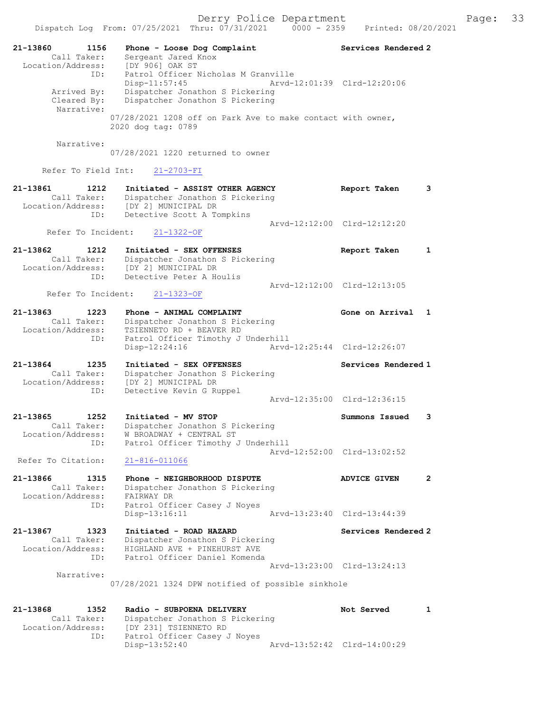21-13860 1156 Phone - Loose Dog Complaint Services Rendered 2 Call Taker: Sergeant Jared Knox Location/Address: [DY 906] OAK ST ID: Patrol Officer Nicholas M Granville Disp-11:57:45 Arvd-12:01:39 Clrd-12:20:06 Arrived By: Dispatcher Jonathon S Pickering Cleared By: Dispatcher Jonathon S Pickering Narrative: 07/28/2021 1208 off on Park Ave to make contact with owner, 2020 dog tag: 0789 Narrative: 07/28/2021 1220 returned to owner Refer To Field Int: 21-2703-FI 21-13861 1212 Initiated - ASSIST OTHER AGENCY Report Taken 3 Call Taker: Dispatcher Jonathon S Pickering Location/Address: [DY 2] MUNICIPAL DR ID: Detective Scott A Tompkins Arvd-12:12:00 Clrd-12:12:20 Refer To Incident: 21-1322-OF 21-13862 1212 Initiated - SEX OFFENSES Report Taken 1 Call Taker: Dispatcher Jonathon S Pickering Location/Address: [DY 2] MUNICIPAL DR ID: Detective Peter A Houlis Arvd-12:12:00 Clrd-12:13:05 Refer To Incident: 21-1323-OF 21-13863 1223 Phone - ANIMAL COMPLAINT COMERCLE Rome on Arrival 1 Call Taker: Dispatcher Jonathon S Pickering Location/Address: TSIENNETO RD + BEAVER RD ID: Patrol Officer Timothy J Underhill Disp-12:24:16 Arvd-12:25:44 Clrd-12:26:07 21-13864 1235 Initiated - SEX OFFENSES Services Rendered 1 Call Taker: Dispatcher Jonathon S Pickering Location/Address: [DY 2] MUNICIPAL DR ID: Detective Kevin G Ruppel Arvd-12:35:00 Clrd-12:36:15 21-13865 1252 Initiated - MV STOP Summons Issued 3 Call Taker: Dispatcher Jonathon S Pickering Location/Address: W BROADWAY + CENTRAL ST ID: Patrol Officer Timothy J Underhill Arvd-12:52:00 Clrd-13:02:52 Refer To Citation: 21-816-011066 21-13866 1315 Phone - NEIGHBORHOOD DISPUTE ADVICE GIVEN 2 Call Taker: Dispatcher Jonathon S Pickering Location/Address: FAIRWAY DR ID: Patrol Officer Casey J Noyes<br>Disp-13:16:11 Arvd-13:23:40 Clrd-13:44:39  $Disp-13:16:11$ 21-13867 1323 Initiated - ROAD HAZARD 1988 Services Rendered 2 Call Taker: Dispatcher Jonathon S Pickering Location/Address: HIGHLAND AVE + PINEHURST AVE ID: Patrol Officer Daniel Komenda Arvd-13:23:00 Clrd-13:24:13 Narrative: 07/28/2021 1324 DPW notified of possible sinkhole 21-13868 1352 Radio - SUBPOENA DELIVERY Not Served 1 Call Taker: Dispatcher Jonathon S Pickering Location/Address: [DY 231] TSIENNETO RD ID: Patrol Officer Casey J Noyes

Disp-13:52:40 Arvd-13:52:42 Clrd-14:00:29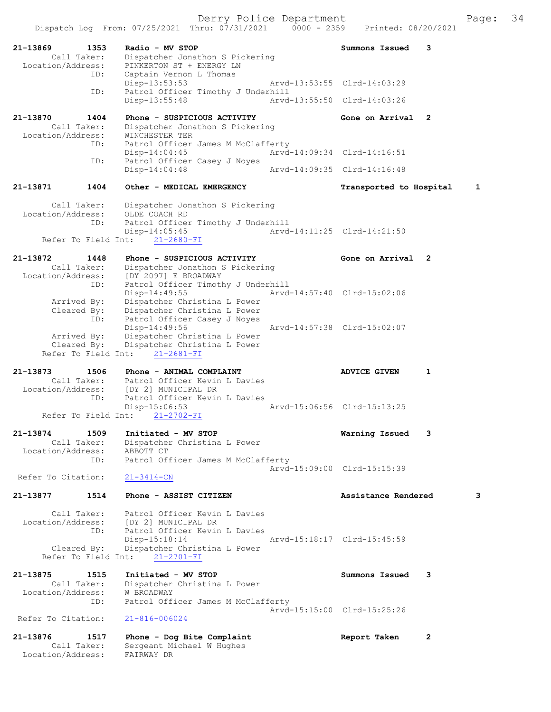Derry Police Department Fage: 34

Dispatch Log From: 07/25/2021 Thru: 07/31/2021 0000 - 2359 Printed: 08/20/2021

21-13869 1353 Radio - MV STOP Summons Issued 3 Call Taker: Dispatcher Jonathon S Pickering Location/Address: PINKERTON ST + ENERGY LN ID: Captain Vernon L Thomas Disp-13:53:53 Arvd-13:53:55 Clrd-14:03:29 ID: Patrol Officer Timothy J Underhill<br>Disp-13:55:48 Arvd- Disp-13:55:48 Arvd-13:55:50 Clrd-14:03:26 21-13870 1404 Phone - SUSPICIOUS ACTIVITY Gone on Arrival 2 Call Taker: Dispatcher Jonathon S Pickering Location/Address: WINCHESTER TER ID: Patrol Officer James M McClafferty Disp-14:04:45 Arvd-14:09:34 Clrd-14:16:51<br>ID: Patrol Officer Casey J Noves Patrol Officer Casey J Noyes Disp-14:04:48 Arvd-14:09:35 Clrd-14:16:48 21-13871 1404 Other - MEDICAL EMERGENCY Transported to Hospital 1 Call Taker: Dispatcher Jonathon S Pickering<br>ion/Address: OLDE COACH RD Location/Address:<br>
ID: Patrol Officer Timothy J Underhill<br>Disp-14:05:45 Arvd Arvd-14:11:25 Clrd-14:21:50 Refer To Field Int: 21-2680-FI 21-13872 1448 Phone - SUSPICIOUS ACTIVITY Gone on Arrival 2 Call Taker: Dispatcher Jonathon S Pickering Location/Address: [DY 2097] E BROADWAY ID: Patrol Officer Timothy J Underhill Disp-14:49:55 Arvd-14:57:40 Clrd-15:02:06 Arrived By: Dispatcher Christina L Power Cleared By: Dispatcher Christina L Power ID: Patrol Officer Casey J Noyes Disp-14:49:56 Arvd-14:57:38 Clrd-15:02:07 Arrived By: Dispatcher Christina L Power Cleared By: Dispatcher Christina L Power Refer To Field Int: 21-2681-FI 21-13873 1506 Phone - ANIMAL COMPLAINT ADVICE GIVEN 1 Call Taker: Patrol Officer Kevin L Davies<br>Location/Address: [DY 2] MUNICIPAL DR Location/Address: [DY 2] MUNICIPAL DR ID: Patrol Officer Kevin L Davies Disp-15:06:53 Arvd-15:06:56 Clrd-15:13:25 Refer To Field Int: 21-2702-FI 21-13874 1509 Initiated - MV STOP Warning Issued 3 Call Taker: Dispatcher Christina L Power Location/Address: ABBOTT CT ID: Patrol Officer James M McClafferty Arvd-15:09:00 Clrd-15:15:39<br>21-3414-CN Refer To Citation: 21-13877 1514 Phone - ASSIST CITIZEN Assistance Rendered 3 Call Taker: Patrol Officer Kevin L Davies Location/Address: [DY 2] MUNICIPAL DR ID: Patrol Officer Kevin L Davies Disp-15:18:14 Arvd-15:18:17 Clrd-15:45:59 Cleared By: Dispatcher Christina L Power Refer To Field Int: 21-2701-FI 21-13875 1515 Initiated - MV STOP Summons Issued 3 Call Taker: Dispatcher Christina L Power Location/Address: W BROADWAY ID: Patrol Officer James M McClafferty Arvd-15:15:00 Clrd-15:25:26 Refer To Citation: 21-816-006024 21-13876 1517 Phone - Dog Bite Complaint 1987 Report Taken 2 Call Taker: Sergeant Michael W Hughes Location/Address: FAIRWAY DR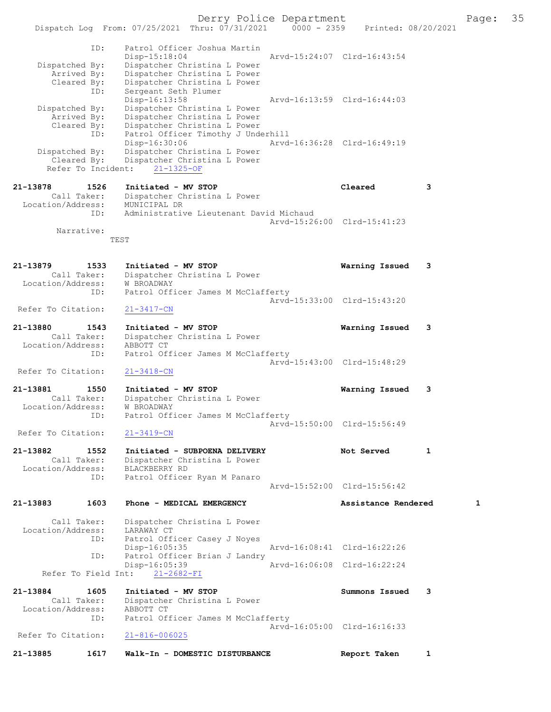Derry Police Department The Page: 35

Dispatch Log From: 07/25/2021 Thru: 07/31/2021 0000 - 2359 Printed: 08/20/2021 ID: Patrol Officer Joshua Martin Disp-15:18:04 Arvd-15:24:07 Clrd-16:43:54 Dispatched By: Dispatcher Christina L Power Arrived By: Dispatcher Christina L Power Cleared By: Dispatcher Christina L Power ID: Sergeant Seth Plumer Disp-16:13:58 Arvd-16:13:59 Clrd-16:44:03 Dispatched By: Dispatcher Christina L Power Arrived By: Dispatcher Christina L Power Cleared By: Dispatcher Christina L Power ID: Patrol Officer Timothy J Underhill Disp-16:30:06 Arvd-16:36:28 Clrd-16:49:19 Dispatched By: Dispatcher Christina L Power Cleared By: Dispatcher Christina L Power Refer To Incident: 21-1325-OF 21-13878 1526 Initiated - MV STOP Cleared 3 Call Taker: Dispatcher Christina L Power Location/Address: MUNICIPAL DR ID: Administrative Lieutenant David Michaud Arvd-15:26:00 Clrd-15:41:23 Narrative: TEST 21-13879 1533 Initiated - MV STOP Warning Issued 3 Call Taker: Dispatcher Christina L Power Location/Address: W BROADWAY ID: Patrol Officer James M McClafferty Arvd-15:33:00 Clrd-15:43:20 Refer To Citation: 21-3417-CN 21-13880 1543 Initiated - MV STOP Warning Issued 3 Call Taker: Dispatcher Christina L Power Location/Address: ABBOTT CT ID: Patrol Officer James M McClafferty Arvd-15:43:00 Clrd-15:48:29 Refer To Citation: 21-3418-CN 21-13881 1550 Initiated - MV STOP Warning Issued 3 Call Taker: Dispatcher Christina L Power Location/Address: W BROADWAY ID: Patrol Officer James M McClafferty Arvd-15:50:00 Clrd-15:56:49 Refer To Citation: 21-3419-CN 21-13882 1552 Initiated - SUBPOENA DELIVERY 1 Not Served 1 Call Taker: Dispatcher Christina L Power Location/Address: BLACKBERRY RD ID: Patrol Officer Ryan M Panaro Arvd-15:52:00 Clrd-15:56:42 21-13883 1603 Phone - MEDICAL EMERGENCY Assistance Rendered 1 Call Taker: Dispatcher Christina L Power Location/Address: LARAWAY CT<br>TD: Patrol Offi Patrol Officer Casey J Noyes Disp-16:05:35 Arvd-16:08:41 Clrd-16:22:26<br>ID: Patrol Officer Brian J Landry Patrol Officer Brian J Landry<br>Disp-16:05:39 Disp-16:05:39 Arvd-16:06:08 Clrd-16:22:24 Refer To Field Int: 21-2682-FI 21-13884 1605 Initiated - MV STOP Summons Issued 3 Call Taker: Dispatcher Christina L Power Location/Address: ABBOTT CT ID: Patrol Officer James M McClafferty Arvd-16:05:00 Clrd-16:16:33<br>21-816-006025 Refer To Citation:

21-13885 1617 Walk-In - DOMESTIC DISTURBANCE Report Taken 1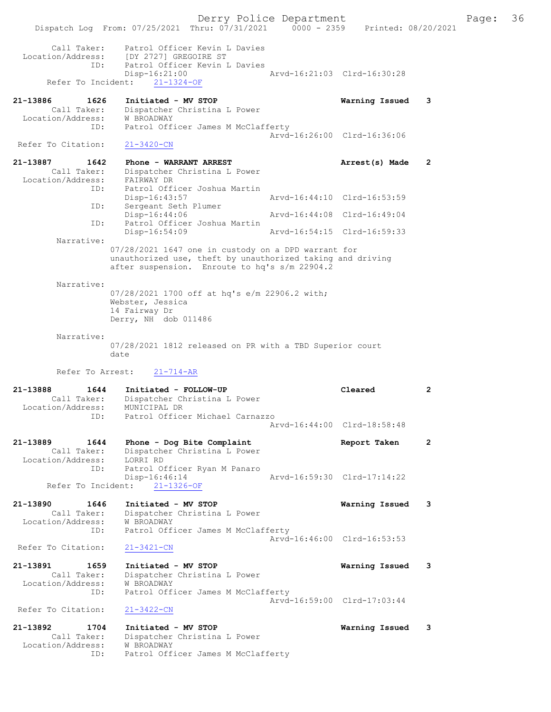Derry Police Department The Page: 36 Dispatch Log From: 07/25/2021 Thru: 07/31/2021 0000 - 2359 Printed: 08/20/2021 Call Taker: Patrol Officer Kevin L Davies Location/Address: [DY 2727] GREGOIRE ST ID: Patrol Officer Kevin L Davies Disp-16:21:00 Arvd-16:21:03 Clrd-16:30:28 Refer To Incident: 21-1324-OF 21-13886 1626 Initiated - MV STOP Warning Issued 3 Call Taker: Dispatcher Christina L Power Location/Address: W BROADWAY ID: Patrol Officer James M McClafferty Arvd-16:26:00 Clrd-16:36:06 Refer To Citation: 21-3420-CN 21-13887 1642 Phone - WARRANT ARREST 21-13887 Arrest(s) Made 2 Call Taker: Dispatcher Christina L Power Location/Address: FAIRWAY DR ID: Patrol Officer Joshua Martin Disp-16:43:57 Arvd-16:44:10 Clrd-16:53:59 ID: Sergeant Seth Plumer<br>Disp-16:44:06 Disp-16:44:06 Arvd-16:44:08 Clrd-16:49:04 ID: Patrol Officer Joshua Martin Arvd-16:54:15 Clrd-16:59:33 Narrative: 07/28/2021 1647 one in custody on a DPD warrant for unauthorized use, theft by unauthorized taking and driving after suspension. Enroute to hq's s/m 22904.2 Narrative: 07/28/2021 1700 off at hq's e/m 22906.2 with; Webster, Jessica 14 Fairway Dr Derry, NH dob 011486 Narrative: 07/28/2021 1812 released on PR with a TBD Superior court date Refer To Arrest: 21-714-AR 21-13888 1644 Initiated - FOLLOW-UP Cleared 2 Call Taker: Dispatcher Christina L Power Location/Address: MUNICIPAL DR ID: Patrol Officer Michael Carnazzo Arvd-16:44:00 Clrd-18:58:48 21-13889 1644 Phone - Dog Bite Complaint Report Taken 2 Call Taker: Dispatcher Christina L Power<br>:ion/Address: LORRI RD Location/Address: ID: Patrol Officer Ryan M Panaro<br>Disp-16:46:14 Arvd-16:59:30 Clrd-17:14:22 Refer To Incident: 21-1326-OF 21-13890 1646 Initiated - MV STOP Warning Issued 3 Call Taker: Dispatcher Christina L Power Location/Address: W BROADWAY ID: Patrol Officer James M McClafferty Arvd-16:46:00 Clrd-16:53:53 Refer To Citation: 21-3421-CN 21-13891 1659 Initiated - MV STOP Warning Issued 3 Call Taker: Dispatcher Christina L Power Location/Address: W BROADWAY ID: Patrol Officer James M McClafferty Arvd-16:59:00 Clrd-17:03:44 Refer To Citation: 21-3422-CN 21-13892 1704 Initiated - MV STOP Warning Issued 3 Call Taker: Dispatcher Christina L Power Location/Address: W BROADWAY ID: Patrol Officer James M McClafferty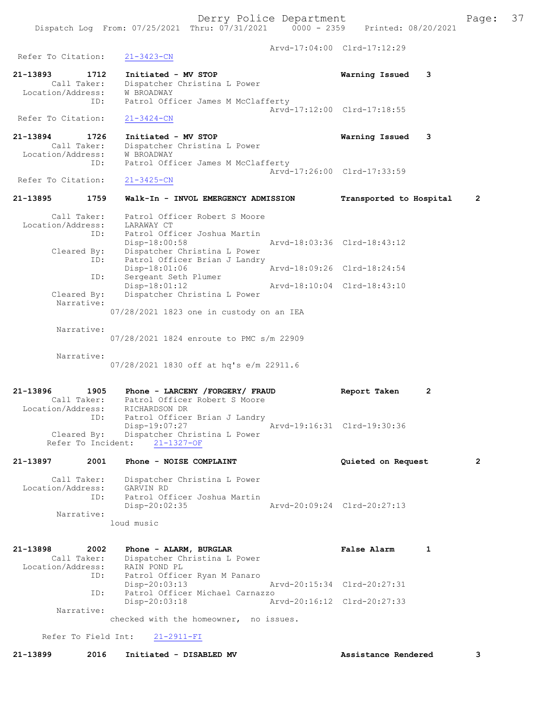Arvd-17:04:00 Clrd-17:12:29

Dispatch Log From: 07/25/2021 Thru: 07/31/2021 0000 - 2359 Printed: 08/20/2021

Refer To Citation: 21-3423-CN

21-13893 1712 Initiated - MV STOP Warning Issued 3 Call Taker: Dispatcher Christina L Power Location/Address: W BROADWAY ID: Patrol Officer James M McClafferty Arvd-17:12:00 Clrd-17:18:55 Refer To Citation: 21-3424-CN

21-13894 1726 Initiated - MV STOP Warning Issued 3 Call Taker: Dispatcher Christina L Power Location/Address: W BROADWAY ID: Patrol Officer James M McClafferty Arvd-17:26:00 Clrd-17:33:59<br>21-3425-CN

Refer To Citation:

# 21-13895 1759 Walk-In - INVOL EMERGENCY ADMISSION Transported to Hospital 2

 Call Taker: Patrol Officer Robert S Moore Location/Address: LARAWAY CT ID: Patrol Officer Joshua Martin Disp-18:00:58 Arvd-18:03:36 Clrd-18:43:12 Cleared By: Dispatcher Christina L Power ID: Patrol Officer Brian J Landry Disp-18:01:06 Arvd-18:09:26 Clrd-18:24:54 ID: Sergeant Seth Plumer Disp-18:01:12 Arvd-18:10:04 Clrd-18:43:10 Cleared By: Dispatcher Christina L Power Narrative: 07/28/2021 1823 one in custody on an IEA

Narrative:

07/28/2021 1824 enroute to PMC s/m 22909

Narrative:

07/28/2021 1830 off at hq's e/m 22911.6

21-13896 1905 Phone - LARCENY / FORGERY / FRAUD Report Taken 2<br>Call Taker: Patrol Officer Robert S Moore Call Taker: Patrol Officer Robert S Moore Location/Address: RICHARDSON DR ID: Patrol Officer Brian J Landry Disp-19:07:27 Arvd-19:16:31 Clrd-19:30:36 Cleared By: Dispatcher Christina L Power Refer To Incident: 21-1327-OF

21-13897 2001 Phone - NOISE COMPLAINT Quieted on Request 2 Call Taker: Dispatcher Christina L Power Location/Address: GARVIN RD ID: Patrol Officer Joshua Martin Disp-20:02:35 Arvd-20:09:24 Clrd-20:27:13

Narrative:

loud music

```
21-13898 2002 Phone - ALARM, BURGLAR FALSE RALSE Alarm 1
 Call Taker: Dispatcher Christina L Power
 Location/Address: RAIN POND PL
 ID: Patrol Officer Ryan M Panaro
 Disp-20:03:13 Arvd-20:15:34 Clrd-20:27:31
 ID: Patrol Officer Michael Carnazzo
                Disp-20:03:18 Arvd-20:16:12 Clrd-20:27:33
       Narrative: 
             checked with the homeowner, no issues.
```
Refer To Field Int: 21-2911-FI

21-13899 2016 Initiated - DISABLED MV Assistance Rendered 3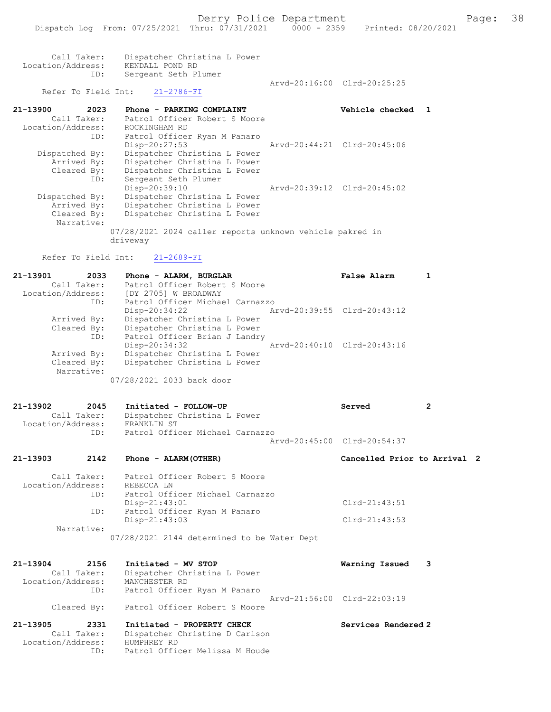Arvd-20:16:00 Clrd-20:25:25

| Call Taker:  | Dispatcher Christina L Power |
|--------------|------------------------------|
| .on/Address: | KENDALL POND RD              |

## Refer To Field Int: 21-2786-FI

Sergeant Seth Plumer

Location/Address:<br>TD:

21-13900 2023 Phone - PARKING COMPLAINT Vehicle checked 1 Call Taker: Patrol Officer Robert S Moore Location/Address: ROCKINGHAM RD ID: Patrol Officer Ryan M Panaro<br>Disp-20:27:53 Disp-20:27:53 Arvd-20:44:21 Clrd-20:45:06<br>Dispatched By: Dispatcher Christina L Power patched By: Dispatcher Christina L Power<br>Arrived By: Dispatcher Christina L Power Arrived By: Dispatcher Christina L Power<br>Cleared By: Dispatcher Christina L Power Cleared By: Dispatcher Christina L Power ID: Sergeant Seth Plumer Disp-20:39:10 Arvd-20:39:12 Clrd-20:45:02<br>Dispatched By: Dispatcher Christina L Power patched By: Dispatcher Christina L Power<br>Arrived By: Dispatcher Christina L Power Arrived By: Dispatcher Christina L Power<br>Cleared By: Dispatcher Christina L Power Dispatcher Christina L Power Narrative: 07/28/2021 2024 caller reports unknown vehicle pakred in driveway

Refer To Field Int: 21-2689-FI

| 21-13901<br>2033  | Phone - ALARM, BURGLAR          | False Alarm                 |  |
|-------------------|---------------------------------|-----------------------------|--|
| Call Taker:       | Patrol Officer Robert S Moore   |                             |  |
| Location/Address: | [DY 2705] W BROADWAY            |                             |  |
| ID:               | Patrol Officer Michael Carnazzo |                             |  |
|                   | $Disp-20:34:22$                 | Arvd-20:39:55 Clrd-20:43:12 |  |
| Arrived By:       | Dispatcher Christina L Power    |                             |  |
| Cleared By:       | Dispatcher Christina L Power    |                             |  |
| ID:               | Patrol Officer Brian J Landry   |                             |  |
|                   | $Disp-20:34:32$                 | Arvd-20:40:10 Clrd-20:43:16 |  |
| Arrived By:       | Dispatcher Christina L Power    |                             |  |
| Cleared By:       | Dispatcher Christina L Power    |                             |  |
| Narrative:        |                                 |                             |  |
|                   | 07/28/2021 2033 back door       |                             |  |

| 21-13902          | 2045        | Initiated - FOLLOW-UP           | Served                      | - 2 |
|-------------------|-------------|---------------------------------|-----------------------------|-----|
|                   | Call Taker: | Dispatcher Christina L Power    |                             |     |
| Location/Address: |             | FRANKLIN ST                     |                             |     |
|                   | ID:         | Patrol Officer Michael Carnazzo |                             |     |
|                   |             |                                 | Aryd-20:45:00 Clrd-20:54:37 |     |

| 21-13903 | 2142 | Phone - ALARM (OTHER)                     | Cancelled Prior to Arrival 2 |  |
|----------|------|-------------------------------------------|------------------------------|--|
|          |      | Call Taker: Patrol Officer Robert S Moore |                              |  |

| Location/Address: | REBECCA LN                                  |                 |  |
|-------------------|---------------------------------------------|-----------------|--|
| ID:               | Patrol Officer Michael Carnazzo             |                 |  |
|                   | $Disp-21:43:01$                             | $Clrd-21:43:51$ |  |
| ID:               | Patrol Officer Ryan M Panaro                |                 |  |
|                   | $Disp-21:43:03$                             | $Clrd-21:43:53$ |  |
| Narrative:        |                                             |                 |  |
|                   | 07/28/2021 2144 determined to be Water Dept |                 |  |

| 21-13904<br>2156<br>Call Taker:<br>Location/Address: | Initiated - MV STOP<br>Dispatcher Christina L Power<br>MANCHESTER RD | Warning Issued 3            |
|------------------------------------------------------|----------------------------------------------------------------------|-----------------------------|
| ID:<br>Cleared By:                                   | Patrol Officer Ryan M Panaro<br>Patrol Officer Robert S Moore        | Arvd-21:56:00 Clrd-22:03:19 |
| 21-13905<br>2331<br>Call Taker:                      | Initiated - PROPERTY CHECK<br>Dispatcher Christine D Carlson         | Services Rendered 2         |
| Location/Address:                                    | HUMPHREY RD                                                          |                             |

ID: Patrol Officer Melissa M Houde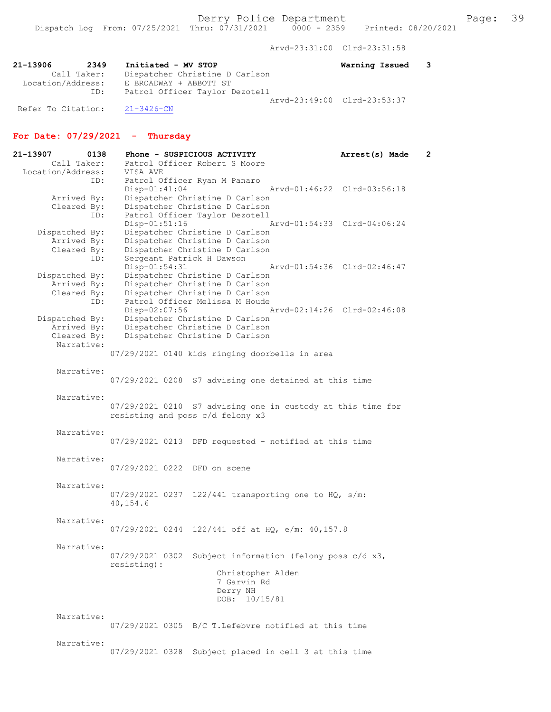Arvd-23:31:00 Clrd-23:31:58

| 21-13906           | 2349        | Initiated - MV STOP            | Warning Issued 3            |  |
|--------------------|-------------|--------------------------------|-----------------------------|--|
|                    | Call Taker: | Dispatcher Christine D Carlson |                             |  |
| Location/Address:  |             | E BROADWAY + ABBOTT ST         |                             |  |
|                    | ID:         | Patrol Officer Taylor Dezotell |                             |  |
|                    |             |                                | Aryd-23:49:00 Clrd-23:53:37 |  |
| Refer To Citation: |             | $21 - 3426 - CN$               |                             |  |

## For Date: 07/29/2021 - Thursday

| 21-13907<br>Call Taker:       | 0138 | Phone - SUSPICIOUS ACTIVITY<br>Patrol Officer Robert S Moore     |                   |                                          | Arrest(s) Made              | $\overline{2}$ |
|-------------------------------|------|------------------------------------------------------------------|-------------------|------------------------------------------|-----------------------------|----------------|
| Location/Address:             |      | VISA AVE                                                         |                   |                                          |                             |                |
|                               | ID:  | Patrol Officer Ryan M Panaro                                     |                   |                                          |                             |                |
|                               |      | $Disp-01:41:04$                                                  |                   |                                          | Arvd-01:46:22 Clrd-03:56:18 |                |
| Arrived By:                   |      | Dispatcher Christine D Carlson                                   |                   |                                          |                             |                |
| Cleared By:                   |      | Dispatcher Christine D Carlson<br>Patrol Officer Taylor Dezotell |                   |                                          |                             |                |
|                               | ID:  | Disp-01:51:16                                                    |                   |                                          | Arvd-01:54:33 Clrd-04:06:24 |                |
| Dispatched By:                |      | Dispatcher Christine D Carlson                                   |                   |                                          |                             |                |
| Arrived By:                   |      | Dispatcher Christine D Carlson                                   |                   |                                          |                             |                |
| Cleared By:                   |      | Dispatcher Christine D Carlson                                   |                   |                                          |                             |                |
|                               | ID:  | Sergeant Patrick H Dawson                                        |                   |                                          |                             |                |
|                               |      | Disp-01:54:31                                                    |                   |                                          | Arvd-01:54:36 Clrd-02:46:47 |                |
| Dispatched By:                |      | Dispatcher Christine D Carlson                                   |                   |                                          |                             |                |
| Arrived By:                   |      | Dispatcher Christine D Carlson                                   |                   |                                          |                             |                |
| Cleared By:                   |      | Dispatcher Christine D Carlson                                   |                   |                                          |                             |                |
|                               | ID:  | Patrol Officer Melissa M Houde                                   |                   |                                          |                             |                |
|                               |      | $Disp-02:07:56$                                                  |                   |                                          | Arvd-02:14:26 Clrd-02:46:08 |                |
| Dispatched By:<br>Arrived By: |      | Dispatcher Christine D Carlson<br>Dispatcher Christine D Carlson |                   |                                          |                             |                |
| Cleared By:                   |      | Dispatcher Christine D Carlson                                   |                   |                                          |                             |                |
| Narrative:                    |      |                                                                  |                   |                                          |                             |                |
|                               |      | 07/29/2021 0140 kids ringing doorbells in area                   |                   |                                          |                             |                |
|                               |      |                                                                  |                   |                                          |                             |                |
| Narrative:                    |      |                                                                  |                   |                                          |                             |                |
|                               |      | 07/29/2021 0208 S7 advising one detained at this time            |                   |                                          |                             |                |
|                               |      |                                                                  |                   |                                          |                             |                |
| Narrative:                    |      |                                                                  |                   |                                          |                             |                |
|                               |      | 07/29/2021 0210 S7 advising one in custody at this time for      |                   |                                          |                             |                |
|                               |      | resisting and poss c/d felony x3                                 |                   |                                          |                             |                |
| Narrative:                    |      |                                                                  |                   |                                          |                             |                |
|                               |      | $07/29/2021$ 0213 DFD requested - notified at this time          |                   |                                          |                             |                |
|                               |      |                                                                  |                   |                                          |                             |                |
| Narrative:                    |      |                                                                  |                   |                                          |                             |                |
|                               |      | 07/29/2021 0222 DFD on scene                                     |                   |                                          |                             |                |
|                               |      |                                                                  |                   |                                          |                             |                |
| Narrative:                    |      |                                                                  |                   |                                          |                             |                |
|                               |      | $07/29/2021$ 0237 122/441 transporting one to HQ, s/m:           |                   |                                          |                             |                |
|                               |      | 40,154.6                                                         |                   |                                          |                             |                |
|                               |      |                                                                  |                   |                                          |                             |                |
| Narrative:                    |      |                                                                  |                   |                                          |                             |                |
|                               |      | $07/29/2021$ 0244 122/441 off at HQ, e/m: 40,157.8               |                   |                                          |                             |                |
| Narrative:                    |      |                                                                  |                   |                                          |                             |                |
|                               |      | 07/29/2021 0302                                                  |                   | Subject information (felony poss c/d x3, |                             |                |
|                               |      | resisting):                                                      |                   |                                          |                             |                |
|                               |      |                                                                  | Christopher Alden |                                          |                             |                |
|                               |      |                                                                  | 7 Garvin Rd       |                                          |                             |                |
|                               |      |                                                                  | Derry NH          |                                          |                             |                |
|                               |      |                                                                  | DOB: 10/15/81     |                                          |                             |                |
|                               |      |                                                                  |                   |                                          |                             |                |
| Narrative:                    |      |                                                                  |                   |                                          |                             |                |
|                               |      | 07/29/2021 0305 B/C T. Lefebyre notified at this time            |                   |                                          |                             |                |
|                               |      |                                                                  |                   |                                          |                             |                |
| Narrative:                    |      |                                                                  |                   |                                          |                             |                |

07/29/2021 0328 Subject placed in cell 3 at this time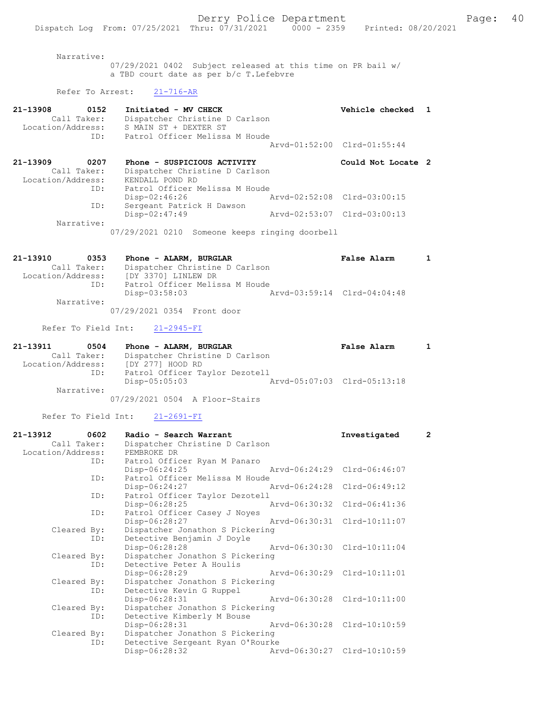Narrative:

07/29/2021 0402 Subject released at this time on PR bail w/ a TBD court date as per b/c T.Lefebvre

## Refer To Arrest: 21-716-AR

| 21-13908<br>0152<br>Call Taker:<br>Location/Address:<br>ID: | Initiated - MV CHECK<br>Dispatcher Christine D Carlson<br>S MAIN ST + DEXTER ST<br>Patrol Officer Melissa M Houde | Vehicle checked                                            |  |
|-------------------------------------------------------------|-------------------------------------------------------------------------------------------------------------------|------------------------------------------------------------|--|
|                                                             |                                                                                                                   | Arvd-01:52:00 Clrd-01:55:44                                |  |
| 21-13909<br>0207<br>Call Taker:<br>Location/Address:        | Phone - SUSPICIOUS ACTIVITY<br>Dispatcher Christine D Carlson<br>KENDALL POND RD                                  | Could Not Locate 2                                         |  |
| ID:<br>ID:                                                  | Patrol Officer Melissa M Houde<br>$Disp-02:46:26$<br>Sergeant Patrick H Dawson<br>$Disp-02:47:49$                 | Aryd-02:52:08 Clrd-03:00:15<br>Arvd-02:53:07 Clrd-03:00:13 |  |
| Narrative:                                                  | 07/29/2021 0210 Someone keeps ringing doorbell                                                                    |                                                            |  |

| 21-13910<br>0353  | Phone - ALARM, BURGLAR         | <b>False Alarm</b>          |  |
|-------------------|--------------------------------|-----------------------------|--|
| Call Taker:       | Dispatcher Christine D Carlson |                             |  |
| Location/Address: | [DY 3370] LINLEW DR            |                             |  |
| ID:               | Patrol Officer Melissa M Houde |                             |  |
|                   | Disp-03:58:03                  | Arvd-03:59:14 Clrd-04:04:48 |  |
| Narrative:        |                                |                             |  |
|                   | 07/29/2021 0354 Front door     |                             |  |

### Refer To Field Int: 21-2945-FI

| 21-13911          | 0504        | Phone - ALARM, BURGLAR         | <b>False Alarm</b>          |  |
|-------------------|-------------|--------------------------------|-----------------------------|--|
|                   | Call Taker: | Dispatcher Christine D Carlson |                             |  |
| Location/Address: |             | [DY 277] HOOD RD               |                             |  |
|                   | ID:         | Patrol Officer Taylor Dezotell |                             |  |
|                   |             | Disp-05:05:03                  | Arvd-05:07:03 Clrd-05:13:18 |  |
|                   | Narrative:  |                                |                             |  |
|                   |             | 07/29/2021 0504 A Floor-Stairs |                             |  |

Refer To Field Int: 21-2691-FI

| 21-13912          | 0602        | Radio - Search Warrant           |                             | Investigated                | $\overline{2}$ |
|-------------------|-------------|----------------------------------|-----------------------------|-----------------------------|----------------|
|                   | Call Taker: | Dispatcher Christine D Carlson   |                             |                             |                |
| Location/Address: |             | PEMBROKE DR                      |                             |                             |                |
|                   |             | ID: Patrol Officer Ryan M Panaro |                             |                             |                |
|                   |             | $Disp-06:24:25$                  |                             | Arvd-06:24:29 Clrd-06:46:07 |                |
|                   | ID:         | Patrol Officer Melissa M Houde   |                             |                             |                |
|                   |             | Disp-06:24:27                    |                             | Arvd-06:24:28 Clrd-06:49:12 |                |
|                   | ID:         | Patrol Officer Taylor Dezotell   |                             |                             |                |
|                   |             | Disp-06:28:25                    |                             | Arvd-06:30:32 Clrd-06:41:36 |                |
|                   | ID:         | Patrol Officer Casey J Noyes     |                             |                             |                |
|                   |             | Disp-06:28:27                    | Arvd-06:30:31 Clrd-10:11:07 |                             |                |
|                   | Cleared By: | Dispatcher Jonathon S Pickering  |                             |                             |                |
|                   | ID:         | Detective Benjamin J Doyle       |                             |                             |                |
|                   |             | Disp-06:28:28                    |                             | Arvd-06:30:30 Clrd-10:11:04 |                |
|                   | Cleared By: | Dispatcher Jonathon S Pickering  |                             |                             |                |
|                   | ID:         | Detective Peter A Houlis         |                             |                             |                |
|                   |             | Disp-06:28:29                    | Arvd-06:30:29 Clrd-10:11:01 |                             |                |
|                   | Cleared By: | Dispatcher Jonathon S Pickering  |                             |                             |                |
|                   | ID:         | Detective Kevin G Ruppel         |                             |                             |                |
|                   |             | Disp-06:28:31                    | Arvd-06:30:28 Clrd-10:11:00 |                             |                |
|                   | Cleared By: | Dispatcher Jonathon S Pickering  |                             |                             |                |
|                   | ID:         | Detective Kimberly M Bouse       |                             |                             |                |
|                   |             | Disp-06:28:31                    | Arvd-06:30:28 Clrd-10:10:59 |                             |                |
|                   | Cleared By: | Dispatcher Jonathon S Pickering  |                             |                             |                |
|                   | ID:         | Detective Sergeant Ryan O'Rourke |                             |                             |                |
|                   |             | Disp-06:28:32                    |                             | Arvd-06:30:27 Clrd-10:10:59 |                |
|                   |             |                                  |                             |                             |                |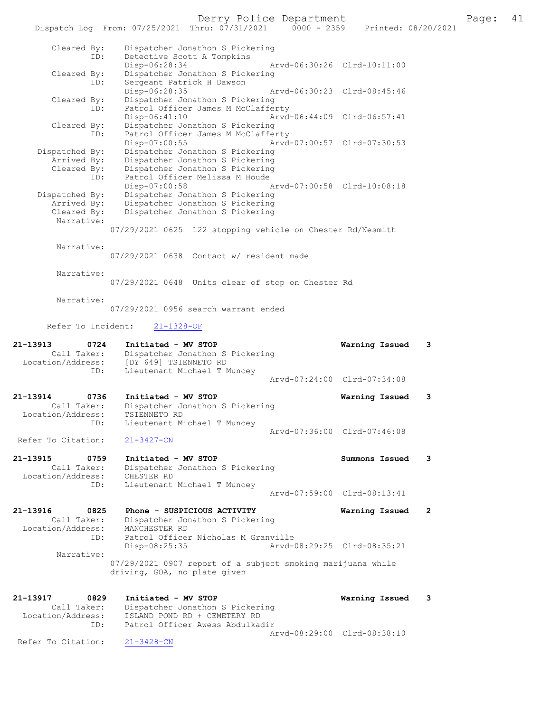Derry Police Department Fage: 41

|                                  | Dispatch Log From: 07/25/2021 Thru: 07/31/2021<br>$0000 - 2359$                             | Printed: 08/20/2021            |  |
|----------------------------------|---------------------------------------------------------------------------------------------|--------------------------------|--|
| Cleared By:                      | Dispatcher Jonathon S Pickering                                                             |                                |  |
| ID:                              | Detective Scott A Tompkins<br>Disp-06:28:34                                                 | Arvd-06:30:26 Clrd-10:11:00    |  |
| Cleared By:                      | Dispatcher Jonathon S Pickering                                                             |                                |  |
| ID:                              | Sergeant Patrick H Dawson                                                                   | Aryd-06:30:23 Clrd-08:45:46    |  |
| Cleared By:                      | Disp-06:28:35<br>Dispatcher Jonathon S Pickering                                            |                                |  |
| ID:                              | Patrol Officer James M McClafferty                                                          |                                |  |
| Cleared By:                      | Disp-06:41:10<br>Dispatcher Jonathon S Pickering                                            | Arvd-06:44:09 Clrd-06:57:41    |  |
| ID:                              | Patrol Officer James M McClafferty                                                          |                                |  |
| Dispatched By:                   | Disp-07:00:55<br>Dispatcher Jonathon S Pickering                                            | Arvd-07:00:57 Clrd-07:30:53    |  |
| Arrived By:                      | Dispatcher Jonathon S Pickering                                                             |                                |  |
| Cleared By:<br>ID:               | Dispatcher Jonathon S Pickering<br>Patrol Officer Melissa M Houde                           |                                |  |
|                                  | $Disp-07:00:58$                                                                             | Arvd-07:00:58 Clrd-10:08:18    |  |
| Dispatched By:<br>Arrived By:    | Dispatcher Jonathon S Pickering<br>Dispatcher Jonathon S Pickering                          |                                |  |
| Cleared By:                      | Dispatcher Jonathon S Pickering                                                             |                                |  |
| Narrative:                       |                                                                                             |                                |  |
|                                  | 07/29/2021 0625 122 stopping vehicle on Chester Rd/Nesmith                                  |                                |  |
| Narrative:                       | $07/29/2021$ 0638 Contact w/ resident made                                                  |                                |  |
|                                  |                                                                                             |                                |  |
| Narrative:                       |                                                                                             |                                |  |
|                                  | 07/29/2021 0648 Units clear of stop on Chester Rd                                           |                                |  |
| Narrative:                       | 07/29/2021 0956 search warrant ended                                                        |                                |  |
|                                  |                                                                                             |                                |  |
| Refer To Incident:               | $21 - 1328 - OF$                                                                            |                                |  |
| 21-13913<br>0724                 | Initiated - MV STOP                                                                         | Warning Issued<br>3            |  |
| Call Taker:<br>Location/Address: | Dispatcher Jonathon S Pickering<br>[DY 649] TSIENNETO RD                                    |                                |  |
| ID:                              | Lieutenant Michael T Muncey                                                                 |                                |  |
|                                  |                                                                                             | Arvd-07:24:00 Clrd-07:34:08    |  |
| 21-13914<br>0736                 | Initiated - MV STOP                                                                         | 3<br>Warning Issued            |  |
| Call Taker:<br>Location/Address: | Dispatcher Jonathon S Pickering<br>TSIENNETO RD                                             |                                |  |
| ID:                              | Lieutenant Michael T Muncey                                                                 |                                |  |
| Refer To Citation:               | $21 - 3427 - CN$                                                                            | Arvd-07:36:00 Clrd-07:46:08    |  |
|                                  |                                                                                             |                                |  |
| 21-13915<br>0759                 | Initiated - MV STOP                                                                         | Summons Issued<br>3            |  |
| Call Taker:<br>Location/Address: | Dispatcher Jonathon S Pickering<br>CHESTER RD                                               |                                |  |
| ID:                              | Lieutenant Michael T Muncey                                                                 |                                |  |
|                                  |                                                                                             | Arvd-07:59:00 Clrd-08:13:41    |  |
| 21-13916<br>0825                 | Phone - SUSPICIOUS ACTIVITY                                                                 | Warning Issued<br>$\mathbf{2}$ |  |
| Call Taker:<br>Location/Address: | Dispatcher Jonathon S Pickering<br>MANCHESTER RD                                            |                                |  |
| ID:                              | Patrol Officer Nicholas M Granville                                                         |                                |  |
| Narrative:                       | $Disp-08:25:35$                                                                             | Arvd-08:29:25 Clrd-08:35:21    |  |
|                                  | 07/29/2021 0907 report of a subject smoking marijuana while<br>driving, GOA, no plate given |                                |  |
|                                  |                                                                                             |                                |  |
| 21-13917<br>0829                 | Initiated - MV STOP                                                                         | Warning Issued<br>3            |  |
| Call Taker:                      |                                                                                             |                                |  |
|                                  | Dispatcher Jonathon S Pickering                                                             |                                |  |
| Location/Address:<br>ID:         | ISLAND POND RD + CEMETERY RD<br>Patrol Officer Awess Abdulkadir                             |                                |  |
| Refer To Citation:               | $21 - 3428 - CN$                                                                            | Arvd-08:29:00 Clrd-08:38:10    |  |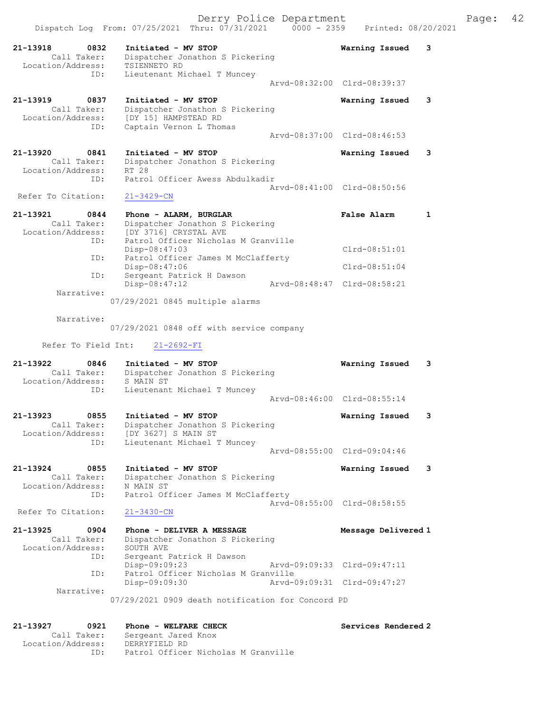ID: Captain Vernon L Thomas Arvd-08:37:00 Clrd-08:46:53 21-13920 0841 Initiated - MV STOP Warning Issued 3 Call Taker: Dispatcher Jonathon S Pickering

 Location/Address: RT 28 ID: Patrol Officer Awess Abdulkadir Arvd-08:41:00 Clrd-08:50:56 Refer To Citation: 21-3429-CN

| 21-13921          | 0844 | Phone - ALARM, BURGLAR              | False Alarm                 |  |
|-------------------|------|-------------------------------------|-----------------------------|--|
| Call Taker:       |      | Dispatcher Jonathon S Pickering     |                             |  |
| Location/Address: |      | [DY 3716] CRYSTAL AVE               |                             |  |
|                   | ID:  | Patrol Officer Nicholas M Granville |                             |  |
|                   |      | $Disp-08:47:03$                     | $Clrd-08:51:01$             |  |
|                   | ID:  | Patrol Officer James M McClafferty  |                             |  |
|                   |      | $Disp-08:47:06$                     | $Clrd-08:51:04$             |  |
|                   | ID:  | Sergeant Patrick H Dawson           |                             |  |
|                   |      | $Disp-08:47:12$                     | Aryd-08:48:47 Clrd-08:58:21 |  |
| Narrative:        |      |                                     |                             |  |

07/29/2021 0845 multiple alarms

Narrative:

07/29/2021 0848 off with service company

Refer To Field Int: 21-2692-FI

- 21-13922 0846 Initiated MV STOP Warning Issued 3 Call Taker: Dispatcher Jonathon S Pickering Location/Address: S MAIN ST ID: Lieutenant Michael T Muncey Arvd-08:46:00 Clrd-08:55:14
- 21-13923 0855 Initiated MV STOP Warning Issued 3 Call Taker: Dispatcher Jonathon S Pickering Location/Address: [DY 3627] S MAIN ST ID: Lieutenant Michael T Muncey Arvd-08:55:00 Clrd-09:04:46
- 21-13924 0855 Initiated MV STOP Warning Issued 3 Call Taker: Dispatcher Jonathon S Pickering Location/Address: N MAIN ST ID: Patrol Officer James M McClafferty Arvd-08:55:00 Clrd-08:58:55<br>
21-3430-CN

Refer To Citation:

21-13925 0904 Phone - DELIVER A MESSAGE Message Delivered 1 Call Taker: Dispatcher Jonathon S Pickering Location/Address: SOUTH AVE ID: Sergeant Patrick H Dawson Disp-09:09:23 Arvd-09:09:33 Clrd-09:47:11 ID: Patrol Officer Nicholas M Granville Disp-09:09:30 Arvd-09:09:31 Clrd-09:47:27 Narrative: 07/29/2021 0909 death notification for Concord PD

## 21-13927 0921 Phone - WELFARE CHECK Services Rendered 2 Call Taker: Sergeant Jared Knox Location/Address: DERRYFIELD RD

ID: Patrol Officer Nicholas M Granville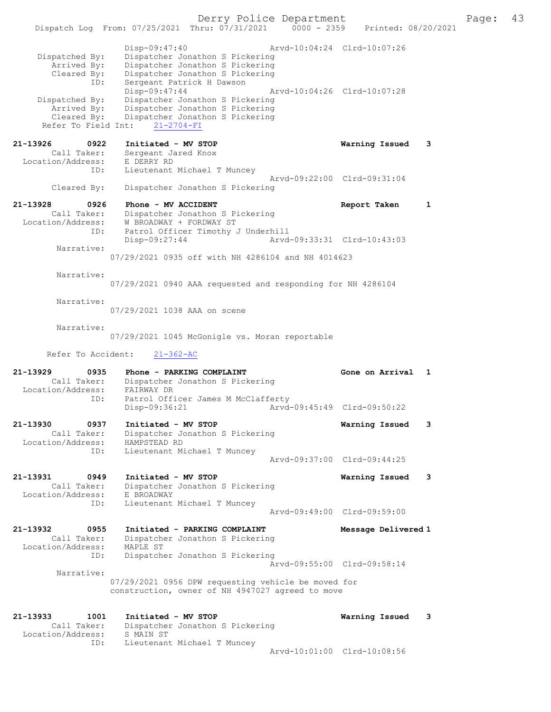Derry Police Department Page: 43 Dispatch Log From:  $07/25/2021$  Thru:  $07/31/2021$  0000 - 2359 Disp-09:47:40 Arvd-10:04:24 Clrd-10:07:26 Dispatched By: Dispatcher Jonathon S Pickering<br>Arrived By: Dispatcher Jonathon S Pickering Arrived By: Dispatcher Jonathon S Pickering Cleared By: Dispatcher Jonathon S Pickering ID: Sergeant Patrick H Dawson<br>Disp-09:47:44 Disp-09:47:44 Arvd-10:04:26 Clrd-10:07:28<br>Dispatched By: Dispatcher Jonathon S Pickering spatched By: Dispatcher Jonathon S Pickering<br>Arrived By: Dispatcher Jonathon S Pickering Arrived By: Dispatcher Jonathon S Pickering Cleared By: Dispatcher Jonathon S Pickering Refer To Field Int: 21-2704-FI 21-13926 0922 Initiated - MV STOP Warning Issued 3 Call Taker: Sergeant Jared Knox Location/Address: E DERRY RD ID: Lieutenant Michael T Muncey Arvd-09:22:00 Clrd-09:31:04 Cleared By: Dispatcher Jonathon S Pickering 21-13928 0926 Phone - MV ACCIDENT CONSERVERS Report Taken 1 Call Taker: Dispatcher Jonathon S Pickering Location/Address: W BROADWAY + FORDWAY ST ID: Patrol Officer Timothy J Underhill<br>Disp-09:27:44 Arvd Disp-09:27:44 Arvd-09:33:31 Clrd-10:43:03 Narrative: 07/29/2021 0935 off with NH 4286104 and NH 4014623 Narrative: 07/29/2021 0940 AAA requested and responding for NH 4286104 Narrative: 07/29/2021 1038 AAA on scene Narrative: 07/29/2021 1045 McGonigle vs. Moran reportable Refer To Accident: 21-362-AC 21-13929 0935 Phone - PARKING COMPLAINT Gone on Arrival 1 Call Taker: Dispatcher Jonathon S Pickering<br>ion/Addres: FAIRWAY DR Location/Address:<br>ID: Patrol Officer James M McClafferty<br>Disp-09:36:21 Arvd Disp-09:36:21 Arvd-09:45:49 Clrd-09:50:22 21-13930 0937 Initiated - MV STOP Warning Issued 3 Call Taker: Dispatcher Jonathon S Pickering Location/Address:<br>TD: HAMPSTEAD RD<br>Lieutenant Michael T Muncey Arvd-09:37:00 Clrd-09:44:25 21-13931 0949 Initiated - MV STOP Warning Issued 3 Call Taker: Dispatcher Jonathon S Pickering Location/Address: E BROADWAY ID: Lieutenant Michael T Muncey Arvd-09:49:00 Clrd-09:59:00 21-13932 0955 Initiated - PARKING COMPLAINT Message Delivered 1 Call Taker: Dispatcher Jonathon S Pickering Location/Address: MAPLE ST ID: Dispatcher Jonathon S Pickering Arvd-09:55:00 Clrd-09:58:14 Narrative: 07/29/2021 0956 DPW requesting vehicle be moved for construction, owner of NH 4947027 agreed to move 21-13933 1001 Initiated - MV STOP Warning Issued 3 Call Taker: Dispatcher Jonathon S Pickering Location/Address: S MAIN ST ID: Lieutenant Michael T Muncey

Arvd-10:01:00 Clrd-10:08:56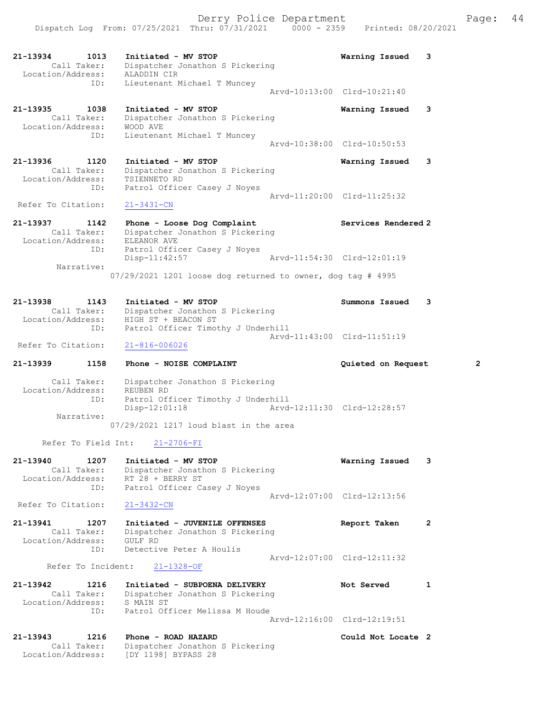|                                                             | Dispatch Log From: 07/25/2021 Thru: 07/31/2021 0000 - 2359 Printed: 08/20/2021                         | Derry Police Department |                                                 | Page: | 44 |
|-------------------------------------------------------------|--------------------------------------------------------------------------------------------------------|-------------------------|-------------------------------------------------|-------|----|
| 21-13934<br>1013<br>Call Taker:<br>Location/Address:<br>ID: | Initiated - MV STOP<br>Dispatcher Jonathon S Pickering<br>ALADDIN CIR<br>Lieutenant Michael T Muncey   |                         | Warning Issued 3<br>Arvd-10:13:00 Clrd-10:21:40 |       |    |
| 21-13935<br>1038<br>Call Taker:<br>Location/Address:<br>ID: | Initiated - MV STOP<br>Dispatcher Jonathon S Pickering<br>WOOD AVE<br>Lieutenant Michael T Muncey      |                         | Warning Issued 3<br>Arvd-10:38:00 Clrd-10:50:53 |       |    |
| 21-13936<br>1120<br>Call Taker:<br>Location/Address:<br>ID: | Initiated - MV STOP<br>Dispatcher Jonathon S Pickering<br>TSIENNETO RD<br>Patrol Officer Casey J Noyes |                         | Warning Issued 3<br>Arvd-11:20:00 Clrd-11:25:32 |       |    |
| Refer To Citation:<br>21-13937<br>1142<br>Call Taker:       | $21 - 3431 - CN$<br>Phone - Loose Dog Complaint<br>Dispatcher Jonathon S Pickering                     |                         | Services Rendered 2                             |       |    |

 Location/Address: ELEANOR AVE ID: Patrol Officer Casey J Noyes Disp-11:42:57 Arvd-11:54:30 Clrd-12:01:19 Narrative: 07/29/2021 1201 loose dog returned to owner, dog tag # 4995

| 21-13938           | 1143        | Initiated - MV STOP                | Summons Issued 3 |  |
|--------------------|-------------|------------------------------------|------------------|--|
|                    | Call Taker: | Dispatcher Jonathon S Pickering    |                  |  |
| Location/Address:  |             | HIGH ST + BEACON ST                |                  |  |
|                    | ID:         | Patrol Officer Timothy J Underhill |                  |  |
|                    |             | Arvd-11:43:00 Clrd-11:51:19        |                  |  |
| Refer To Citation: |             | 21-816-006026                      |                  |  |

## 21-13939 1158 Phone - NOISE COMPLAINT Quieted on Request 2 Call Taker: Dispatcher Jonathon S Pickering Location/Address: REUBEN RD ID: Patrol Officer Timothy J Underhill Disp-12:01:18 Arvd-12:11:30 Clrd-12:28:57 Narrative:

07/29/2021 1217 loud blast in the area

Refer To Field Int: 21-2706-FI

| 21-13940           | 1207               | Initiated - MV STOP             | Warning Issued              | 3 |
|--------------------|--------------------|---------------------------------|-----------------------------|---|
|                    | Call Taker:        | Dispatcher Jonathon S Pickering |                             |   |
| Location/Address:  |                    | RT 28 + BERRY ST                |                             |   |
|                    | ID:                | Patrol Officer Casey J Noyes    |                             |   |
|                    |                    |                                 | Arvd-12:07:00 Clrd-12:13:56 |   |
| Refer To Citation: |                    | $21 - 3432 - CN$                |                             |   |
| 21-13941           | 1207               | Initiated - JUVENILE OFFENSES   | Report Taken                | 2 |
|                    | Call Taker:        | Dispatcher Jonathon S Pickering |                             |   |
| Location/Address:  |                    | GULF RD                         |                             |   |
|                    | ID:                | Detective Peter A Houlis        |                             |   |
|                    |                    |                                 | Arvd-12:07:00 Clrd-12:11:32 |   |
|                    | Refer To Incident: | 21-1328-OF                      |                             |   |
| 21-13942           | 1216               | Initiated - SUBPOENA DELIVERY   | Not Served                  |   |
|                    | Call Taker:        | Dispatcher Jonathon S Pickering |                             |   |

 Location/Address: S MAIN ST ID: Patrol Officer Melissa M Houde Arvd-12:16:00 Clrd-12:19:51

| 21-13943<br>1216                 | Phone - ROAD HAZARD                                    | Could Not Locate 2 |
|----------------------------------|--------------------------------------------------------|--------------------|
| Call Taker:<br>Location/Address: | Dispatcher Jonathon S Pickering<br>[DY 1198] BYPASS 28 |                    |
|                                  |                                                        |                    |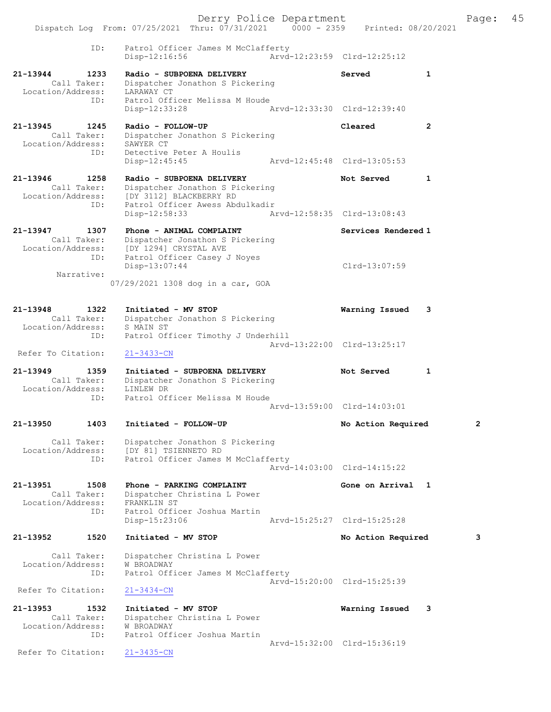Derry Police Department The Page: 45 Dispatch Log From: 07/25/2021 Thru: 07/31/2021 0000 - 2359 Printed: 08/20/2021 ID: Patrol Officer James M McClafferty Disp-12:16:56 Arvd-12:23:59 Clrd-12:25:12 21-13944 1233 Radio - SUBPOENA DELIVERY Served 1 Call Taker: Dispatcher Jonathon S Pickering Location/Address: LARAWAY CT ID: Patrol Officer Melissa M Houde<br>Disp-12:33:28 Disp-12:33:28 Arvd-12:33:30 Clrd-12:39:40 21-13945 1245 Radio - FOLLOW-UP Cleared 2 Call Taker: Dispatcher Jonathon S Pickering Location/Address: SAWYER CT ID: Detective Peter A Houlis<br>Disp-12:45:45 Disp-12:45:45 Arvd-12:45:48 Clrd-13:05:53 21-13946 1258 Radio - SUBPOENA DELIVERY Not Served 1 Call Taker: Dispatcher Jonathon S Pickering Location/Address: [DY 3112] BLACKBERRY RD ID: Patrol Officer Awess Abdulkadir Disp-12:58:33 Arvd-12:58:35 Clrd-13:08:43 21-13947 1307 Phone - ANIMAL COMPLAINT Services Rendered 1 Call Taker: Dispatcher Jonathon S Pickering Location/Address: [DY 1294] CRYSTAL AVE ID: Patrol Officer Casey J Noyes Disp-13:07:44 Clrd-13:07:59 Narrative: 07/29/2021 1308 dog in a car, GOA 21-13948 1322 Initiated - MV STOP Warning Issued 3 Call Taker: Dispatcher Jonathon S Pickering Location/Address: S MAIN ST ID: Fatrol Officer Timothy J Underhill Arvd-13:22:00 Clrd-13:25:17 Refer To Citation: 21-3433-CN 21-13949 1359 Initiated - SUBPOENA DELIVERY Not Served 1 .<br>Call Taker: Dispatcher Jonathon S Pickering<br>Location/Address: LINLEW DR Location/Address: LINLEW DR ID: Patrol Officer Melissa M Houde Arvd-13:59:00 Clrd-14:03:01 21-13950 1403 Initiated - FOLLOW-UP No Action Required 2 Call Taker: Dispatcher Jonathon S Pickering Location/Address: [DY 81] TSIENNETO RD ID: Patrol Officer James M McClafferty Arvd-14:03:00 Clrd-14:15:22 21-13951 1508 Phone - PARKING COMPLAINT Gone on Arrival 1 Call Taker: Dispatcher Christina L Power<br>tion/Address: FRANKLIN ST Location/Address: ID: Patrol Officer Joshua Martin Disp-15:23:06 Arvd-15:25:27 Clrd-15:25:28 21-13952 1520 Initiated - MV STOP No Action Required 3 Call Taker: Dispatcher Christina L Power Location/Address: W BROADWAY ID: Patrol Officer James M McClafferty Arvd-15:20:00 Clrd-15:25:39 Refer To Citation: 21-3434-CN 21-13953 1532 Initiated - MV STOP Warning Issued 3 Call Taker: Dispatcher Christina L Power Location/Address: W BROADWAY ID: Patrol Officer Joshua Martin Arvd-15:32:00 Clrd-15:36:19<br>21-3435-CN Refer To Citation: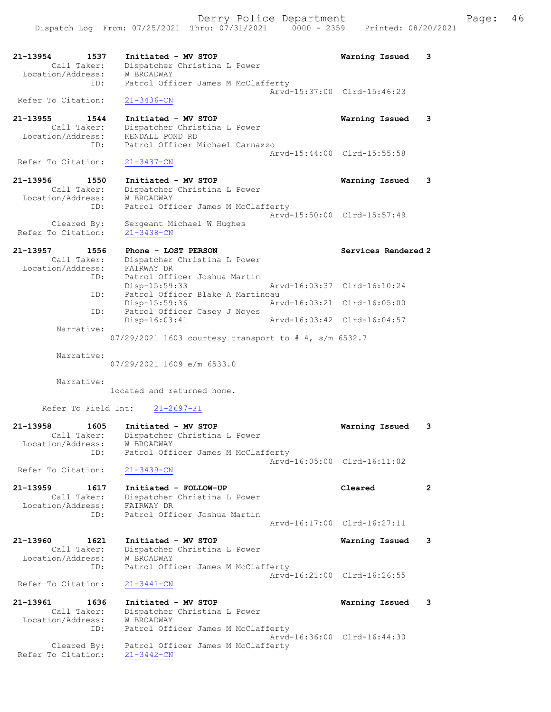21-13954 1537 Initiated - MV STOP Warning Issued 3 Call Taker: Dispatcher Christina L Power Location/Address: W BROADWAY ID: Patrol Officer James M McClafferty Arvd-15:37:00 Clrd-15:46:23 Refer To Citation: 21-3436-CN

21-13955 1544 Initiated - MV STOP Warning Issued 3 Call Taker: Dispatcher Christina L Power Location/Address: KENDALL POND RD ID: Patrol Officer Michael Carnazzo Arvd-15:44:00 Clrd-15:55:58<br>
21-3437-CN Refer To Citation:

21-13956 1550 Initiated - MV STOP Warning Issued 3 Call Taker: Dispatcher Christina L Power Location/Address: W BROADWAY ID: Patrol Officer James M McClafferty Arvd-15:50:00 Clrd-15:57:49 Cleared By: Sergeant Michael W Hughes Refer To Citation: 21-3438-CN

21-13957 1556 Phone - LOST PERSON Services Rendered 2 Call Taker: Dispatcher Christina L Power Location/Address: FAIRWAY DR ID: Patrol Officer Joshua Martin Disp-15:59:33 Arvd-16:03:37 Clrd-16:10:24<br>ID: Patrol Officer Blake A Martineau Patrol Officer Blake A Martineau<br>Disp-15:59:36 Art Disp-15:59:36 Arvd-16:03:21 Clrd-16:05:00 ID: Patrol Officer Casey J Noyes Disp-16:03:41 Arvd-16:03:42 Clrd-16:04:57 Narrative: 07/29/2021 1603 courtesy transport to # 4, s/m 6532.7

Narrative:

07/29/2021 1609 e/m 6533.0

Narrative:

located and returned home.

Refer To Field Int: 21-2697-FI

| 21-13958<br>Location/Address:     | 1605<br>Call Taker:        | Initiated - MV STOP<br>Dispatcher Christina L Power<br>W BROADWAY                                   | Warning Issued              | 3 |
|-----------------------------------|----------------------------|-----------------------------------------------------------------------------------------------------|-----------------------------|---|
|                                   | ID:                        | Patrol Officer James M McClafferty                                                                  | Arvd-16:05:00 Clrd-16:11:02 |   |
| Refer To Citation:                |                            | $21 - 3439 - CN$                                                                                    |                             |   |
| $21 - 13959$<br>Location/Address: | 1617<br>Call Taker:<br>ID: | Initiated - FOLLOW-UP<br>Dispatcher Christina L Power<br>FAIRWAY DR<br>Patrol Officer Joshua Martin | Cleared                     |   |
|                                   |                            |                                                                                                     | Arvd-16:17:00 Clrd-16:27:11 |   |

21-13960 1621 Initiated - MV STOP Warning Issued 3 Call Taker: Dispatcher Christina L Power Location/Address: W BROADWAY ID: Patrol Officer James M McClafferty Arvd-16:21:00 Clrd-16:26:55 Refer To Citation: 21-3441-CN

21-13961 1636 Initiated - MV STOP Warning Issued 3 Call Taker: Dispatcher Christina L Power Location/Address: W BROADWAY ID: Patrol Officer James M McClafferty Arvd-16:36:00 Clrd-16:44:30 Cleared By: Patrol Officer James M McClafferty Refer To Citation: 21-3442-CN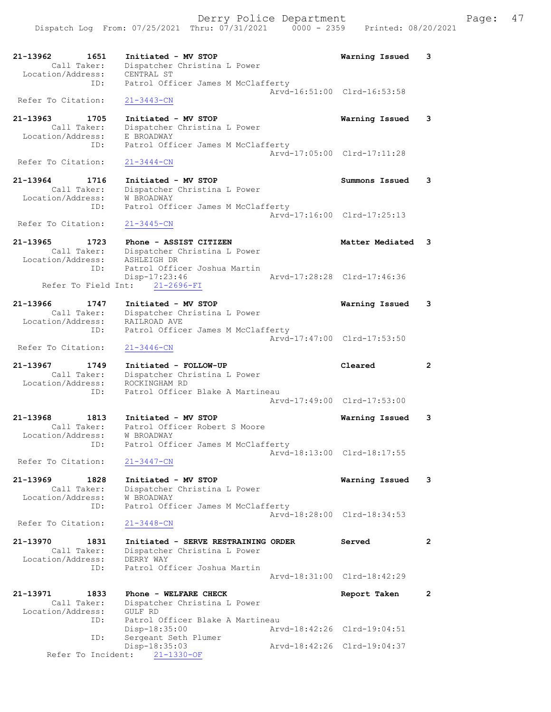| 21-13962<br>1651                 | Initiated - MV STOP                                | Warning Issued              | 3              |
|----------------------------------|----------------------------------------------------|-----------------------------|----------------|
| Call Taker:                      | Dispatcher Christina L Power                       |                             |                |
| Location/Address:<br>ID:         | CENTRAL ST<br>Patrol Officer James M McClafferty   |                             |                |
|                                  |                                                    | Arvd-16:51:00 Clrd-16:53:58 |                |
| Refer To Citation:               | $21 - 3443 - CN$                                   |                             |                |
|                                  |                                                    |                             |                |
| 21-13963<br>1705                 | Initiated - MV STOP                                | Warning Issued              | 3              |
| Call Taker:                      | Dispatcher Christina L Power                       |                             |                |
| Location/Address:                | E BROADWAY                                         |                             |                |
| ID:                              | Patrol Officer James M McClafferty                 |                             |                |
| Refer To Citation:               |                                                    | Arvd-17:05:00 Clrd-17:11:28 |                |
|                                  | $21 - 3444 - CN$                                   |                             |                |
| 21-13964<br>1716                 | Initiated - MV STOP                                | Summons Issued              | 3              |
| Call Taker:                      | Dispatcher Christina L Power                       |                             |                |
| Location/Address:                | W BROADWAY                                         |                             |                |
| ID:                              | Patrol Officer James M McClafferty                 |                             |                |
|                                  |                                                    | Arvd-17:16:00 Clrd-17:25:13 |                |
| Refer To Citation:               | $21 - 3445 - CN$                                   |                             |                |
| 21-13965<br>1723                 | Phone - ASSIST CITIZEN                             | Matter Mediated 3           |                |
| Call Taker:                      | Dispatcher Christina L Power                       |                             |                |
| Location/Address:                | ASHLEIGH DR                                        |                             |                |
| ID:                              | Patrol Officer Joshua Martin                       |                             |                |
|                                  | Disp-17:23:46                                      | Aryd-17:28:28 Clrd-17:46:36 |                |
|                                  | Refer To Field Int: 21-2696-FI                     |                             |                |
|                                  |                                                    |                             |                |
| 21-13966<br>1747                 | Initiated - MV STOP                                | Warning Issued              | 3              |
| Call Taker:                      | Dispatcher Christina L Power                       |                             |                |
| Location/Address:<br>ID:         | RAILROAD AVE<br>Patrol Officer James M McClafferty |                             |                |
|                                  |                                                    | Arvd-17:47:00 Clrd-17:53:50 |                |
| Refer To Citation:               | $21 - 3446 - CN$                                   |                             |                |
|                                  |                                                    |                             |                |
|                                  |                                                    |                             |                |
| 21-13967<br>1749                 | Initiated - FOLLOW-UP                              | Cleared                     | $\overline{2}$ |
| Call Taker:                      | Dispatcher Christina L Power                       |                             |                |
| Location/Address:                | ROCKINGHAM RD                                      |                             |                |
| ID:                              | Patrol Officer Blake A Martineau                   |                             |                |
|                                  |                                                    | Arvd-17:49:00 Clrd-17:53:00 |                |
| 1813<br>21-13968                 | Initiated - MV STOP                                | Warning Issued              | 3              |
| Call Taker:                      | Patrol Officer Robert S Moore                      |                             |                |
| Location/Address:                | W BROADWAY                                         |                             |                |
| ID:                              | Patrol Officer James M McClafferty                 |                             |                |
|                                  |                                                    | Arvd-18:13:00 Clrd-18:17:55 |                |
| Refer To Citation:               | $21 - 3447 - CN$                                   |                             |                |
|                                  |                                                    |                             |                |
| 21-13969<br>1828<br>Call Taker:  | Initiated - MV STOP                                | Warning Issued              | 3              |
| Location/Address:                | Dispatcher Christina L Power<br>W BROADWAY         |                             |                |
| ID:                              | Patrol Officer James M McClafferty                 |                             |                |
|                                  |                                                    | Arvd-18:28:00 Clrd-18:34:53 |                |
| Refer To Citation:               | $21 - 3448 - CN$                                   |                             |                |
|                                  |                                                    |                             |                |
| 21-13970<br>1831                 | Initiated - SERVE RESTRAINING ORDER                | Served                      | $\mathbf{2}$   |
| Call Taker:<br>Location/Address: | Dispatcher Christina L Power<br>DERRY WAY          |                             |                |
| ID:                              | Patrol Officer Joshua Martin                       |                             |                |
|                                  |                                                    | Arvd-18:31:00 Clrd-18:42:29 |                |
|                                  |                                                    |                             |                |
| 21-13971<br>1833                 | Phone - WELFARE CHECK                              | Report Taken                | $\mathbf{2}$   |
| Call Taker:                      | Dispatcher Christina L Power                       |                             |                |
| Location/Address:<br>ID:         | GULF RD<br>Patrol Officer Blake A Martineau        |                             |                |
|                                  | Disp-18:35:00                                      | Arvd-18:42:26 Clrd-19:04:51 |                |
| ID:                              | Sergeant Seth Plumer                               |                             |                |
|                                  | Disp-18:35:03<br>Refer To Incident: 21-1330-OF     | Arvd-18:42:26 Clrd-19:04:37 |                |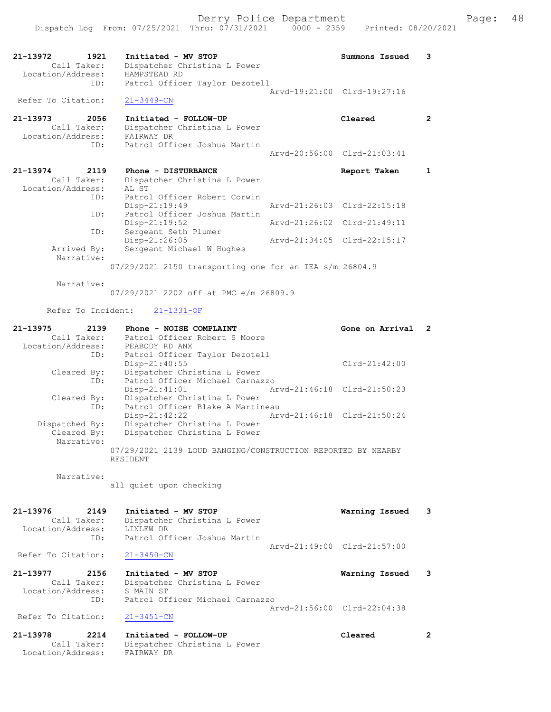|                                                                 | Dispatch Log From: 07/25/2021 Thru: 07/31/2021                                                      | $0000 - 2359$ | Printed: 08/20/2021         |                |
|-----------------------------------------------------------------|-----------------------------------------------------------------------------------------------------|---------------|-----------------------------|----------------|
| 21-13972<br>1921                                                | Initiated - MV STOP                                                                                 |               | Summons Issued              | 3              |
| Call Taker:<br>Location/Address:<br>ID:                         | Dispatcher Christina L Power<br>HAMPSTEAD RD<br>Patrol Officer Taylor Dezotell                      |               |                             |                |
| Refer To Citation:                                              | $21 - 3449 - CN$                                                                                    |               | Arvd-19:21:00 Clrd-19:27:16 |                |
|                                                                 |                                                                                                     |               |                             |                |
| $21 - 13973$<br>2056<br>Call Taker:<br>Location/Address:<br>ID: | Initiated - FOLLOW-UP<br>Dispatcher Christina L Power<br>FAIRWAY DR<br>Patrol Officer Joshua Martin |               | Cleared                     | $\overline{2}$ |
|                                                                 |                                                                                                     |               | Arvd-20:56:00 Clrd-21:03:41 |                |
| 21-13974<br>2119<br>Call Taker:<br>Location/Address:            | Phone - DISTURBANCE<br>Dispatcher Christina L Power<br>AL ST                                        |               | Report Taken                | $\mathbf{1}$   |
| ID:                                                             | Patrol Officer Robert Corwin<br>Disp-21:19:49                                                       |               | Arvd-21:26:03 Clrd-22:15:18 |                |
| ID:<br>ID:                                                      | Patrol Officer Joshua Martin<br>Disp-21:19:52<br>Sergeant Seth Plumer                               |               | Arvd-21:26:02 Clrd-21:49:11 |                |
| Arrived By:                                                     | Disp-21:26:05<br>Sergeant Michael W Hughes                                                          |               | Arvd-21:34:05 Clrd-22:15:17 |                |
| Narrative:                                                      | 07/29/2021 2150 transporting one for an IEA s/m 26804.9                                             |               |                             |                |
| Narrative:                                                      | 07/29/2021 2202 off at PMC e/m 26809.9                                                              |               |                             |                |
| Refer To Incident:                                              | $21 - 1331 - OF$                                                                                    |               |                             |                |
| 21-13975<br>2139<br>Call Taker:<br>Location/Address:            | Phone - NOISE COMPLAINT<br>Patrol Officer Robert S Moore<br>PEABODY RD ANX                          |               | Gone on Arrival             | 2              |
| ID:<br>Cleared By:                                              | Patrol Officer Taylor Dezotell<br>Disp-21:40:55<br>Dispatcher Christina L Power                     |               | $Clrd-21:42:00$             |                |
| ID:<br>Cleared By:                                              | Patrol Officer Michael Carnazzo<br>Disp-21:41:01<br>Dispatcher Christina L Power                    |               | Arvd-21:46:18 Clrd-21:50:23 |                |
|                                                                 |                                                                                                     |               |                             |                |

| CIEALEU DY.    | DISPACCHEL CHILSCINA D FOWEL                                 |
|----------------|--------------------------------------------------------------|
| ID:            | Patrol Officer Blake A Martineau                             |
|                | Arvd-21:46:18 Clrd-21:50:24<br>Disp-21:42:22                 |
| Dispatched By: | Dispatcher Christina L Power                                 |
| Cleared By:    | Dispatcher Christina L Power                                 |
| Narrative:     |                                                              |
|                | 07/29/2021 2139 LOUD BANGING/CONSTRUCTION REPORTED BY NEARBY |
|                | RESIDENT                                                     |

Narrative:

Refer To Citation:

all quiet upon checking

### 21-13976 2149 Initiated - MV STOP Warning Issued 3 Call Taker: Dispatcher Christina L Power Location/Address: LINLEW DR ID: Patrol Officer Joshua Martin Arvd-21:49:00 Clrd-21:57:00

Refer To Citation: 21-3450-CN

21-13977 2156 Initiated - MV STOP Warning Issued 3 Call Taker: Dispatcher Christina L Power Location/Address: S MAIN ST ID: Patrol Officer Michael Carnazzo Arvd-21:56:00 Clrd-22:04:38<br>21-3451-CN

### 21-13978 2214 Initiated - FOLLOW-UP Cleared 2 Call Taker: Dispatcher Christina L Power Location/Address: FAIRWAY DR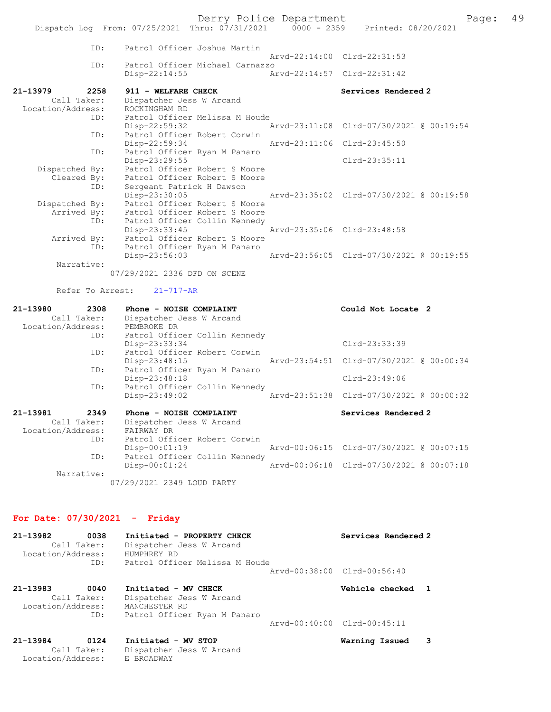Derry Police Department Fage: 49

|                   |     | Dispatch Log From: 07/25/2021 Thru: 07/31/2021 0000 - 2359 Printed: 08/20/2021 |                             |                                          |
|-------------------|-----|--------------------------------------------------------------------------------|-----------------------------|------------------------------------------|
|                   |     | ID: Patrol Officer Joshua Martin                                               |                             |                                          |
|                   |     |                                                                                |                             | Arvd-22:14:00 Clrd-22:31:53              |
|                   | ID: | Patrol Officer Michael Carnazzo                                                |                             |                                          |
|                   |     | $Disp-22:14:55$                                                                | Arvd-22:14:57 Clrd-22:31:42 |                                          |
| 21-13979 2258     |     | 911 - WELFARE CHECK                                                            |                             | Services Rendered 2                      |
| Call Taker:       |     | Dispatcher Jess W Arcand                                                       |                             |                                          |
| Location/Address: |     | ROCKINGHAM RD                                                                  |                             |                                          |
|                   | ID: | Patrol Officer Melissa M Houde                                                 |                             |                                          |
|                   |     | Disp-22:59:32 Arvd-23:11:08 Clrd-07/30/2021 @ 00:19:54                         |                             |                                          |
|                   | ID: | Patrol Officer Robert Corwin                                                   |                             |                                          |
|                   |     | Disp-22:59:34 Arvd-23:11:06 Clrd-23:45:50                                      |                             |                                          |
|                   | ID: | Patrol Officer Ryan M Panaro                                                   |                             |                                          |
|                   |     | Disp-23:29:55                                                                  |                             | Clrd-23:35:11                            |
| Dispatched By:    |     | Patrol Officer Robert S Moore                                                  |                             |                                          |
| Cleared By:       |     | Patrol Officer Robert S Moore                                                  |                             |                                          |
|                   | ID: | Sergeant Patrick H Dawson                                                      |                             |                                          |
|                   |     | Disp-23:30:05 Arvd-23:35:02 Clrd-07/30/2021 @ 00:19:58                         |                             |                                          |
| Dispatched By:    |     | Patrol Officer Robert S Moore                                                  |                             |                                          |
|                   |     | Arrived By: Patrol Officer Robert S Moore                                      |                             |                                          |
|                   | ID: | Patrol Officer Collin Kennedy                                                  |                             |                                          |
|                   |     | Disp-23:33:45 Arvd-23:35:06 Clrd-23:48:58                                      |                             |                                          |
| Arrived By:       |     | Patrol Officer Robert S Moore                                                  |                             |                                          |
|                   | ID: | Patrol Officer Ryan M Panaro                                                   |                             |                                          |
|                   |     | $Disp-23:56:03$                                                                |                             | Arvd-23:56:05 Clrd-07/30/2021 @ 00:19:55 |
| Narrative:        |     |                                                                                |                             |                                          |
|                   |     |                                                                                |                             |                                          |

07/29/2021 2336 DFD ON SCENE

## Refer To Arrest: 21-717-AR

| 21-13980<br>2308              | Phone - NOISE COMPLAINT       | Could Not Locate 2                       |
|-------------------------------|-------------------------------|------------------------------------------|
| Call Taker:                   | Dispatcher Jess W Arcand      |                                          |
| Location/Address: PEMBROKE DR |                               |                                          |
| ID:                           | Patrol Officer Collin Kennedy |                                          |
|                               | Disp-23:33:34                 | Clrd-23:33:39                            |
| ID:                           | Patrol Officer Robert Corwin  |                                          |
|                               | $Disp-23:48:15$               | Arvd-23:54:51 Clrd-07/30/2021 @ 00:00:34 |
| ID:                           | Patrol Officer Ryan M Panaro  |                                          |
|                               | Disp-23:48:18                 | Clrd-23:49:06                            |
| ID:                           | Patrol Officer Collin Kennedy |                                          |
|                               | $Disp-23:49:02$               | Arvd-23:51:38 Clrd-07/30/2021 @ 00:00:32 |
| 21-13981<br>2349              | Phone - NOISE COMPLAINT       | Services Rendered 2                      |
| Call Taker:                   | Dispatcher Jess W Arcand      |                                          |
| Location/Address:             | FAIRWAY DR                    |                                          |
| ID:                           | Patrol Officer Robert Corwin  |                                          |
|                               | $Disp-00:01:19$               | Arvd-00:06:15 Clrd-07/30/2021 @ 00:07:15 |
| ID:                           | Patrol Officer Collin Kennedy |                                          |
|                               | $Disp-00:01:24$               | Arvd-00:06:18 Clrd-07/30/2021 @ 00:07:18 |
| Narrative:                    |                               |                                          |
|                               | 07/29/2021 2349 LOUD PARTY    |                                          |

# For Date: 07/30/2021 - Friday

| 21-13982<br>Location/Address: | 0038<br>Call Taker:<br>ID: | Initiated - PROPERTY CHECK<br>Dispatcher Jess W Arcand<br>HUMPHREY RD<br>Patrol Officer Melissa M Houde | Services Rendered 2         |  |
|-------------------------------|----------------------------|---------------------------------------------------------------------------------------------------------|-----------------------------|--|
|                               |                            |                                                                                                         | Aryd-00:38:00 Clrd-00:56:40 |  |
| 21-13983<br>Location/Address: | 0040<br>Call Taker:<br>ID: | Initiated - MV CHECK<br>Dispatcher Jess W Arcand<br>MANCHESTER RD<br>Patrol Officer Ryan M Panaro       | Vehicle checked             |  |
|                               |                            |                                                                                                         | Arvd-00:40:00 Clrd-00:45:11 |  |
| 21-13984                      | 0124                       | Initiated - MV STOP                                                                                     | Warning Issued              |  |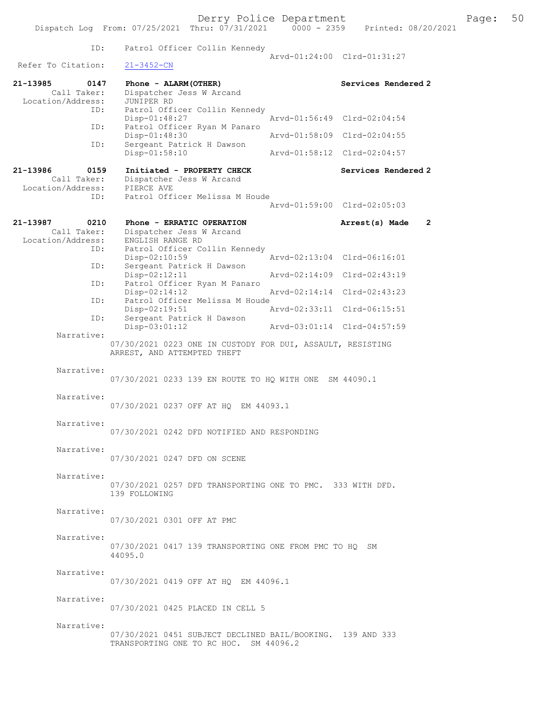| ID:                                                  | Patrol Officer Collin Kennedy                                                                        | Arvd-01:24:00 Clrd-01:31:27 |                                  |
|------------------------------------------------------|------------------------------------------------------------------------------------------------------|-----------------------------|----------------------------------|
| Refer To Citation:                                   | $21 - 3452 - CN$                                                                                     |                             |                                  |
| 21-13985<br>0147<br>Call Taker:                      | Phone - ALARM (OTHER)<br>Dispatcher Jess W Arcand                                                    |                             | Services Rendered 2              |
| Location/Address:<br>ID:                             | JUNIPER RD<br>Patrol Officer Collin Kennedy                                                          |                             |                                  |
| ID:                                                  | $Disp-01:48:27$<br>Patrol Officer Ryan M Panaro                                                      | Arvd-01:56:49 Clrd-02:04:54 |                                  |
| ID:                                                  | Disp-01:48:30<br>Sergeant Patrick H Dawson                                                           | Arvd-01:58:09               | $Clrd-02:04:55$                  |
|                                                      | $Disp-01:58:10$                                                                                      | Arvd-01:58:12 Clrd-02:04:57 |                                  |
| 21-13986<br>0159<br>Call Taker:<br>Location/Address: | Initiated - PROPERTY CHECK<br>Dispatcher Jess W Arcand<br>PIERCE AVE                                 |                             | Services Rendered 2              |
| ID:                                                  | Patrol Officer Melissa M Houde                                                                       | Arvd-01:59:00 Clrd-02:05:03 |                                  |
| 21-13987<br>0210<br>Call Taker:<br>Location/Address: | Phone - ERRATIC OPERATION<br>Dispatcher Jess W Arcand<br>ENGLISH RANGE RD                            |                             | Arrest(s) Made<br>$\overline{2}$ |
| ID:                                                  | Patrol Officer Collin Kennedy<br>Disp-02:10:59                                                       | Arvd-02:13:04 Clrd-06:16:01 |                                  |
| ID:                                                  | Sergeant Patrick H Dawson<br>Disp-02:12:11                                                           | Arvd-02:14:09 Clrd-02:43:19 |                                  |
| ID:                                                  | Patrol Officer Ryan M Panaro<br>Disp-02:14:12                                                        | Arvd-02:14:14               | $Clrd-02:43:23$                  |
| ID:<br>ID:                                           | Patrol Officer Melissa M Houde<br>Disp-02:19:51<br>Sergeant Patrick H Dawson                         | Arvd-02:33:11 Clrd-06:15:51 |                                  |
| Narrative:                                           | Disp-03:01:12                                                                                        | Arvd-03:01:14 Clrd-04:57:59 |                                  |
|                                                      | 07/30/2021 0223 ONE IN CUSTODY FOR DUI, ASSAULT, RESISTING<br>ARREST, AND ATTEMPTED THEFT            |                             |                                  |
| Narrative:                                           | 07/30/2021 0233 139 EN ROUTE TO HQ WITH ONE SM 44090.1                                               |                             |                                  |
| Narrative:                                           | 07/30/2021 0237 OFF AT HO EM 44093.1                                                                 |                             |                                  |
| Narrative:                                           | 07/30/2021 0242 DFD NOTIFIED AND RESPONDING                                                          |                             |                                  |
| Narrative:                                           | 07/30/2021 0247 DFD ON SCENE                                                                         |                             |                                  |
| Narrative:                                           | 07/30/2021 0257 DFD TRANSPORTING ONE TO PMC. 333 WITH DFD.<br>139 FOLLOWING                          |                             |                                  |
| Narrative:                                           | 07/30/2021 0301 OFF AT PMC                                                                           |                             |                                  |
| Narrative:                                           | 07/30/2021 0417 139 TRANSPORTING ONE FROM PMC TO HQ SM<br>44095.0                                    |                             |                                  |
| Narrative:                                           | 07/30/2021 0419 OFF AT HQ EM 44096.1                                                                 |                             |                                  |
| Narrative:                                           | 07/30/2021 0425 PLACED IN CELL 5                                                                     |                             |                                  |
| Narrative:                                           | 07/30/2021 0451 SUBJECT DECLINED BAIL/BOOKING. 139 AND 333<br>TRANSPORTING ONE TO RC HOC. SM 44096.2 |                             |                                  |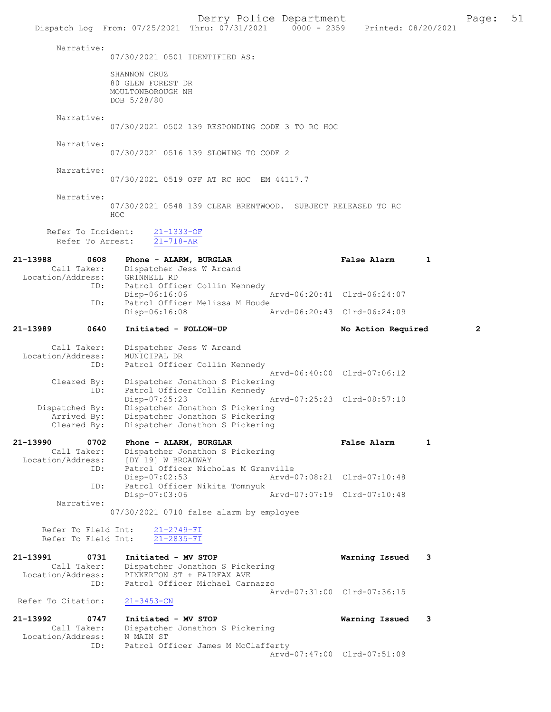Derry Police Department<br>
Page: 51 (17/31/2021 0000 - 2359 Printed: 08/20/2021 Dispatch Log From:  $07/25/2021$  Thru:  $07/31/2021$  0000 - 2359 Narrative: 07/30/2021 0501 IDENTIFIED AS: SHANNON CRUZ 80 GLEN FOREST DR MOULTONBOROUGH NH DOB 5/28/80 Narrative: 07/30/2021 0502 139 RESPONDING CODE 3 TO RC HOC Narrative: 07/30/2021 0516 139 SLOWING TO CODE 2 Narrative: 07/30/2021 0519 OFF AT RC HOC EM 44117.7 Narrative: 07/30/2021 0548 139 CLEAR BRENTWOOD. SUBJECT RELEASED TO RC HO<sub>C</sub> Refer To Incident: 21-1333-OF Refer To Arrest: 21-718-AR 21-13988 0608 Phone - ALARM, BURGLAR **False Alarm** 1<br>Call Taker: Dispatcher Jess W Arcand Dispatcher Jess W Arcand<br>GRINNELL RD Location/Address:<br>ID: Patrol Officer Collin Kennedy<br>Disp-06:16:06 Disp-06:16:06 Arvd-06:20:41 Clrd-06:24:07 ID: Patrol Officer Melissa M Houde<br>Disp-06:16:08 Disp-06:16:08 Arvd-06:20:43 Clrd-06:24:09 21-13989 0640 Initiated - FOLLOW-UP No Action Required 2 Call Taker: Dispatcher Jess W Arcand<br>.on/Address: MUNICIPAL DR Location/Address: ID: Patrol Officer Collin Kennedy Arvd-06:40:00 Cleared By: Dispatcher Jonathon S Pickering<br>Cleared By: Dispatcher Jonathon S Pickering Dispatcher Jonathon S Pickering ID: Patrol Officer Collin Kennedy<br>Disp-07:25:23 Disp-07:25:23 <br>Dispatched By: Dispatcher Jonathon S Pickering patched By: Dispatcher Jonathon S Pickering<br>Arrived By: Dispatcher Jonathon S Pickering Dispatcher Jonathon S Pickering Cleared By: Dispatcher Jonathon S Pickering 21-13990 0702 Phone - ALARM, BURGLAR False Alarm 1<br>Call Taker: Dispatcher Jonathon S Pickering Call Taker: Dispatcher Jonathon S Pickering<br>Location/Address: [DY 19] W BROADWAY [DY 19] W BROADWAY ID: Patrol Officer Nicholas M Granville Disp-07:02:53 Arvd-07:08:21 Clrd-07:10:48 ID: Patrol Officer Nikita Tomnyuk Disp-07:03:06 Arvd-07:07:19 Clrd-07:10:48 Narrative: 07/30/2021 0710 false alarm by employee Refer To Field Int:  $\frac{21-2749-FI}{21-2835-FI}$ Refer To Field Int: 21-13991 0731 Initiated - MV STOP Warning Issued 3 Call Taker: Dispatcher Jonathon S Pickering<br>Location/Address: PINKERTON ST + FAIRFAX AVE ess: PINKERTON ST + FAIRFAX AVE<br>TD: Patrol Officer Michael Carr Patrol Officer Michael Carnazzo Arvd-07:31:00 Clrd-07:36:15<br>21-3453-CN Refer To Citation: 21-13992 0747 Initiated - MV STOP 121-13992 0747 Initiated - MV STOP 121 Warning Issued 3 Dispatcher Jonathon S Pickering<br>N MAIN ST Location/Address: ID: Patrol Officer James M McClafferty Arvd-07:47:00 Clrd-07:51:09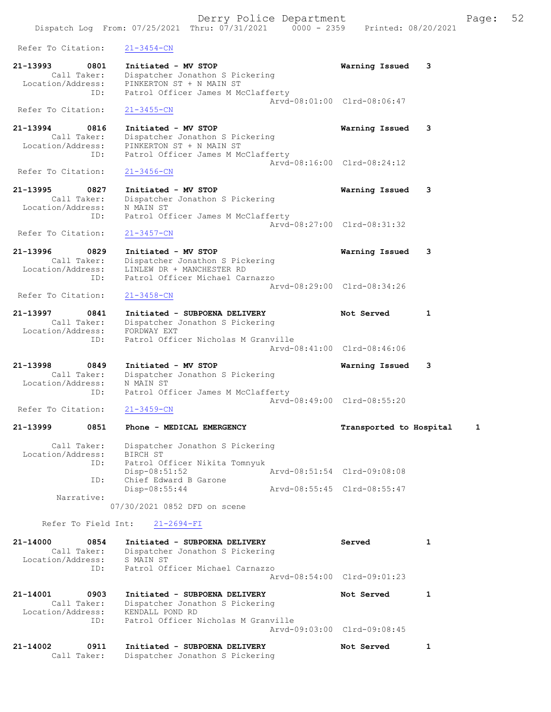Dispatch Log From: 07/25/2021 Thru: 07/31/2021 0000 - 2359 Printed: 08/20/2021 Refer To Citation: 21-3454-CN 21-13993 0801 Initiated - MV STOP Warning Issued 3 Call Taker: Dispatcher Jonathon S Pickering Location/Address: PINKERTON ST + N MAIN ST ID: Patrol Officer James M McClafferty Arvd-08:01:00 Clrd-08:06:47 Refer To Citation: 21-3455-CN 21-13994 0816 Initiated - MV STOP Warning Issued 3 Call Taker: Dispatcher Jonathon S Pickering Location/Address: PINKERTON ST + N MAIN ST ID: Patrol Officer James M McClafferty Arvd-08:16:00 Clrd-08:24:12<br>21-3456-CN Refer To Citation: 21-13995 0827 Initiated - MV STOP Warning Issued 3 Call Taker: Dispatcher Jonathon S Pickering Location/Address: N MAIN ST ID: Patrol Officer James M McClafferty Arvd-08:27:00 Clrd-08:31:32 Refer To Citation: 21-3457-CN 21-13996 0829 Initiated - MV STOP Warning Issued 3 Call Taker: Dispatcher Jonathon S Pickering Location/Address: LINLEW DR + MANCHESTER RD ID: Patrol Officer Michael Carnazzo Arvd-08:29:00 Clrd-08:34:26<br>21-3458-CN Refer To Citation: 21-13997 0841 Initiated - SUBPOENA DELIVERY Not Served 1 Call Taker: Dispatcher Jonathon S Pickering Location/Address: FORDWAY EXT ID: Patrol Officer Nicholas M Granville Arvd-08:41:00 Clrd-08:46:06 21-13998 0849 Initiated - MV STOP Warning Issued 3 Call Taker: Dispatcher Jonathon S Pickering Location/Address: N MAIN ST ID: Patrol Officer James M McClafferty Arvd-08:49:00 Clrd-08:55:20 Refer To Citation: 21-3459-CN 21-13999 0851 Phone - MEDICAL EMERGENCY Transported to Hospital 1 Call Taker: Dispatcher Jonathon S Pickering Location/Address: BIRCH ST ID: Patrol Officer Nikita Tomnyuk Disp-08:51:52 Arvd-08:51:54 Clrd-09:08:08 ID: Chief Edward B Garone<br>Disp-08:55:44 Disp-08:55:44 Arvd-08:55:45 Clrd-08:55:47 Narrative: 07/30/2021 0852 DFD on scene Refer To Field Int: 21-2694-FI 21-14000 0854 Initiated - SUBPOENA DELIVERY Served 1 Call Taker: Dispatcher Jonathon S Pickering<br>cation/Address: S MAIN ST Location/Address: ess: 5 MAIN 51<br>ID: Patrol Officer Michael Carnazzo Arvd-08:54:00 Clrd-09:01:23 21-14001 0903 Initiated - SUBPOENA DELIVERY Not Served 1 Call Taker: Dispatcher Jonathon S Pickering Location/Address: KENDALL POND RD ID: Patrol Officer Nicholas M Granville Arvd-09:03:00 Clrd-09:08:45 21-14002 0911 Initiated - SUBPOENA DELIVERY Not Served 1

Call Taker: Dispatcher Jonathon S Pickering

Derry Police Department Fage: 52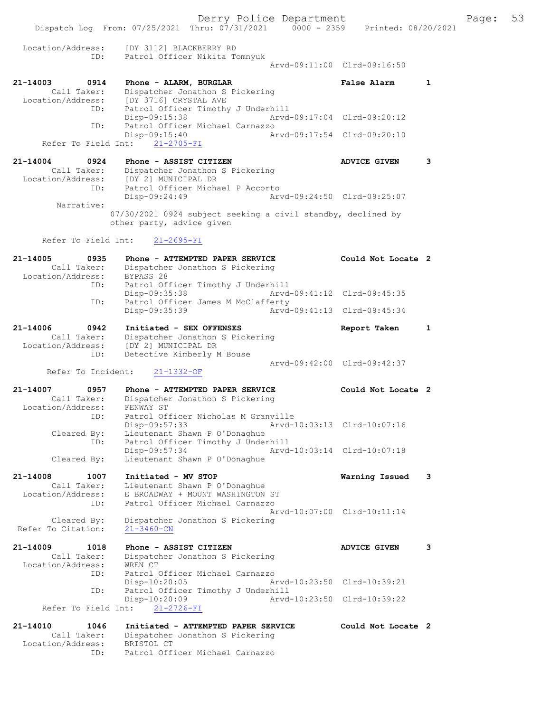Derry Police Department Fage: 53 Dispatch Log From: 07/25/2021 Thru: 07/31/2021 0000 - 2359 Printed: 08/20/2021 Location/Address: [DY 3112] BLACKBERRY RD ID: Patrol Officer Nikita Tomnyuk Arvd-09:11:00 Clrd-09:16:50 21-14003 0914 Phone - ALARM, BURGLAR False Alarm 1 Call Taker: Dispatcher Jonathon S Pickering Location/Address: [DY 3716] CRYSTAL AVE ID: Patrol Officer Timothy J Underhill Disp-09:15:38 Arvd-09:17:04 Clrd-09:20:12<br>ID: Patrol Officer Michael Carnazzo Patrol Officer Michael Carnazzo Disp-09:15:40 Arvd-09:17:54 Clrd-09:20:10 Refer To Field Int: 21-2705-FI 21-14004 0924 Phone - ASSIST CITIZEN ADVICE GIVEN 3 Call Taker: Dispatcher Jonathon S Pickering Location/Address: [DY 2] MUNICIPAL DR ID: Patrol Officer Michael P Accorto<br>Disp-09:24:49 Arv Disp-09:24:49 Arvd-09:24:50 Clrd-09:25:07 Narrative: 07/30/2021 0924 subject seeking a civil standby, declined by other party, advice given Refer To Field Int: 21-2695-FI 21-14005 0935 Phone - ATTEMPTED PAPER SERVICE Could Not Locate 2 Call Taker: Dispatcher Jonathon S Pickering Location/Address: BYPASS 28 ID: Patrol Officer Timothy J Underhill Disp-09:35:38 Arvd-09:41:12 Clrd-09:45:35 ID: Patrol Officer James M McClafferty<br>Disp-09:35:39 Arvd- Disp-09:35:39 Arvd-09:41:13 Clrd-09:45:34 21-14006 0942 Initiated - SEX OFFENSES Report Taken 1 Call Taker: Dispatcher Jonathon S Pickering Location/Address: [DY 2] MUNICIPAL DR ID: Detective Kimberly M Bouse Arvd-09:42:00 Clrd-09:42:37 Refer To Incident: 21-1332-OF 21-14007 0957 Phone - ATTEMPTED PAPER SERVICE Could Not Locate 2 Call Taker: Dispatcher Jonathon S Pickering Location/Address: FENWAY ST Cess: FENWAL 31<br>ID: Patrol Officer Nicholas M Granville<sub>.</sub> Disp-09:57:33 Arvd-10:03:13 Clrd-10:07:16 Cleared By: Lieutenant Shawn P O'Donaghue ID: Patrol Officer Timothy J Underhill Disp-09:57:34 Arvd-10:03:14 Clrd-10:07:18 Cleared By: Lieutenant Shawn P O'Donaghue 21-14008 1007 Initiated - MV STOP Warning Issued 3 Call Taker: Lieutenant Shawn P O'Donaghue Location/Address: E BROADWAY + MOUNT WASHINGTON ST ID: Patrol Officer Michael Carnazzo Arvd-10:07:00 Clrd-10:11:14 Cleared By: Dispatcher Jonathon S Pickering Refer To Citation: 21-3460-CN 21-14009 1018 Phone - ASSIST CITIZEN ADVICE GIVEN 3 Call Taker: Dispatcher Jonathon S Pickering<br>cion/Address: WREN CT Location/Address:<br>TD: Patrol Officer Michael Carnazzo Disp-10:20:05 Arvd-10:23:50 Clrd-10:39:21 ID: Patrol Officer Timothy J Underhill Disp-10:20:09 Arvd-10:23:50 Clrd-10:39:22 Refer To Field Int: 21-2726-FI 21-14010 1046 Initiated - ATTEMPTED PAPER SERVICE Could Not Locate 2 Call Taker: Dispatcher Jonathon S Pickering Location/Address: BRISTOL CT ID: Patrol Officer Michael Carnazzo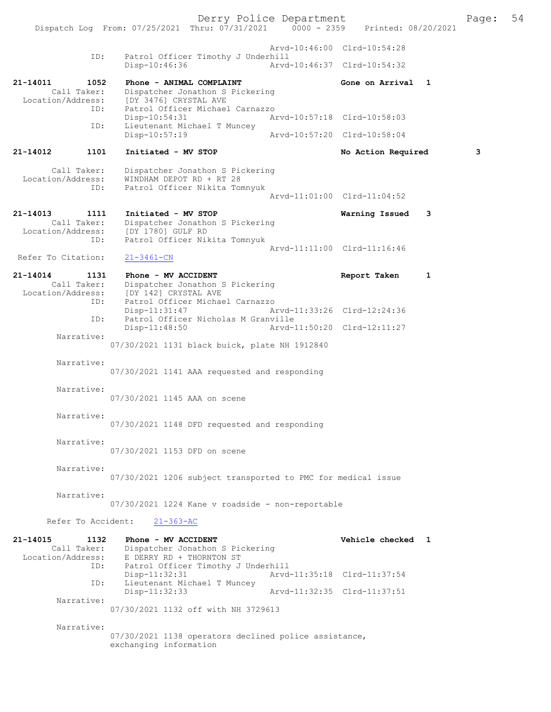Derry Police Department<br>
Page: 54 Printed: 08/20/2021 0000 - 2359 Printed: 08/20/2021 Dispatch Log From: 07/25/2021 Thru: 07/31/2021 Arvd-10:46:00 Clrd-10:54:28 ID: Patrol Officer Timothy J Underhill<br>Disp-10:46:36 Arvd Arvd-10:46:37 Clrd-10:54:32 21-14011 1052 Phone - ANIMAL COMPLAINT Gone on Arrival 1 Call Taker: Dispatcher Jonathon S Pickering<br>Location/Address: [DY 3476] CRYSTAL AVE ess: [DY 3476] CRYSTAL AVE<br>ID: Patrol Officer Michael Patrol Officer Michael Carnazzo<br>Disp-10:54:31 A Disp-10:54:31 Arvd-10:57:18 Clrd-10:58:03<br>ID: Lieutenant Michael T Muncey Lieutenant Michael T Muncey Disp-10:57:19 Arvd-10:57:20 Clrd-10:58:04 21-14012 1101 Initiated - MV STOP No Action Required 3 Call Taker: Dispatcher Jonathon S Pickering<br>Location/Address: WINDHAM DEPOT RD + RT 28 ess: WINDHAM DEPOT RD + RT 28<br>TD: Patrol Officer Nikita Tom Patrol Officer Nikita Tomnyuk Arvd-11:01:00 Clrd-11:04:52 21-14013 1111 Initiated - MV STOP 114013 1111 1111 Initiated - MV STOP 1111 21-14013 Call Taker: Dispatcher Jonathon S Pickering<br>Location/Address: [DY 1780] GULF RD [DY 1780] GULF RD ID: Patrol Officer Nikita Tomnyuk Arvd-11:11:00 Clrd-11:16:46<br>21-3461-CN Refer To Citation: 21-14014 1131 Phone - MV ACCIDENT Report Taken 1<br>Call Taker: Dispatcher Jonathon S Pickering Call Taker: Dispatcher Jonathon S Pickering<br>Location/Address: [DY 142] CRYSTAL AVE ess: [DY 142] CRYSTAL AVE<br>ID: Patrol Officer Michae Patrol Officer Michael Carnazzo<br>Disp-11:31:47 A Disp-11:31:47 Arvd-11:33:26 Clrd-12:24:36<br>TD: Patrol Officer Nicholas M Granville Patrol Officer Nicholas M Granville Disp-11:48:50 Arvd-11:50:20 Clrd-12:11:27 Narrative: 07/30/2021 1131 black buick, plate NH 1912840 Narrative: 07/30/2021 1141 AAA requested and responding Narrative: 07/30/2021 1145 AAA on scene Narrative: 07/30/2021 1148 DFD requested and responding Narrative: 07/30/2021 1153 DFD on scene Narrative: 07/30/2021 1206 subject transported to PMC for medical issue Narrative: 07/30/2021 1224 Kane v roadside - non-reportable Refer To Accident: 21-363-AC 21-14015 1132 Phone - MV ACCIDENT Vehicle checked 1<br>Call Taker: Dispatcher Jonathon S Pickering Call Taker: Dispatcher Jonathon S Pickering<br>Location/Address: E DERRY RD + THORNTON ST E DERRY RD + THORNTON ST ID: Patrol Officer Timothy J Underhill Disp-11:32:31 Arvd-11:35:18 Clrd-11:37:54<br>The Lieutenant Michael T Muncey Lieutenant Michael T Muncey<br>Disp-11:32:33 Disp-11:32:33 Arvd-11:32:35 Clrd-11:37:51 Narrative: 07/30/2021 1132 off with NH 3729613 Narrative: 07/30/2021 1138 operators declined police assistance, exchanging information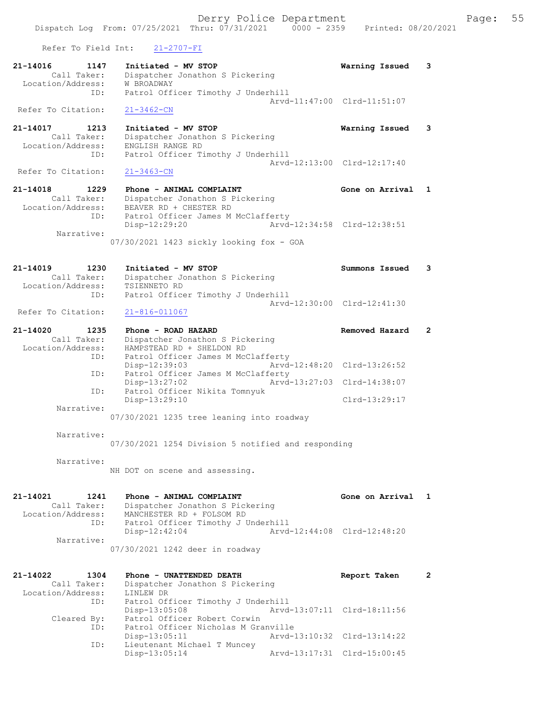Derry Police Department Fage: 55 Dispatch Log From: 07/25/2021 Thru: 07/31/2021 0000 - 2359 Printed: 08/20/2021 Refer To Field Int: 21-2707-FI 21-14016 1147 Initiated - MV STOP Warning Issued 3 Call Taker: Dispatcher Jonathon S Pickering Location/Address: W BROADWAY ID: Patrol Officer Timothy J Underhill Arvd-11:47:00 Clrd-11:51:07 Refer To Citation: 21-3462-CN 21-14017 1213 Initiated - MV STOP Warning Issued 3 Call Taker: Dispatcher Jonathon S Pickering Location/Address: ENGLISH RANGE RD ID: Patrol Officer Timothy J Underhill Arvd-12:13:00 Clrd-12:17:40<br>21-3463-CN Refer To Citation: 21-14018 1229 Phone - ANIMAL COMPLAINT Gone on Arrival 1 Call Taker: Dispatcher Jonathon S Pickering Location/Address: BEAVER RD + CHESTER RD ID: Patrol Officer James M McClafferty<br>Disp-12:29:20 Arvd- Disp-12:29:20 Arvd-12:34:58 Clrd-12:38:51 Narrative: 07/30/2021 1423 sickly looking fox - GOA 21-14019 1230 Initiated - MV STOP Summons Issued 3

 Call Taker: Dispatcher Jonathon S Pickering Location/Address: TSIENNETO RD ID: Patrol Officer Timothy J Underhill Arvd-12:30:00 Clrd-12:41:30

Refer To Citation: 21-816-011067

| 21-14020          | 1235        | Phone - ROAD HAZARD                |                             | Removed Hazard | $\overline{2}$ |
|-------------------|-------------|------------------------------------|-----------------------------|----------------|----------------|
|                   | Call Taker: | Dispatcher Jonathon S Pickering    |                             |                |                |
| Location/Address: |             | HAMPSTEAD RD + SHELDON RD          |                             |                |                |
|                   | ID:         | Patrol Officer James M McClafferty |                             |                |                |
|                   |             | $Disp-12:39:03$                    | Arvd-12:48:20 Clrd-13:26:52 |                |                |
|                   | ID:         | Patrol Officer James M McClafferty |                             |                |                |
|                   |             | $Disp-13:27:02$                    | Arvd-13:27:03 Clrd-14:38:07 |                |                |
|                   | ID:         | Patrol Officer Nikita Tomnyuk      |                             |                |                |
|                   |             | Disp-13:29:10                      |                             | Clrd-13:29:17  |                |
|                   | Narrative:  |                                    |                             |                |                |
|                   |             |                                    |                             |                |                |

07/30/2021 1235 tree leaning into roadway

Narrative:

07/30/2021 1254 Division 5 notified and responding

Narrative:

NH DOT on scene and assessing.

21-14021 1241 Phone - ANIMAL COMPLAINT New Sone on Arrival 1 Call Taker: Dispatcher Jonathon S Pickering Location/Address: MANCHESTER RD + FOLSOM RD ID: Patrol Officer Timothy J Underhill ID: Patrol Officer Timothy J Underhill<br>Disp-12:42:04 Arvd-12:44:08 Clrd-12:48:20 Narrative: 07/30/2021 1242 deer in roadway

| 21-14022          | 1304        | Phone - UNATTENDED DEATH            | Report Taken                |  |
|-------------------|-------------|-------------------------------------|-----------------------------|--|
|                   | Call Taker: | Dispatcher Jonathon S Pickering     |                             |  |
| Location/Address: |             | LINLEW DR                           |                             |  |
|                   | ID:         | Patrol Officer Timothy J Underhill  |                             |  |
|                   |             | $Disp-13:05:08$                     | Arvd-13:07:11 Clrd-18:11:56 |  |
|                   | Cleared By: | Patrol Officer Robert Corwin        |                             |  |
|                   | ID:         | Patrol Officer Nicholas M Granville |                             |  |
|                   |             | $Disp-13:05:11$                     | Arvd-13:10:32 Clrd-13:14:22 |  |
|                   | ID:         | Lieutenant Michael T Muncey         |                             |  |
|                   |             | Disp-13:05:14                       | Arvd-13:17:31 Clrd-15:00:45 |  |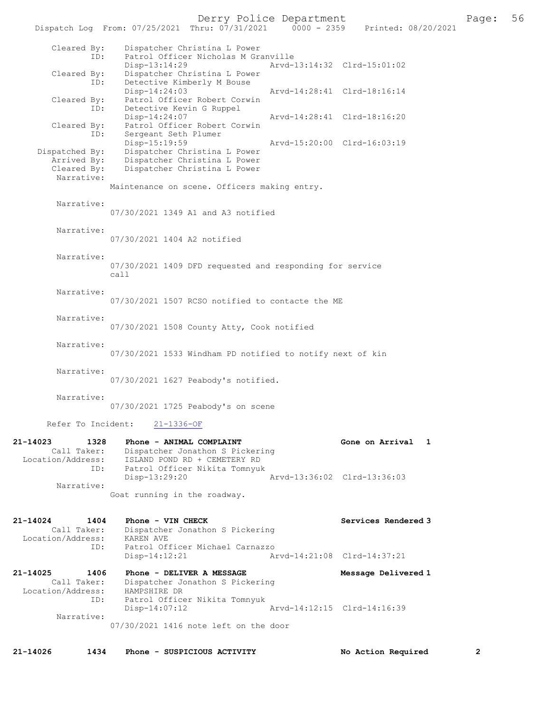|                                                                 | Dispatch Log From: 07/25/2021 Thru: 07/31/2021<br>$0000 - 2359$                             | Printed: 08/20/2021                         |
|-----------------------------------------------------------------|---------------------------------------------------------------------------------------------|---------------------------------------------|
| Cleared By:<br>ID:                                              | Dispatcher Christina L Power<br>Patrol Officer Nicholas M Granville<br>Disp-13:14:29        | Arvd-13:14:32 Clrd-15:01:02                 |
| Cleared By:<br>ID:                                              | Dispatcher Christina L Power<br>Detective Kimberly M Bouse                                  |                                             |
| Cleared By:<br>ID:                                              | Disp-14:24:03<br>Patrol Officer Robert Corwin<br>Detective Kevin G Ruppel                   | Arvd-14:28:41 Clrd-18:16:14                 |
| Cleared By:<br>ID:                                              | Disp-14:24:07<br>Patrol Officer Robert Corwin<br>Sergeant Seth Plumer                       | Arvd-14:28:41 Clrd-18:16:20                 |
| Dispatched By:<br>Arrived By:                                   | Disp-15:19:59<br>Dispatcher Christina L Power<br>Dispatcher Christina L Power               | Arvd-15:20:00 Clrd-16:03:19                 |
| Cleared By:<br>Narrative:                                       | Dispatcher Christina L Power<br>Maintenance on scene. Officers making entry.                |                                             |
| Narrative:                                                      | 07/30/2021 1349 A1 and A3 notified                                                          |                                             |
| Narrative:                                                      | 07/30/2021 1404 A2 notified                                                                 |                                             |
| Narrative:                                                      | 07/30/2021 1409 DFD requested and responding for service<br>cal1                            |                                             |
| Narrative:                                                      | 07/30/2021 1507 RCSO notified to contacte the ME                                            |                                             |
| Narrative:                                                      | 07/30/2021 1508 County Atty, Cook notified                                                  |                                             |
| Narrative:                                                      | 07/30/2021 1533 Windham PD notified to notify next of kin                                   |                                             |
| Narrative:                                                      | 07/30/2021 1627 Peabody's notified.                                                         |                                             |
| Narrative:                                                      | 07/30/2021 1725 Peabody's on scene                                                          |                                             |
| Refer To Incident:                                              | $21 - 1336 - OF$                                                                            |                                             |
| 21-14023<br>1328<br>Call Taker:<br>Location/Address:            | Phone - ANIMAL COMPLAINT<br>Dispatcher Jonathon S Pickering<br>ISLAND POND RD + CEMETERY RD | Gone on Arrival<br>1                        |
| ID:<br>Narrative:                                               | Patrol Officer Nikita Tomnyuk<br>Disp-13:29:20                                              | Arvd-13:36:02 Clrd-13:36:03                 |
|                                                                 | Goat running in the roadway.                                                                |                                             |
| $21 - 14024$<br>1404<br>Call Taker:<br>Location/Address:        | Phone - VIN CHECK<br>Dispatcher Jonathon S Pickering<br>KAREN AVE                           | Services Rendered 3                         |
| ID:                                                             | Patrol Officer Michael Carnazzo<br>$Disp-14:12:21$                                          | Arvd-14:21:08 Clrd-14:37:21                 |
| $21 - 14025$<br>1406<br>Call Taker:<br>Location/Address:<br>ID: | Phone - DELIVER A MESSAGE<br>Dispatcher Jonathon S Pickering<br>HAMPSHIRE DR                | Message Delivered 1                         |
|                                                                 | Patrol Officer Nikita Tomnyuk<br>$Disp-14:07:12$                                            | Arvd-14:12:15 Clrd-14:16:39                 |
| Narrative:                                                      | 07/30/2021 1416 note left on the door                                                       |                                             |
| $21 - 14026$<br>1434                                            | Phone - SUSPICIOUS ACTIVITY                                                                 | $\mathbf{2}^{\prime}$<br>No Action Required |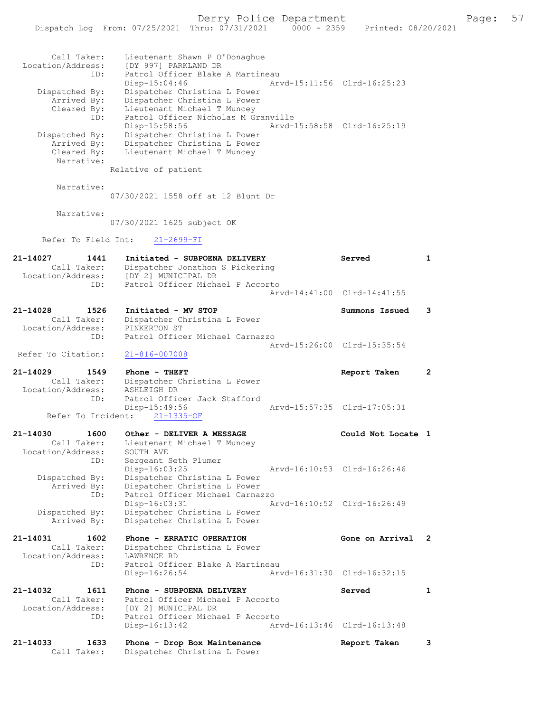# Derry Police Department Fage: 57

|                                  | Dispatch Log From: 07/25/2021 Thru: 07/31/2021                           | $0000 - 2359$ | Printed: 08/20/2021         |              |
|----------------------------------|--------------------------------------------------------------------------|---------------|-----------------------------|--------------|
|                                  |                                                                          |               |                             |              |
| Call Taker:                      | Lieutenant Shawn P O'Donaghue                                            |               |                             |              |
| Location/Address:<br>ID:         | [DY 997] PARKLAND DR<br>Patrol Officer Blake A Martineau                 |               |                             |              |
|                                  | Disp-15:04:46                                                            |               | Arvd-15:11:56 Clrd-16:25:23 |              |
| Dispatched By:                   | Dispatcher Christina L Power                                             |               |                             |              |
| Arrived By:<br>Cleared By:       | Dispatcher Christina L Power<br>Lieutenant Michael T Muncey              |               |                             |              |
| ID:                              | Patrol Officer Nicholas M Granville                                      |               |                             |              |
|                                  | $Disp-15:58:56$                                                          |               | Arvd-15:58:58 Clrd-16:25:19 |              |
| Dispatched By:<br>Arrived By:    | Dispatcher Christina L Power<br>Dispatcher Christina L Power             |               |                             |              |
| Cleared By:                      | Lieutenant Michael T Muncey                                              |               |                             |              |
| Narrative:                       | Relative of patient                                                      |               |                             |              |
|                                  |                                                                          |               |                             |              |
| Narrative:                       | 07/30/2021 1558 off at 12 Blunt Dr                                       |               |                             |              |
|                                  |                                                                          |               |                             |              |
| Narrative:                       |                                                                          |               |                             |              |
|                                  | 07/30/2021 1625 subject OK                                               |               |                             |              |
| Refer To Field Int:              | $21 - 2699 - FI$                                                         |               |                             |              |
| 21-14027<br>1441                 | Initiated - SUBPOENA DELIVERY                                            |               | Served                      | $\mathbf{1}$ |
| Call Taker:                      | Dispatcher Jonathon S Pickering<br>Location/Address: [DY 2] MUNICIPAL DR |               |                             |              |
| ID:                              | Patrol Officer Michael P Accorto                                         |               |                             |              |
|                                  |                                                                          |               | Arvd-14:41:00 Clrd-14:41:55 |              |
| 21-14028<br>1526                 | Initiated - MV STOP                                                      |               | Summons Issued              | 3            |
| Call Taker:<br>Location/Address: | Dispatcher Christina L Power<br>PINKERTON ST                             |               |                             |              |
| ID:                              | Patrol Officer Michael Carnazzo                                          |               |                             |              |
| Refer To Citation:               | $21 - 816 - 007008$                                                      |               | Arvd-15:26:00 Clrd-15:35:54 |              |
|                                  |                                                                          |               |                             |              |
| 21-14029<br>1549                 | Phone - THEFT                                                            |               | Report Taken                | $\mathbf{2}$ |
| Call Taker:<br>Location/Address: | Dispatcher Christina L Power<br>ASHLEIGH DR                              |               |                             |              |
| ID:                              | Patrol Officer Jack Stafford                                             |               |                             |              |
| Refer To Incident:               | $Disp-15:49:56$<br>$21 - 1335 - OF$                                      |               | Arvd-15:57:35 Clrd-17:05:31 |              |
|                                  |                                                                          |               |                             |              |
| 21-14030<br>1600<br>Call Taker:  | Other - DELIVER A MESSAGE<br>Lieutenant Michael T Muncey                 |               | Could Not Locate 1          |              |
| Location/Address:                | SOUTH AVE                                                                |               |                             |              |
| ID:                              | Sergeant Seth Plumer<br>Disp-16:03:25                                    |               | Arvd-16:10:53 Clrd-16:26:46 |              |
| Dispatched By:                   | Dispatcher Christina L Power                                             |               |                             |              |
| Arrived By:                      | Dispatcher Christina L Power<br>Patrol Officer Michael Carnazzo          |               |                             |              |
| ID:                              | Disp-16:03:31                                                            |               | Arvd-16:10:52 Clrd-16:26:49 |              |
| Dispatched By:                   | Dispatcher Christina L Power                                             |               |                             |              |
| Arrived By:                      | Dispatcher Christina L Power                                             |               |                             |              |
| 21-14031<br>1602                 | Phone - ERRATIC OPERATION                                                |               | Gone on Arrival             | 2            |
| Call Taker:<br>Location/Address: | Dispatcher Christina L Power<br>LAWRENCE RD                              |               |                             |              |
| ID:                              | Patrol Officer Blake A Martineau                                         |               |                             |              |
|                                  | Disp-16:26:54                                                            |               | Arvd-16:31:30 Clrd-16:32:15 |              |
| 21-14032<br>1611                 | Phone - SUBPOENA DELIVERY                                                |               | Served                      | $\mathbf{1}$ |
| Call Taker:<br>Location/Address: | Patrol Officer Michael P Accorto<br>[DY 2] MUNICIPAL DR                  |               |                             |              |
| ID:                              | Patrol Officer Michael P Accorto                                         |               |                             |              |
|                                  | $Disp-16:13:42$                                                          |               | Arvd-16:13:46 Clrd-16:13:48 |              |
| 21-14033<br>1633                 | Phone - Drop Box Maintenance                                             |               | Report Taken                | 3            |
| Call Taker:                      | Dispatcher Christina L Power                                             |               |                             |              |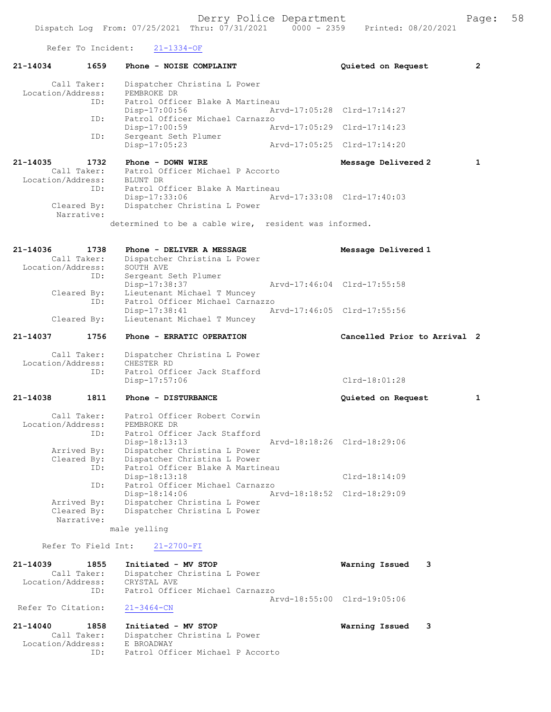Refer To Incident: 21-1334-OF

| 1659<br>$21 - 14034$                                 | Phone - NOISE COMPLAINT                                                          | Quieted on Request           | $\overline{2}$ |
|------------------------------------------------------|----------------------------------------------------------------------------------|------------------------------|----------------|
| Call Taker:<br>Location/Address:                     | Dispatcher Christina L Power<br>PEMBROKE DR                                      |                              |                |
| ID:                                                  | Patrol Officer Blake A Martineau<br>Disp-17:00:56                                | Arvd-17:05:28 Clrd-17:14:27  |                |
| ID:                                                  | Patrol Officer Michael Carnazzo<br>Disp-17:00:59                                 | Arvd-17:05:29 Clrd-17:14:23  |                |
| ID:                                                  | Sergeant Seth Plumer<br>Disp-17:05:23                                            | Arvd-17:05:25 Clrd-17:14:20  |                |
| 21-14035<br>1732<br>Call Taker:                      | Phone - DOWN WIRE<br>Patrol Officer Michael P Accorto                            | Message Delivered 2          | $\mathbf{1}$   |
| Location/Address:<br>ID:                             | BLUNT DR<br>Patrol Officer Blake A Martineau                                     |                              |                |
| Cleared By:                                          | Disp-17:33:06<br>Dispatcher Christina L Power                                    | Arvd-17:33:08 Clrd-17:40:03  |                |
| Narrative:                                           | determined to be a cable wire, resident was informed.                            |                              |                |
|                                                      |                                                                                  |                              |                |
| 21-14036<br>1738<br>Call Taker:<br>Location/Address: | Phone - DELIVER A MESSAGE<br>Dispatcher Christina L Power<br>SOUTH AVE           | Message Delivered 1          |                |
| ID:<br>Cleared By:                                   | Sergeant Seth Plumer<br>Disp-17:38:37<br>Lieutenant Michael T Muncey             | Arvd-17:46:04 Clrd-17:55:58  |                |
| ID:                                                  | Patrol Officer Michael Carnazzo<br>Disp-17:38:41                                 | Arvd-17:46:05 Clrd-17:55:56  |                |
| Cleared By:                                          | Lieutenant Michael T Muncey                                                      |                              |                |
| 21-14037<br>1756                                     | Phone - ERRATIC OPERATION                                                        | Cancelled Prior to Arrival 2 |                |
| Call Taker:<br>Location/Address:                     | Dispatcher Christina L Power<br>CHESTER RD                                       |                              |                |
| ID:                                                  | Patrol Officer Jack Stafford<br>Disp-17:57:06                                    | $Clrd-18:01:28$              |                |
| 21-14038<br>1811                                     | Phone - DISTURBANCE                                                              | Quieted on Request           | $\mathbf{1}$   |
| Call Taker:<br>Location/Address:                     | Patrol Officer Robert Corwin<br>PEMBROKE DR                                      |                              |                |
| ID:                                                  | Patrol Officer Jack Stafford<br>Disp-18:13:13                                    | Arvd-18:18:26 Clrd-18:29:06  |                |
| Arrived By:<br>Cleared By:                           | Dispatcher Christina L Power<br>Dispatcher Christina L Power                     |                              |                |
| ID:                                                  | Patrol Officer Blake A Martineau<br>Disp-18:13:18                                | $Clrd-18:14:09$              |                |
| ID:<br>Arrived By:                                   | Patrol Officer Michael Carnazzo<br>Disp-18:14:06<br>Dispatcher Christina L Power | Arvd-18:18:52 Clrd-18:29:09  |                |
| Cleared By:<br>Narrative:                            | Dispatcher Christina L Power                                                     |                              |                |
|                                                      | male yelling                                                                     |                              |                |
| Refer To Field Int:                                  | $21 - 2700 - FI$                                                                 |                              |                |
| 21-14039<br>1855<br>Call Taker:                      | Initiated - MV STOP<br>Dispatcher Christina L Power                              | Warning Issued<br>3          |                |
| Location/Address:<br>ID:                             | CRYSTAL AVE<br>Patrol Officer Michael Carnazzo                                   |                              |                |
| Refer To Citation:                                   | $21 - 3464 - CN$                                                                 | Arvd-18:55:00 Clrd-19:05:06  |                |

21-14040 1858 Initiated - MV STOP Warning Issued 3 Call Taker: Dispatcher Christina L Power Location/Address: E BROADWAY ID: Patrol Officer Michael P Accorto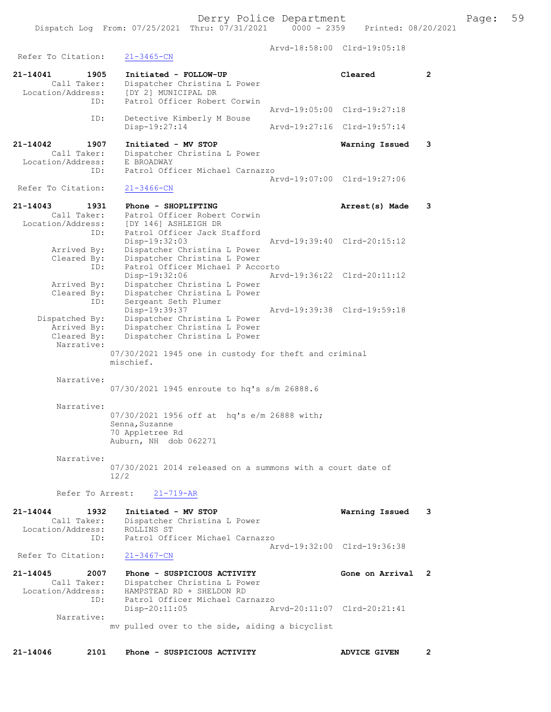Arvd-18:58:00 Clrd-19:05:18 Refer To Citation: 21-3465-CN 21-14041 1905 Initiated - FOLLOW-UP Cleared 2 Call Taker: Dispatcher Christina L Power Location/Address: [DY 2] MUNICIPAL DR ID: Patrol Officer Robert Corwin Arvd-19:05:00 Clrd-19:27:18<br>TD: Detective Kimberly M Bouse Detective Kimberly M Bouse<br>Disp-19:27:14 Disp-19:27:14 Arvd-19:27:16 Clrd-19:57:14 21-14042 1907 Initiated - MV STOP Warning Issued 3 Call Taker: Dispatcher Christina L Power<br>ion/Address: E BROADWAY Location/Address:<br>ID: Patrol Officer Michael Carnazzo Arvd-19:07:00 Clrd-19:27:06<br>21-3466-CN Refer To Citation: 21-14043 1931 Phone - SHOPLIFTING **1988** Arrest(s) Made 3 Call Taker: Patrol Officer Robert Corwin Location/Address: [DY 146] ASHLEIGH DR ID: Patrol Officer Jack Stafford Disp-19:32:03 Arvd-19:39:40 Clrd-20:15:12 Arrived By: Dispatcher Christina L Power Cleared By: Dispatcher Christina L Power ID: Patrol Officer Michael P Accorto Disp-19:32:06 Arvd-19:36:22 Clrd-20:11:12 Arrived By: Dispatcher Christina L Power Cleared By: Dispatcher Christina L Power ID: Sergeant Seth Plumer Disp-19:39:37 Arvd-19:39:38 Clrd-19:59:18 Dispatched By: Dispatcher Christina L Power Arrived By: Dispatcher Christina L Power Cleared By: Dispatcher Christina L Power Narrative: 07/30/2021 1945 one in custody for theft and criminal mischief. Narrative: 07/30/2021 1945 enroute to hq's s/m 26888.6 Narrative: 07/30/2021 1956 off at hq's e/m 26888 with; Senna,Suzanne 70 Appletree Rd Auburn, NH dob 062271 Narrative: 07/30/2021 2014 released on a summons with a court date of 12/2 Refer To Arrest: 21-719-AR 21-14044 1932 Initiated - MV STOP Warning Issued 3 Call Taker: Dispatcher Christina L Power Location/Address: ROLLINS ST ID: Patrol Officer Michael Carnazzo Arvd-19:32:00 Clrd-19:36:38 Refer To Citation: 21-3467-CN 21-14045 2007 Phone - SUSPICIOUS ACTIVITY Gone on Arrival 2 Call Taker: Dispatcher Christina L Power Location/Address: HAMPSTEAD RD + SHELDON RD ID: Patrol Officer Michael Carnazzo Disp-20:11:05 Arvd-20:11:07 Clrd-20:21:41 Narrative: mv pulled over to the side, aiding a bicyclist 21-14046 2101 Phone - SUSPICIOUS ACTIVITY ADVICE GIVEN 2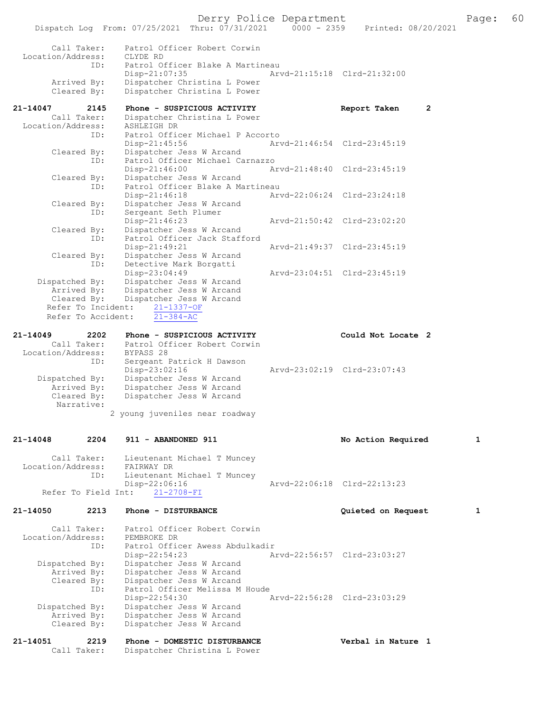Derry Police Department<br>
Page: 60<br>
Printed: 08/20/2021<br>
Printed: 08/20/2021 Dispatch Log From:  $07/25/2021$  Thru:  $07/31/2021$  0000 - 2359 Call Taker: Patrol Officer Robert Corwin Location/Address: CLYDE RD<br>ID: Patrol O Patrol Officer Blake A Martineau<br>Disp-21:07:35 Ar Disp-21:07:35 Arvd-21:15:18 Clrd-21:32:00<br>Arrived By: Dispatcher Christina L Power Arrived By: Dispatcher Christina L Power<br>Cleared By: Dispatcher Christina L Power Dispatcher Christina L Power 21-14047 2145 Phone - SUSPICIOUS ACTIVITY Report Taken 2<br>Call Taker: Dispatcher Christina L Power Dispatcher Christina L Power<br>ASHLEIGH DR Location/Address: ID: Patrol Officer Michael P Accorto Disp-21:45:56 Arvd-21:46:54 Cleared By: Dispatcher Jess W Arcand Dispatcher Jess W Arcand ID: Patrol Officer Michael Carnazzo Disp-21:46:00 Arvd-21:48:40 Clrd-23:45:19 Cleared By: Dispatcher Jess W Arcand ID: Patrol Officer Blake A Martineau Disp-21:46:18 Arvd-22:06:24 Clrd-23:24:18<br>Cleared By: Dispatcher Jess W Arcand Dispatcher Jess W Arcand ID: Sergeant Seth Plumer<br>Disp-21:46:23 Disp-21:46:23 Arvd-21:50:42 Clrd-23:02:20 Cleared By: Dispatcher Jess W Arcand<br>ID: Patrol Officer Jack Staff Patrol Officer Jack Stafford<br>Disp-21:49:21 Disp-21:49:21 Arvd-21:49:37 Clrd-23:45:19<br>Cleared By: Dispatcher Jess W Arcand By: Dispatcher Jess W Arcand<br>ID: Detective Mark Borgatti Detective Mark Borgatti<br>Disp-23:04:49 Disp-23:04:49 Arvd-23:04:51 Clrd-23:45:19<br>Dispatched By: Dispatcher Jess W Arcand patched By: Dispatcher Jess W Arcand<br>Arrived By: Dispatcher Jess W Arcand Arrived By: Dispatcher Jess W Arcand<br>Cleared By: Dispatcher Jess W Arcand Dispatcher Jess W Arcand<br>Dispatcher Jess W Arcand Refer To Incident:  $\frac{21-1337-OF}{21-384-AC}$ Refer To Accident: 21-14049 2202 Phone - SUSPICIOUS ACTIVITY Could Not Locate 2 Call Taker: Patrol Officer Robert Corwin Location/Address: BYPASS 28<br>ID: Sergeant I Sergeant Patrick H Dawson<br>Disp-23:02:16 Disp-23:02:16 Arvd-23:02:19 Clrd-23:07:43<br>Dispatched By: Dispatcher Jess W Arcand patched By: Dispatcher Jess W Arcand<br>Arrived By: Dispatcher Jess W Arcand Arrived By: Dispatcher Jess W Arcand<br>Cleared By: Dispatcher Jess W Arcand Dispatcher Jess W Arcand Narrative: 2 young juveniles near roadway 21-14048 2204 911 - ABANDONED 911 1 No Action Required 1 Call Taker: Lieutenant Michael T Muncey<br>ion/Address: FAIRWAY DR Location/Address:<br>ID: Lieutenant Michael T Muncey<br>Disp-22:06:16 Disp-22:06:16 Arvd-22:06:18 Clrd-22:13:23 Refer To Field Int: 21-14050 2213 Phone - DISTURBANCE 2008 2012 0uieted on Request 1 Call Taker: Patrol Officer Robert Corwin<br>ion/Address: PEMBROKE DR Location/Address:<br>ID: Patrol Officer Awess Abdulkadir Disp-22:54:23 Arvd-22:56:57 Clrd-23:03:27<br>Dispatched By: Dispatcher Jess W Arcand Dispatcher Jess W Arcand Arrived By: Dispatcher Jess W Arcand Cleared By: Dispatcher Jess W Arcand<br>ID: Patrol Officer Melissa M Patrol Officer Melissa M Houde<br>Disp-22:54:30 Disp-22:54:30 Arvd-22:56:28 Clrd-23:03:29<br>Dispatched By: Dispatcher Jess W Arcand patched By: Dispatcher Jess W Arcand<br>Arrived By: Dispatcher Jess W Arcand Arrived By: Dispatcher Jess W Arcand<br>Cleared By: Dispatcher Jess W Arcand Dispatcher Jess W Arcand

21-14051 2219 Phone - DOMESTIC DISTURBANCE Verbal in Nature 1<br>Call Taker: Dispatcher Christina L Power Dispatcher Christina L Power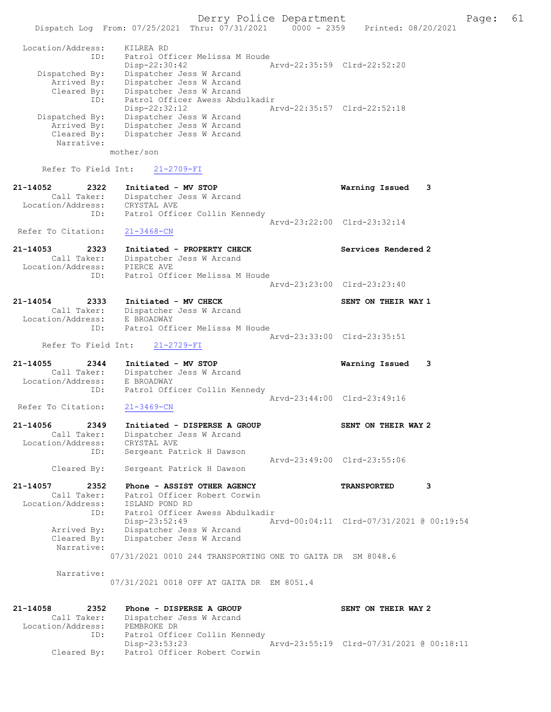|                                  |                                                            | Derry Police Department     |                                          | 61<br>Page: |
|----------------------------------|------------------------------------------------------------|-----------------------------|------------------------------------------|-------------|
|                                  | Dispatch Log From: 07/25/2021 Thru: 07/31/2021 0000 - 2359 |                             | Printed: 08/20/2021                      |             |
| Location/Address:                | KILREA RD                                                  |                             |                                          |             |
| ID:                              | Patrol Officer Melissa M Houde                             |                             |                                          |             |
|                                  | $Disp-22:30:42$                                            | Arvd-22:35:59 Clrd-22:52:20 |                                          |             |
| Dispatched By:                   | Dispatcher Jess W Arcand                                   |                             |                                          |             |
| Arrived By:<br>Cleared By:       | Dispatcher Jess W Arcand<br>Dispatcher Jess W Arcand       |                             |                                          |             |
| ID:                              | Patrol Officer Awess Abdulkadir                            |                             |                                          |             |
|                                  | $Disp-22:32:12$                                            |                             | Arvd-22:35:57 Clrd-22:52:18              |             |
| Dispatched By:                   | Dispatcher Jess W Arcand                                   |                             |                                          |             |
| Arrived By:<br>Cleared By:       | Dispatcher Jess W Arcand<br>Dispatcher Jess W Arcand       |                             |                                          |             |
| Narrative:                       |                                                            |                             |                                          |             |
|                                  | mother/son                                                 |                             |                                          |             |
|                                  |                                                            |                             |                                          |             |
| Refer To Field Int:              | $21 - 2709 - FI$                                           |                             |                                          |             |
| $21 - 14052$<br>2322             | Initiated - MV STOP                                        |                             | Warning Issued                           | 3           |
| Call Taker:                      | Dispatcher Jess W Arcand                                   |                             |                                          |             |
| Location/Address:                | CRYSTAL AVE                                                |                             |                                          |             |
| ID:                              | Patrol Officer Collin Kennedy                              |                             | Arvd-23:22:00 Clrd-23:32:14              |             |
| Refer To Citation:               | $21 - 3468 - CN$                                           |                             |                                          |             |
|                                  |                                                            |                             |                                          |             |
| $21 - 14053$<br>2323             | Initiated - PROPERTY CHECK                                 |                             | Services Rendered 2                      |             |
| Call Taker:                      | Dispatcher Jess W Arcand<br>PIERCE AVE                     |                             |                                          |             |
| Location/Address:<br>ID:         | Patrol Officer Melissa M Houde                             |                             |                                          |             |
|                                  |                                                            | Arvd-23:23:00 Clrd-23:23:40 |                                          |             |
|                                  |                                                            |                             |                                          |             |
| 21-14054<br>2333                 | Initiated - MV CHECK                                       |                             | SENT ON THEIR WAY 1                      |             |
| Call Taker:<br>Location/Address: | Dispatcher Jess W Arcand<br>E BROADWAY                     |                             |                                          |             |
| ID:                              | Patrol Officer Melissa M Houde                             |                             |                                          |             |
|                                  |                                                            |                             | Arvd-23:33:00 Clrd-23:35:51              |             |
| Refer To Field Int:              | $21 - 2729 - FI$                                           |                             |                                          |             |
| 21-14055<br>2344                 | Initiated - MV STOP                                        |                             | Warning Issued                           | 3           |
| Call Taker:                      | Dispatcher Jess W Arcand                                   |                             |                                          |             |
| Location/Address:                | E BROADWAY                                                 |                             |                                          |             |
| ID:                              | Patrol Officer Collin Kennedy                              | Arvd-23:44:00 Clrd-23:49:16 |                                          |             |
| Refer To Citation:               | $21 - 3469 - CN$                                           |                             |                                          |             |
|                                  |                                                            |                             |                                          |             |
| 21-14056<br>2349                 | Initiated - DISPERSE A GROUP                               |                             | SENT ON THEIR WAY 2                      |             |
| Call Taker:<br>Location/Address: | Dispatcher Jess W Arcand                                   |                             |                                          |             |
| ID:                              | CRYSTAL AVE<br>Sergeant Patrick H Dawson                   |                             |                                          |             |
|                                  |                                                            |                             | Arvd-23:49:00 Clrd-23:55:06              |             |
| Cleared By:                      | Sergeant Patrick H Dawson                                  |                             |                                          |             |
| $21 - 14057$<br>2352             | Phone - ASSIST OTHER AGENCY                                |                             | <b>TRANSPORTED</b>                       | 3           |
| Call Taker:                      | Patrol Officer Robert Corwin                               |                             |                                          |             |
| Location/Address:                | ISLAND POND RD                                             |                             |                                          |             |
| ID:                              | Patrol Officer Awess Abdulkadir                            |                             |                                          |             |
| Arrived By:                      | Disp-23:52:49<br>Dispatcher Jess W Arcand                  |                             | Arvd-00:04:11 Clrd-07/31/2021 @ 00:19:54 |             |
| Cleared By:                      | Dispatcher Jess W Arcand                                   |                             |                                          |             |
| Narrative:                       |                                                            |                             |                                          |             |
|                                  | 07/31/2021 0010 244 TRANSPORTING ONE TO GAITA DR SM 8048.6 |                             |                                          |             |
| Narrative:                       |                                                            |                             |                                          |             |
|                                  | 07/31/2021 0018 OFF AT GAITA DR EM 8051.4                  |                             |                                          |             |
|                                  |                                                            |                             |                                          |             |
|                                  |                                                            |                             |                                          |             |
| 21-14058<br>2352<br>Call Taker:  | Phone - DISPERSE A GROUP<br>Dispatcher Jess W Arcand       |                             | SENT ON THEIR WAY 2                      |             |
|                                  |                                                            |                             |                                          |             |

 Location/Address: PEMBROKE DR ID: Patrol Officer Collin Kennedy Disp-23:53:23 Arvd-23:55:19 Clrd-07/31/2021 @ 00:18:11 Cleared By: Patrol Officer Robert Corwin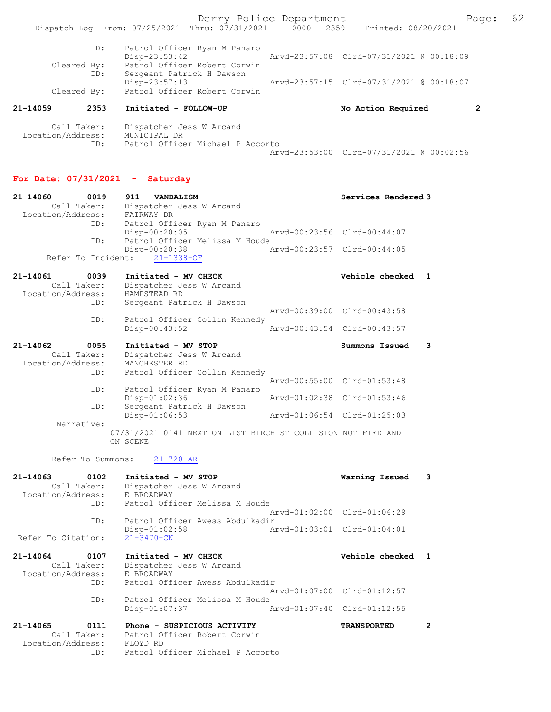Derry Police Department Fage: 62 Dispatch Log From: 07/25/2021 Thru: 07/31/2021 0000 - 2359 Printed: 08/20/2021 ID: Patrol Officer Ryan M Panaro Disp-23:53:42 Arvd-23:57:08 Clrd-07/31/2021 @ 00:18:09 Cleared By: Patrol Officer Robert Corwin ID: Sergeant Patrick H Dawson Disp-23:57:13 Arvd-23:57:15 Clrd-07/31/2021 @ 00:18:07<br>Cleared By: Patrol Officer Robert Corwin Patrol Officer Robert Corwin 21-14059 2353 Initiated - FOLLOW-UP No Action Required 2 Call Taker: Dispatcher Jess W Arcand Location/Address: MUNICIPAL DR ID: Patrol Officer Michael P Accorto Arvd-23:53:00 Clrd-07/31/2021 @ 00:02:56

## For Date: 07/31/2021 - Saturday

| 21-14060<br>0019<br>Call Taker:<br>Location/Address:        | 911 - VANDALISM<br>Dispatcher Jess W Arcand<br>FAIRWAY DR                                                   |               | Services Rendered 3                                        |                |
|-------------------------------------------------------------|-------------------------------------------------------------------------------------------------------------|---------------|------------------------------------------------------------|----------------|
| ID:<br>ID:                                                  | Patrol Officer Ryan M Panaro<br>$Disp-00:20:05$<br>Patrol Officer Melissa M Houde                           |               | Arvd-00:23:56 Clrd-00:44:07                                |                |
| Refer To Incident:                                          | Disp-00:20:38<br>$21 - 1338 - OF$                                                                           |               | Arvd-00:23:57 Clrd-00:44:05                                |                |
| 21-14061<br>0039<br>Call Taker:                             | Initiated - MV CHECK<br>Dispatcher Jess W Arcand                                                            |               | Vehicle checked                                            | 1              |
| Location/Address:<br>ID:                                    | HAMPSTEAD RD<br>Sergeant Patrick H Dawson                                                                   |               |                                                            |                |
| ID:                                                         | Patrol Officer Collin Kennedy<br>Disp-00:43:52                                                              |               | Arvd-00:39:00 Clrd-00:43:58<br>Arvd-00:43:54 Clrd-00:43:57 |                |
| 21-14062<br>0055<br>Call Taker:                             | Initiated - MV STOP<br>Dispatcher Jess W Arcand                                                             |               | Summons Issued                                             | 3              |
| Location/Address:<br>ID:                                    | MANCHESTER RD<br>Patrol Officer Collin Kennedy                                                              |               | Arvd-00:55:00 Clrd-01:53:48                                |                |
| ID:                                                         | Patrol Officer Ryan M Panaro<br>Disp-01:02:36                                                               |               | Arvd-01:02:38 Clrd-01:53:46                                |                |
| ID:<br>Narrative:                                           | Sergeant Patrick H Dawson<br>Disp-01:06:53                                                                  |               | Arvd-01:06:54 Clrd-01:25:03                                |                |
|                                                             | 07/31/2021 0141 NEXT ON LIST BIRCH ST COLLISION NOTIFIED AND<br>ON SCENE                                    |               |                                                            |                |
| Refer To Summons:                                           | $21 - 720 - AR$                                                                                             |               |                                                            |                |
| 21-14063<br>0102<br>Call Taker:<br>Location/Address:<br>ID: | Initiated - MV STOP<br>Dispatcher Jess W Arcand<br>E BROADWAY<br>Patrol Officer Melissa M Houde             |               | Warning Issued                                             | 3              |
| ID:                                                         | Patrol Officer Awess Abdulkadir                                                                             |               | Arvd-01:02:00 Clrd-01:06:29                                |                |
| Refer To Citation:                                          | Disp-01:02:58<br>$21 - 3470 - CN$                                                                           |               | Arvd-01:03:01 Clrd-01:04:01                                |                |
| 21-14064<br>0107<br>Call Taker:<br>Location/Address:        | Initiated - MV CHECK<br>Dispatcher Jess W Arcand<br>E BROADWAY                                              |               | Vehicle checked                                            | $\mathbf{1}$   |
| ID:<br>ID:                                                  | Patrol Officer Awess Abdulkadir<br>Patrol Officer Melissa M Houde                                           |               | Arvd-01:07:00 Clrd-01:12:57                                |                |
|                                                             | $Disp-01:07:37$                                                                                             | Arvd-01:07:40 | $Clrd-01:12:55$                                            |                |
| 21-14065<br>0111<br>Call Taker:<br>Location/Address:<br>ID: | Phone - SUSPICIOUS ACTIVITY<br>Patrol Officer Robert Corwin<br>FLOYD RD<br>Patrol Officer Michael P Accorto |               | <b>TRANSPORTED</b>                                         | $\overline{2}$ |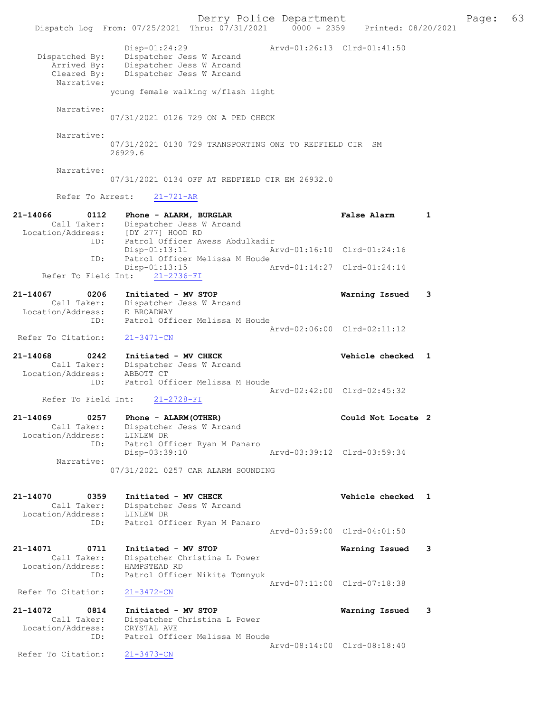Derry Police Department Fage: 63 Dispatch Log From: 07/25/2021 Thru: 07/31/2021 0000 - 2359 Printed: 08/20/2021 Disp-01:24:29 Arvd-01:26:13 Clrd-01:41:50 Dispatched By: Dispatcher Jess W Arcand Arrived By: Dispatcher Jess W Arcand Cleared By: Dispatcher Jess W Arcand Narrative: young female walking w/flash light Narrative: 07/31/2021 0126 729 ON A PED CHECK Narrative: 07/31/2021 0130 729 TRANSPORTING ONE TO REDFIELD CIR SM 26929.6 Narrative: 07/31/2021 0134 OFF AT REDFIELD CIR EM 26932.0 Refer To Arrest: 21-721-AR 21-14066 0112 Phone - ALARM, BURGLAR CONSTRESS Raise Alarm 1 Call Taker: Dispatcher Jess W Arcand Location/Address: [DY 277] HOOD RD ID: Patrol Officer Awess Abdulkadir Disp-01:13:11 Arvd-01:16:10 Clrd-01:24:16<br>TD: Patrol Officer Melissa M Houde Patrol Officer Melissa M Houde<br>Disp-01:13:15 A Arvd-01:14:27 Clrd-01:24:14 Refer To Field Int: 21-2736-FI 21-14067 0206 Initiated - MV STOP Warning Issued 3 Call Taker: Dispatcher Jess W Arcand Location/Address: E BROADWAY ID: Patrol Officer Melissa M Houde Arvd-02:06:00 Clrd-02:11:12 Refer To Citation: 21-3471-CN 21-14068 0242 Initiated - MV CHECK Vehicle checked 1 Call Taker: Dispatcher Jess W Arcand Location/Address: ABBOTT CT ID: Patrol Officer Melissa M Houde Arvd-02:42:00 Clrd-02:45:32 Refer To Field Int: 21-2728-FI 21-14069 0257 Phone - ALARM(OTHER) Could Not Locate 2 Call Taker: Dispatcher Jess W Arcand Location/Address: LINLEW DR ID: Patrol Officer Ryan M Panaro Disp-03:39:10 Narrative: 07/31/2021 0257 CAR ALARM SOUNDING 21-14070 0359 Initiated - MV CHECK Vehicle checked 1 Call Taker: Dispatcher Jess W Arcand Location/Address: LINLEW DR ID: Patrol Officer Ryan M Panaro Arvd-03:59:00 Clrd-04:01:50 21-14071 0711 Initiated - MV STOP Warning Issued 3 Call Taker: Dispatcher Christina L Power Location/Address: HAMPSTEAD RD ID: Patrol Officer Nikita Tomnyuk Arvd-07:11:00 Clrd-07:18:38 Refer To Citation: 21-3472-CN 21-14072 0814 Initiated - MV STOP Warning Issued 3 Call Taker: Dispatcher Christina L Power Location/Address: CRYSTAL AVE ID: Patrol Officer Melissa M Houde Arvd-08:14:00 Clrd-08:18:40<br>21-3473-CN Refer To Citation: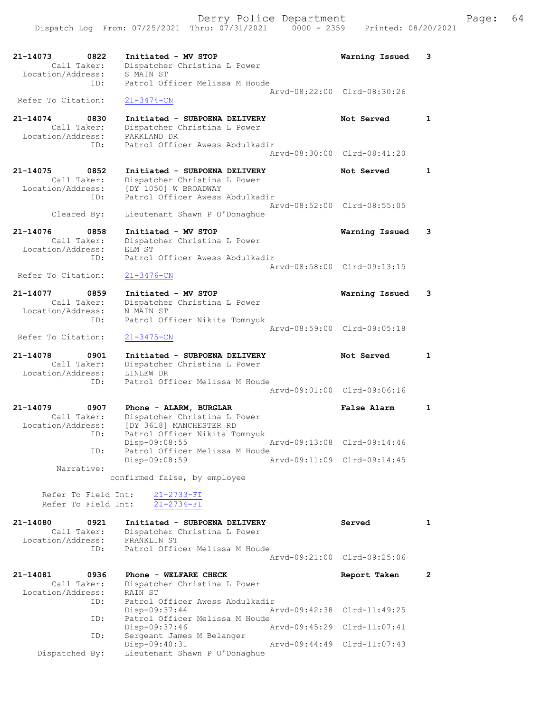| 21-14073<br>0822                 | Initiated - MV STOP                                 | Warning Issued              | 3            |
|----------------------------------|-----------------------------------------------------|-----------------------------|--------------|
| Call Taker:<br>Location/Address: | Dispatcher Christina L Power<br>S MAIN ST           |                             |              |
| ID:                              | Patrol Officer Melissa M Houde                      |                             |              |
|                                  |                                                     | Arvd-08:22:00 Clrd-08:30:26 |              |
| Refer To Citation:               | $21 - 3474 - CN$                                    |                             |              |
| 21-14074<br>0830                 | Initiated - SUBPOENA DELIVERY                       | Not Served                  | 1            |
| Call Taker:<br>Location/Address: | Dispatcher Christina L Power<br>PARKLAND DR         |                             |              |
| ID:                              | Patrol Officer Awess Abdulkadir                     |                             |              |
|                                  |                                                     | Aryd-08:30:00 Clrd-08:41:20 |              |
| 21-14075<br>0852                 | Initiated - SUBPOENA DELIVERY                       | Not Served                  | 1            |
| Call Taker:                      | Dispatcher Christina L Power                        |                             |              |
| Location/Address:                | [DY 1050] W BROADWAY                                |                             |              |
| ID:                              | Patrol Officer Awess Abdulkadir                     | Arvd-08:52:00 Clrd-08:55:05 |              |
| Cleared By:                      | Lieutenant Shawn P O'Donaghue                       |                             |              |
| 21-14076<br>0858                 | Initiated - MV STOP                                 | Warning Issued              | 3            |
| Call Taker:                      | Dispatcher Christina L Power                        |                             |              |
| Location/Address:                | ELM ST                                              |                             |              |
| ID:                              | Patrol Officer Awess Abdulkadir                     | Arvd-08:58:00 Clrd-09:13:15 |              |
| Refer To Citation:               | $21 - 3476 - CN$                                    |                             |              |
| 0859                             |                                                     |                             |              |
| 21-14077<br>Call Taker:          | Initiated - MV STOP<br>Dispatcher Christina L Power | Warning Issued              | 3            |
| Location/Address:                | N MAIN ST                                           |                             |              |
| ID:                              | Patrol Officer Nikita Tomnyuk                       | Arvd-08:59:00 Clrd-09:05:18 |              |
| Refer To Citation:               | $21 - 3475 - CN$                                    |                             |              |
|                                  |                                                     |                             |              |
| 21-14078<br>0901                 | Initiated - SUBPOENA DELIVERY                       |                             |              |
|                                  |                                                     | Not Served                  | 1            |
| Call Taker:<br>Location/Address: | Dispatcher Christina L Power<br>LINLEW DR           |                             |              |
| ID:                              | Patrol Officer Melissa M Houde                      |                             |              |
|                                  |                                                     | Arvd-09:01:00 Clrd-09:06:16 |              |
| 21-14079<br>0907                 | Phone - ALARM, BURGLAR                              | False Alarm                 | $\mathbf{1}$ |
| Call Taker:                      | Dispatcher Christina L Power                        |                             |              |
| Location/Address:                | [DY 3618] MANCHESTER RD                             |                             |              |
| ID:                              | Patrol Officer Nikita Tomnyuk<br>$Disp-09:08:55$    | Arvd-09:13:08 Clrd-09:14:46 |              |
| ID:                              | Patrol Officer Melissa M Houde                      |                             |              |
| Narrative:                       | Disp-09:08:59                                       | Arvd-09:11:09 Clrd-09:14:45 |              |
|                                  | confirmed false, by employee                        |                             |              |
| Refer To Field Int:              | $21 - 2733 - FI$                                    |                             |              |
| Refer To Field Int:              | $21 - 2734 - FI$                                    |                             |              |
|                                  | Initiated - SUBPOENA DELIVERY                       |                             |              |
| 21-14080<br>0921<br>Call Taker:  | Dispatcher Christina L Power                        | Served                      | $\mathbf{1}$ |
| Location/Address:                | FRANKLIN ST                                         |                             |              |
| ID:                              | Patrol Officer Melissa M Houde                      | Arvd-09:21:00 Clrd-09:25:06 |              |
|                                  |                                                     |                             |              |
| 21-14081<br>0936                 | Phone - WELFARE CHECK                               | Report Taken                | $\mathbf{2}$ |
| Call Taker:<br>Location/Address: | Dispatcher Christina L Power<br>RAIN ST             |                             |              |
| ID:                              | Patrol Officer Awess Abdulkadir                     |                             |              |
| ID:                              | $Disp-09:37:44$<br>Patrol Officer Melissa M Houde   | Arvd-09:42:38 Clrd-11:49:25 |              |
|                                  | Disp-09:37:46                                       | Arvd-09:45:29 Clrd-11:07:41 |              |
| ID:                              | Sergeant James M Belanger<br>Disp-09:40:31          | Arvd-09:44:49 Clrd-11:07:43 |              |

Dispatched By: Lieutenant Shawn P O'Donaghue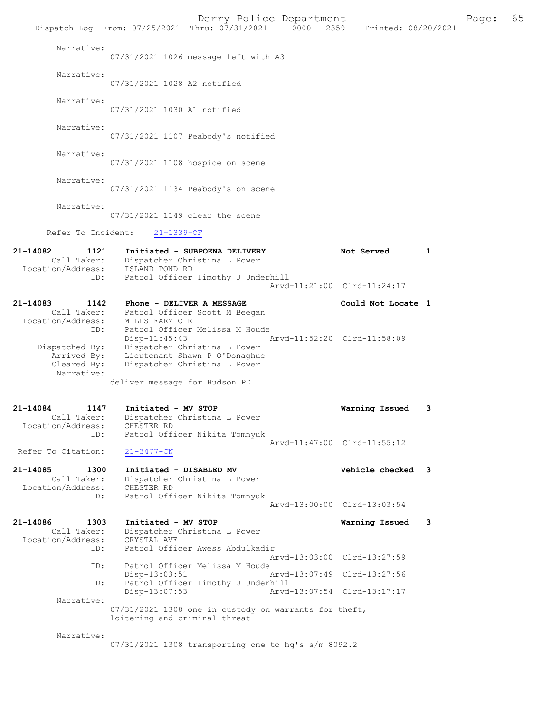|                                                             | Dispatch Log From: 07/25/2021 Thru: 07/31/2021 0000 - 2359 Printed: 08/20/2021                                   | Derry Police Department     |                    |   | Page: | 65 |
|-------------------------------------------------------------|------------------------------------------------------------------------------------------------------------------|-----------------------------|--------------------|---|-------|----|
| Narrative:                                                  | 07/31/2021 1026 message left with A3                                                                             |                             |                    |   |       |    |
| Narrative:                                                  | 07/31/2021 1028 A2 notified                                                                                      |                             |                    |   |       |    |
| Narrative:                                                  | 07/31/2021 1030 A1 notified                                                                                      |                             |                    |   |       |    |
| Narrative:                                                  | 07/31/2021 1107 Peabody's notified                                                                               |                             |                    |   |       |    |
| Narrative:                                                  | 07/31/2021 1108 hospice on scene                                                                                 |                             |                    |   |       |    |
| Narrative:                                                  | 07/31/2021 1134 Peabody's on scene                                                                               |                             |                    |   |       |    |
| Narrative:                                                  | 07/31/2021 1149 clear the scene                                                                                  |                             |                    |   |       |    |
| Refer To Incident:                                          | $21 - 1339 - OF$                                                                                                 |                             |                    |   |       |    |
| 21-14082<br>1121<br>Location/Address:                       | Initiated - SUBPOENA DELIVERY<br>Call Taker: Dispatcher Christina L Power<br>ISLAND POND RD                      |                             | Not Served         | 1 |       |    |
| ID:                                                         | Patrol Officer Timothy J Underhill                                                                               | Arvd-11:21:00 Clrd-11:24:17 |                    |   |       |    |
| 21-14083<br>1142<br>Call Taker:<br>Location/Address:<br>ID: | Phone - DELIVER A MESSAGE<br>Patrol Officer Scott M Beegan<br>MILLS FARM CIR<br>Patrol Officer Melissa M Houde   |                             | Could Not Locate 1 |   |       |    |
| Dispatched By:<br>Arrived By:<br>Cleared By:<br>Narrative:  | $Disp-11:45:43$<br>Dispatcher Christina L Power<br>Lieutenant Shawn P O'Donaghue<br>Dispatcher Christina L Power | Arvd-11:52:20 Clrd-11:58:09 |                    |   |       |    |
|                                                             | deliver message for Hudson PD                                                                                    |                             |                    |   |       |    |
| 1147<br>21-14084<br>Call Taker:<br>Location/Address:<br>ID: | Initiated - MV STOP<br>Dispatcher Christina L Power<br>CHESTER RD<br>Patrol Officer Nikita Tomnyuk               |                             | Warning Issued     | 3 |       |    |
| Refer To Citation:                                          | $21 - 3477 - CN$                                                                                                 | Arvd-11:47:00 Clrd-11:55:12 |                    |   |       |    |
| 21-14085<br>1300<br>Call Taker:<br>Location/Address:        | Initiated - DISABLED MV<br>Dispatcher Christina L Power<br>CHESTER RD                                            |                             | Vehicle checked 3  |   |       |    |
| ID:                                                         | Patrol Officer Nikita Tomnyuk                                                                                    | Arvd-13:00:00 Clrd-13:03:54 |                    |   |       |    |
| 21-14086<br>1303<br>Call Taker:<br>Location/Address:        | Initiated - MV STOP<br>Dispatcher Christina L Power<br>CRYSTAL AVE                                               |                             | Warning Issued     | 3 |       |    |
| ID:<br>ID:                                                  | Patrol Officer Awess Abdulkadir<br>Patrol Officer Melissa M Houde                                                | Arvd-13:03:00 Clrd-13:27:59 |                    |   |       |    |
| ID:                                                         | Disp-13:03:51<br>Patrol Officer Timothy J Underhill                                                              | Arvd-13:07:49 Clrd-13:27:56 |                    |   |       |    |
| Narrative:                                                  | Disp-13:07:53                                                                                                    | Arvd-13:07:54 Clrd-13:17:17 |                    |   |       |    |
|                                                             | $07/31/2021$ 1308 one in custody on warrants for theft,<br>loitering and criminal threat                         |                             |                    |   |       |    |
| Narrative:                                                  | 07/31/2021 1308 transporting one to hq's s/m 8092.2                                                              |                             |                    |   |       |    |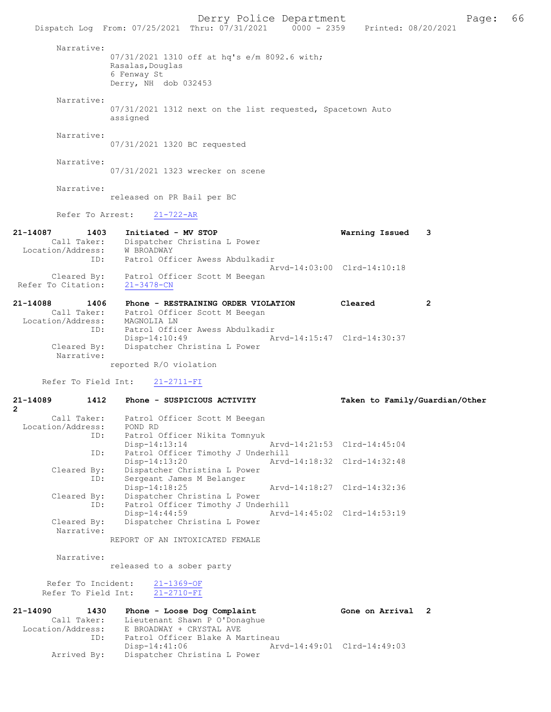Derry Police Department Fage: 66 Dispatch Log From: 07/25/2021 Thru: 07/31/2021 0000 - 2359 Printed: 08/20/2021 Narrative: 07/31/2021 1310 off at hq's e/m 8092.6 with; Rasalas,Douglas 6 Fenway St Derry, NH dob 032453 Narrative: 07/31/2021 1312 next on the list requested, Spacetown Auto assigned Narrative: 07/31/2021 1320 BC requested Narrative: 07/31/2021 1323 wrecker on scene Narrative:

released on PR Bail per BC

Refer To Arrest: 21-722-AR

| 21-14087           | 1403        | Initiated - MV STOP                               | Warning Issued 3            |  |
|--------------------|-------------|---------------------------------------------------|-----------------------------|--|
| Location/Address:  | Call Taker: | Dispatcher Christina L Power<br>W BROADWAY        |                             |  |
|                    | ID:         | Patrol Officer Awess Abdulkadir                   | Arvd-14:03:00 Clrd-14:10:18 |  |
| Refer To Citation: | Cleared By: | Patrol Officer Scott M Beegan<br>$21 - 3478 - CN$ |                             |  |

| 21-14088          | 1406                      | Cleared<br>Phone - RESTRAINING ORDER VIOLATION |  |
|-------------------|---------------------------|------------------------------------------------|--|
|                   | Call Taker:               | Patrol Officer Scott M Beegan                  |  |
| Location/Address: |                           | MAGNOLIA LN                                    |  |
|                   | ID:                       | Patrol Officer Awess Abdulkadir                |  |
|                   |                           | $Disp-14:10:49$<br>Arvd-14:15:47 Clrd-14:30:37 |  |
|                   | Cleared By:<br>Narrative: | Dispatcher Christina L Power                   |  |

reported R/O violation

Refer To Field Int: 21-2711-FI

| 21-14089<br>$\overline{2}$ | 1412 Phone - SUSPICIOUS ACTIVITY                                                    |                             | Taken to Family/Guardian/Other |
|----------------------------|-------------------------------------------------------------------------------------|-----------------------------|--------------------------------|
| Location/Address: POND RD  | Call Taker: Patrol Officer Scott M Beegan                                           |                             |                                |
|                            | ID: Patrol Officer Nikita Tomnyuk<br>Arvd-14:21:53 Clrd-14:45:04<br>$Disp-14:13:14$ |                             |                                |
|                            | Patrol Officer Timothy J Underhill<br>ID:<br>$Disp-14:13:20$                        | Arvd-14:18:32 Clrd-14:32:48 |                                |
| ID:                        | Cleared By: Dispatcher Christina L Power<br>Sergeant James M Belanger               |                             |                                |
|                            | $Disp-14:18:25$<br>Cleared By: Dispatcher Christina L Power                         | Arvd-14:18:27 Clrd-14:32:36 |                                |
|                            | ID: Patrol Officer Timothy J Underhill<br>$Disp-14:44:59$                           | Arvd-14:45:02 Clrd-14:53:19 |                                |
| Narrative:                 | Cleared By: Dispatcher Christina L Power                                            |                             |                                |
|                            | REPORT OF AN INTOXICATED FEMALE                                                     |                             |                                |
| Narrative:                 | released to a sober party                                                           |                             |                                |
|                            |                                                                                     |                             |                                |
| Refer To Field Int:        | Refer To Incident: 21-1369-OF<br>$21 - 2710 - FI$                                   |                             |                                |

| 21-14090          | 1430        | Phone - Loose Dog Complaint      |                             | Gone on Arrival 2 |  |
|-------------------|-------------|----------------------------------|-----------------------------|-------------------|--|
|                   | Call Taker: | Lieutenant Shawn P O'Donaghue    |                             |                   |  |
| Location/Address: |             | E BROADWAY + CRYSTAL AVE         |                             |                   |  |
|                   | ID:         | Patrol Officer Blake A Martineau |                             |                   |  |
|                   |             | Disp-14:41:06                    | Arvd-14:49:01 Clrd-14:49:03 |                   |  |
|                   | Arrived By: | Dispatcher Christina L Power     |                             |                   |  |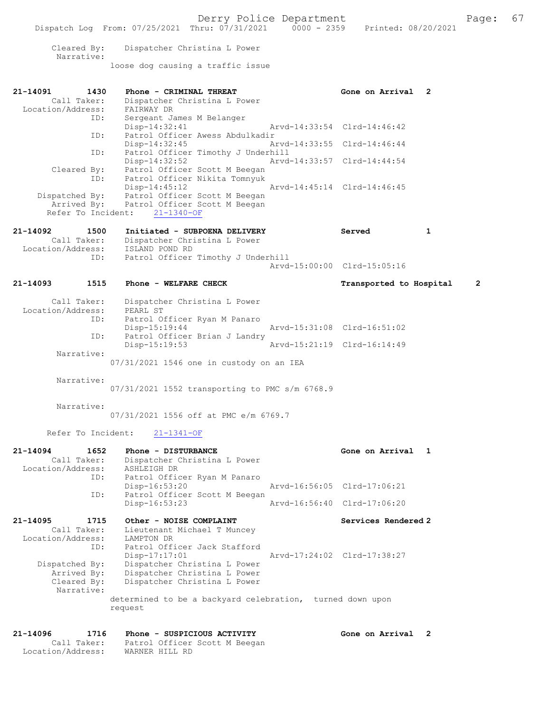|                           |            | Dispatch Log From: 07/25/2021 Thru: 07/31/2021 0000 - 2359 | Derry Police Department     | Printed: 08/20/2021         |              | Page:          | 67 |
|---------------------------|------------|------------------------------------------------------------|-----------------------------|-----------------------------|--------------|----------------|----|
| Cleared By:<br>Narrative: |            | Dispatcher Christina L Power                               |                             |                             |              |                |    |
|                           |            | loose dog causing a traffic issue                          |                             |                             |              |                |    |
| 21-14091                  | 1430       | Phone - CRIMINAL THREAT                                    |                             | Gone on Arrival 2           |              |                |    |
| Call Taker:               |            | Dispatcher Christina L Power                               |                             |                             |              |                |    |
| Location/Address:         | FAIRWAY DR |                                                            |                             |                             |              |                |    |
|                           | ID:        | Sergeant James M Belanger                                  |                             |                             |              |                |    |
|                           |            | Disp-14:32:41                                              |                             | Arvd-14:33:54 Clrd-14:46:42 |              |                |    |
|                           | ID:        | Patrol Officer Awess Abdulkadir                            |                             |                             |              |                |    |
|                           |            | $Disp-14:32:45$                                            | Arvd-14:33:55 Clrd-14:46:44 |                             |              |                |    |
|                           | ID:        | Patrol Officer Timothy J Underhill                         |                             |                             |              |                |    |
|                           |            | Disp-14:32:52                                              |                             | Arvd-14:33:57 Clrd-14:44:54 |              |                |    |
| Cleared By:               |            | Patrol Officer Scott M Beegan                              |                             |                             |              |                |    |
|                           | ID:        | Patrol Officer Nikita Tomnyuk                              |                             |                             |              |                |    |
|                           |            | $Disp-14:45:12$                                            |                             | Arvd-14:45:14 Clrd-14:46:45 |              |                |    |
| Dispatched By:            |            | Patrol Officer Scott M Beegan                              |                             |                             |              |                |    |
|                           |            | Arrived By: Patrol Officer Scott M Beegan                  |                             |                             |              |                |    |
| Refer To Incident:        |            | $21 - 1340 - OF$                                           |                             |                             |              |                |    |
| 21-14092                  | 1500       | Initiated - SUBPOENA DELIVERY                              |                             | Served                      | $\mathbf{1}$ |                |    |
|                           |            |                                                            |                             |                             |              |                |    |
|                           |            |                                                            |                             |                             |              |                |    |
| Call Taker:               |            | Dispatcher Christina L Power                               |                             |                             |              |                |    |
| Location/Address:         | ID:        | ISLAND POND RD                                             |                             |                             |              |                |    |
|                           |            | Patrol Officer Timothy J Underhill                         |                             | Arvd-15:00:00 Clrd-15:05:16 |              |                |    |
| 21-14093                  | 1515       | Phone - WELFARE CHECK                                      |                             | Transported to Hospital     |              | $\overline{2}$ |    |
|                           |            |                                                            |                             |                             |              |                |    |
| Call Taker:               |            | Dispatcher Christina L Power                               |                             |                             |              |                |    |
| Location/Address:         | PEARL ST   |                                                            |                             |                             |              |                |    |
|                           | ID:        | Patrol Officer Ryan M Panaro                               |                             |                             |              |                |    |
|                           |            | $Disp-15:19:44$                                            |                             | Arvd-15:31:08 Clrd-16:51:02 |              |                |    |
|                           | ID:        | Patrol Officer Brian J Landry                              |                             |                             |              |                |    |
|                           |            | Disp-15:19:53                                              |                             | Arvd-15:21:19 Clrd-16:14:49 |              |                |    |
| Narrative:                |            |                                                            |                             |                             |              |                |    |
|                           |            | 07/31/2021 1546 one in custody on an IEA                   |                             |                             |              |                |    |
| Narrative:                |            |                                                            |                             |                             |              |                |    |
|                           |            |                                                            |                             |                             |              |                |    |
|                           |            | 07/31/2021 1552 transporting to PMC s/m 6768.9             |                             |                             |              |                |    |
| Narrative:                |            |                                                            |                             |                             |              |                |    |
|                           |            | 07/31/2021 1556 off at PMC e/m 6769.7                      |                             |                             |              |                |    |

Refer To Incident: 21-1341-OF

| $21 - 14094$<br>1652 | Phone - DISTURBANCE                                       |                             | Gone on Arrival 1   |
|----------------------|-----------------------------------------------------------|-----------------------------|---------------------|
| Call Taker:          | Dispatcher Christina L Power                              |                             |                     |
| Location/Address:    | ASHLEIGH DR                                               |                             |                     |
| ID:                  | Patrol Officer Ryan M Panaro                              |                             |                     |
|                      | Disp-16:53:20                                             | Arvd-16:56:05 Clrd-17:06:21 |                     |
| ID:                  | Patrol Officer Scott M Beegan                             |                             |                     |
|                      | $Disp-16:53:23$                                           | Arvd-16:56:40 Clrd-17:06:20 |                     |
| 21-14095 1715        | Other - NOISE COMPLAINT                                   |                             | Services Rendered 2 |
| Call Taker:          | Lieutenant Michael T Muncey                               |                             |                     |
| Location/Address:    | LAMPTON DR                                                |                             |                     |
| ID:                  | Patrol Officer Jack Stafford                              |                             |                     |
|                      | Disp-17:17:01                                             | Arvd-17:24:02 Clrd-17:38:27 |                     |
| Dispatched By:       | Dispatcher Christina L Power                              |                             |                     |
| Arrived By:          | Dispatcher Christina L Power                              |                             |                     |
| Cleared By:          | Dispatcher Christina L Power                              |                             |                     |
| Narrative:           |                                                           |                             |                     |
|                      | determined to be a backyard celebration, turned down upon |                             |                     |
|                      | request                                                   |                             |                     |
|                      |                                                           |                             |                     |

### 21-14096 1716 Phone - SUSPICIOUS ACTIVITY Cone on Arrival 2 Call Taker: Patrol Officer Scott M Beegan Location/Address: WARNER HILL RD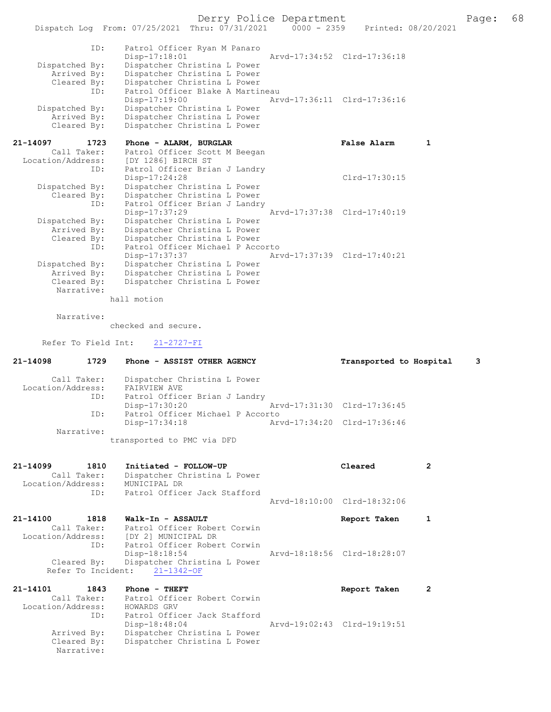Derry Police Department<br>
Page: 68 Printed: 08/20/2021 0000 - 2359 Printed: 08/20/2021 Dispatch Log From:  $07/25/2021$  Thru:  $07/31/2021$  0000 - 2359 ID: Patrol Officer Ryan M Panaro Disp-17:18:01 Arvd-17:34:52 Clrd-17:36:18<br>Dispatched By: Dispatcher Christina L Power patched By: Dispatcher Christina L Power<br>Arrived By: Dispatcher Christina L Power Arrived By: Dispatcher Christina L Power<br>Cleared By: Dispatcher Christina L Power Dispatcher Christina L Power ID: Patrol Officer Blake A Martineau<br>Disp-17:19:00 Ar Disp-17:19:00 Arvd-17:36:11 Clrd-17:36:16<br>Dispatched By: Dispatcher Christina L Power patched By: Dispatcher Christina L Power<br>Arrived By: Dispatcher Christina L Power Arrived By: Dispatcher Christina L Power<br>Cleared By: Dispatcher Christina L Power Dispatcher Christina L Power 21-14097 1723 Phone - ALARM, BURGLAR False Alarm 1 Call Taker: Patrol Officer Scott M Beegan Location/Address: [DY 1286] BIRCH ST<br>ID: Patrol Officer Bria Patrol Officer Brian J Landry Disp-17:24:28 Clrd-17:30:15<br>Dispatched By: Dispatcher Christina L Power patched By: Dispatcher Christina L Power<br>Cleared By: Dispatcher Christina L Power By: Dispatcher Christina L Power<br>ID: Patrol Officer Brian J Landr Patrol Officer Brian J Landry<br>Disp-17:37:29 Disp-17:37:29 <br>Dispatched By: Dispatcher Christina L Power<br>Dispatched By: Dispatcher Christina L Power Dispatcher Christina L Power Arrived By: Dispatcher Christina L Power<br>Cleared By: Dispatcher Christina L Power By: Dispatcher Christina L Power<br>ID: Patrol Officer Michael P Acco Patrol Officer Michael P Accorto<br>Disp-17:37:37 Ar Disp-17:37:37 Arvd-17:37:39 Clrd-17:40:21 Dispatched By: Dispatcher Christina L Power Arrived By: Dispatcher Christina L Power<br>Cleared By: Dispatcher Christina L Power Dispatcher Christina L Power Narrative: hall motion Narrative: checked and secure. Refer To Field Int: 21-2727-FI 21-14098 1729 Phone - ASSIST OTHER AGENCY Transported to Hospital 3 Call Taker: Dispatcher Christina L Power<br>ion/Address: FAIRVIEW AVE Location/Address:<br>ID: Patrol Officer Brian J Landry<br>Disp-17:30:20 Disp-17:30:20 Arvd-17:31:30 Clrd-17:36:45<br>ID: Patrol Officer Michael P Accorto Patrol Officer Michael P Accorto Disp-17:34:18 Arvd-17:34:20 Clrd-17:36:46 Narrative: transported to PMC via DFD 21-14099 1810 Initiated - FOLLOW-UP Cleared 2 Call Taker: Dispatcher Christina L Power<br>ion/Address: MUNICIPAL DR Location/Address: ID: Patrol Officer Jack Stafford Arvd-18:10:00 Clrd-18:32:06 21-14100 1818 Walk-In - ASSAULT Report Taken 1 Call Taker: Patrol Officer Robert Corwin<br>Location/Address: [DY 2] MUNICIPAL DR [DY 2] MUNICIPAL DR ID: Patrol Officer Robert Corwin<br>Disp-18:18:54 Disp-18:18:54 Arvd-18:18:56 Clrd-18:28:07<br>Cleared By: Dispatcher Christina L Power Dispatcher Christina L Power Refer To Incident: 21-1342-OF 21-14101 1843 Phone - THEFT Report Taken 2<br>Call Taker: Patrol Officer Robert Corwin Patrol Officer Robert Corwin<br>HOWARDS GRV Location/Address:<br>ID: Patrol Officer Jack Stafford<br>Disp-18:48:04

Disp-18:48:04 Arvd-19:02:43 Clrd-19:19:51<br>Arrived By: Dispatcher Christina L Power

Arrived By: Dispatcher Christina L Power<br>Cleared By: Dispatcher Christina L Power

Narrative:

Dispatcher Christina L Power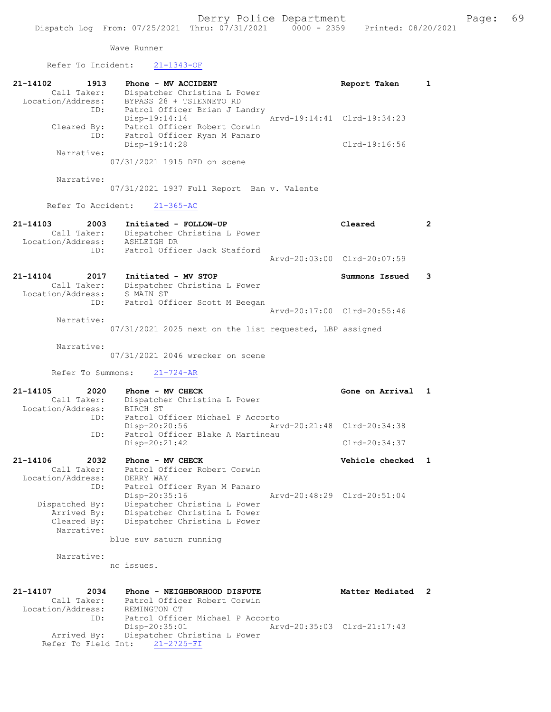Wave Runner Refer To Incident: 21-1343-OF 21-14102 1913 Phone - MV ACCIDENT 1 21-14102 Report Taken 1 Call Taker: Dispatcher Christina L Power Location/Address: BYPASS 28 + TSIENNETO RD ID: Patrol Officer Brian J Landry Disp-19:14:14 Arvd-19:14:41 Clrd-19:34:23 Cleared By: Patrol Officer Robert Corwin ID: Patrol Officer Ryan M Panaro Disp-19:14:28 Clrd-19:16:56 Narrative: 07/31/2021 1915 DFD on scene Narrative: 07/31/2021 1937 Full Report Ban v. Valente Refer To Accident: 21-365-AC 21-14103 2003 Initiated - FOLLOW-UP Cleared 2 Call Taker: Dispatcher Christina L Power Location/Address: ASHLEIGH DR ID: Patrol Officer Jack Stafford Arvd-20:03:00 Clrd-20:07:59 21-14104 2017 Initiated - MV STOP Summons Issued 3 Call Taker: Dispatcher Christina L Power Location/Address: S MAIN ST ID: Patrol Officer Scott M Beegan Arvd-20:17:00 Clrd-20:55:46 Narrative: 07/31/2021 2025 next on the list requested, LBP assigned Narrative: 07/31/2021 2046 wrecker on scene Refer To Summons: 21-724-AR 21-14105 2020 Phone - MV CHECK CONE CONE Gone on Arrival 1 Call Taker: Dispatcher Christina L Power Location/Address: BIRCH ST ID: Patrol Officer Michael P Accorto Disp-20:20:56 Arvd-20:21:48 Clrd-20:34:38 ID: Patrol Officer Blake A Martineau Disp-20:21:42 Clrd-20:34:37 21-14106 2032 Phone - MV CHECK 2000 2000 Vehicle checked 1 Call Taker: Patrol Officer Robert Corwin Location/Address: DERRY WAY ID: Patrol Officer Ryan M Panaro Disp-20:35:16 Arvd-20:48:29 Clrd-20:51:04 Dispatched By: Dispatcher Christina L Power Arrived By: Dispatcher Christina L Power Cleared By: Dispatcher Christina L Power Narrative: blue suv saturn running Narrative: no issues. 21-14107 2034 Phone - NEIGHBORHOOD DISPUTE Matter Mediated 2 Call Taker: Patrol Officer Robert Corwin Location/Address: REMINGTON CT ID: Patrol Officer Michael P Accorto Disp-20:35:01 Arvd-20:35:03 Clrd-21:17:43 Arrived By: Dispatcher Christina L Power Refer To Field Int:  $21-2725-FI$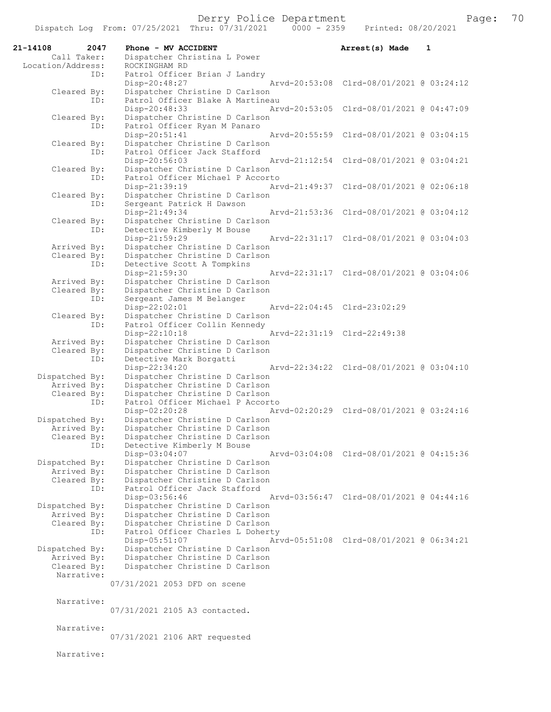| 21-14108                      | 2047 | Phone - MV ACCIDENT                                              | Arrest(s) Made                           | 1 |
|-------------------------------|------|------------------------------------------------------------------|------------------------------------------|---|
| Call Taker:                   |      | Dispatcher Christina L Power                                     |                                          |   |
| Location/Address:             | ID:  | ROCKINGHAM RD<br>Patrol Officer Brian J Landry                   |                                          |   |
|                               |      | Disp-20:48:27                                                    | Arvd-20:53:08 Clrd-08/01/2021 @ 03:24:12 |   |
| Cleared By:                   |      | Dispatcher Christine D Carlson                                   |                                          |   |
|                               | ID:  | Patrol Officer Blake A Martineau<br>Disp-20:48:33                | Arvd-20:53:05 Clrd-08/01/2021 @ 04:47:09 |   |
| Cleared By:                   |      | Dispatcher Christine D Carlson                                   |                                          |   |
|                               | ID:  | Patrol Officer Ryan M Panaro                                     |                                          |   |
|                               |      | Disp-20:51:41                                                    | Arvd-20:55:59 Clrd-08/01/2021 @ 03:04:15 |   |
| Cleared By:                   | ID:  | Dispatcher Christine D Carlson                                   |                                          |   |
|                               |      | Patrol Officer Jack Stafford<br>Disp-20:56:03                    | Arvd-21:12:54 Clrd-08/01/2021 @ 03:04:21 |   |
| Cleared By:                   |      | Dispatcher Christine D Carlson                                   |                                          |   |
|                               | ID:  | Patrol Officer Michael P Accorto                                 |                                          |   |
| Cleared By:                   |      | Disp-21:39:19<br>Dispatcher Christine D Carlson                  | Arvd-21:49:37 Clrd-08/01/2021 @ 02:06:18 |   |
|                               | ID:  | Sergeant Patrick H Dawson                                        |                                          |   |
|                               |      | Disp-21:49:34                                                    | Arvd-21:53:36 Clrd-08/01/2021 @ 03:04:12 |   |
| Cleared By:                   |      | Dispatcher Christine D Carlson                                   |                                          |   |
|                               | ID:  | Detective Kimberly M Bouse<br>Disp-21:59:29                      | Arvd-22:31:17 Clrd-08/01/2021 @ 03:04:03 |   |
| Arrived By:                   |      | Dispatcher Christine D Carlson                                   |                                          |   |
| Cleared By:                   |      | Dispatcher Christine D Carlson                                   |                                          |   |
|                               | ID:  | Detective Scott A Tompkins                                       |                                          |   |
| Arrived By:                   |      | Disp-21:59:30<br>Dispatcher Christine D Carlson                  | Arvd-22:31:17 Clrd-08/01/2021 @ 03:04:06 |   |
| Cleared By:                   |      | Dispatcher Christine D Carlson                                   |                                          |   |
|                               | ID:  | Sergeant James M Belanger                                        |                                          |   |
| Cleared By:                   |      | Disp-22:02:01<br>Dispatcher Christine D Carlson                  | Arvd-22:04:45 Clrd-23:02:29              |   |
|                               | ID:  | Patrol Officer Collin Kennedy                                    |                                          |   |
|                               |      | Disp-22:10:18                                                    | Arvd-22:31:19 Clrd-22:49:38              |   |
| Arrived By:                   |      | Dispatcher Christine D Carlson                                   |                                          |   |
| Cleared By:                   | ID:  | Dispatcher Christine D Carlson<br>Detective Mark Borgatti        |                                          |   |
|                               |      | Disp-22:34:20                                                    | Arvd-22:34:22 Clrd-08/01/2021 @ 03:04:10 |   |
| Dispatched By:                |      | Dispatcher Christine D Carlson                                   |                                          |   |
| Arrived By:<br>Cleared By:    |      | Dispatcher Christine D Carlson<br>Dispatcher Christine D Carlson |                                          |   |
|                               | ID:  | Patrol Officer Michael P Accorto                                 |                                          |   |
|                               |      | Disp-02:20:28                                                    | Arvd-02:20:29 Clrd-08/01/2021 @ 03:24:16 |   |
| Dispatched By:<br>Arrived By: |      | Dispatcher Christine D Carlson<br>Dispatcher Christine D Carlson |                                          |   |
| Cleared By:                   |      | Dispatcher Christine D Carlson                                   |                                          |   |
|                               | ID:  | Detective Kimberly M Bouse                                       |                                          |   |
|                               |      | Disp-03:04:07                                                    | Arvd-03:04:08 Clrd-08/01/2021 @ 04:15:36 |   |
| Dispatched By:<br>Arrived By: |      | Dispatcher Christine D Carlson<br>Dispatcher Christine D Carlson |                                          |   |
| Cleared By:                   |      | Dispatcher Christine D Carlson                                   |                                          |   |
|                               | ID:  | Patrol Officer Jack Stafford                                     |                                          |   |
| Dispatched By:                |      | Disp-03:56:46<br>Dispatcher Christine D Carlson                  | Arvd-03:56:47 Clrd-08/01/2021 @ 04:44:16 |   |
| Arrived By:                   |      | Dispatcher Christine D Carlson                                   |                                          |   |
| Cleared By:                   |      | Dispatcher Christine D Carlson                                   |                                          |   |
|                               | ID:  | Patrol Officer Charles L Doherty<br>Disp-05:51:07                | Arvd-05:51:08 Clrd-08/01/2021 @ 06:34:21 |   |
| Dispatched By:                |      | Dispatcher Christine D Carlson                                   |                                          |   |
| Arrived By:                   |      | Dispatcher Christine D Carlson                                   |                                          |   |
| Cleared By:<br>Narrative:     |      | Dispatcher Christine D Carlson                                   |                                          |   |
|                               |      | 07/31/2021 2053 DFD on scene                                     |                                          |   |
|                               |      |                                                                  |                                          |   |
| Narrative:                    |      |                                                                  |                                          |   |
|                               |      | 07/31/2021 2105 A3 contacted.                                    |                                          |   |
| Narrative:                    |      |                                                                  |                                          |   |
|                               |      | 07/31/2021 2106 ART requested                                    |                                          |   |
| Narrative:                    |      |                                                                  |                                          |   |
|                               |      |                                                                  |                                          |   |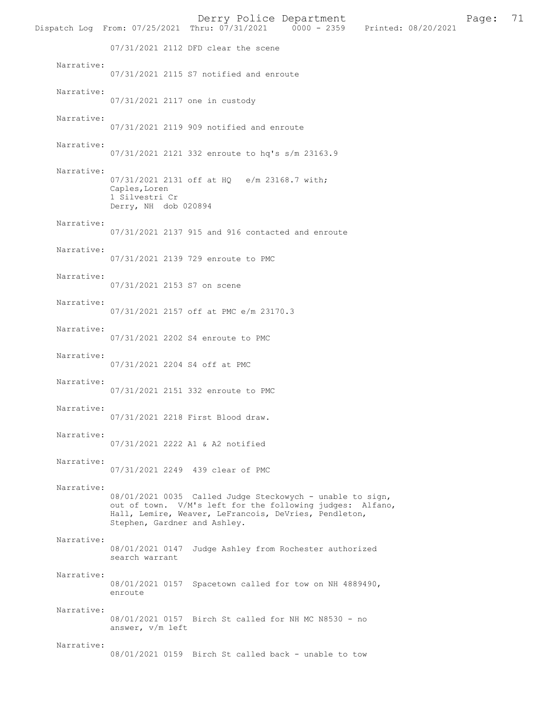|            | Dispatch Log From: 07/25/2021 Thru: 07/31/2021 0000 - 2359 Printed: 08/20/2021                                                                                                                                  |  | Derry Police Department |  | Page: | 71 |
|------------|-----------------------------------------------------------------------------------------------------------------------------------------------------------------------------------------------------------------|--|-------------------------|--|-------|----|
|            | 07/31/2021 2112 DFD clear the scene                                                                                                                                                                             |  |                         |  |       |    |
| Narrative: | 07/31/2021 2115 S7 notified and enroute                                                                                                                                                                         |  |                         |  |       |    |
| Narrative: | 07/31/2021 2117 one in custody                                                                                                                                                                                  |  |                         |  |       |    |
| Narrative: | 07/31/2021 2119 909 notified and enroute                                                                                                                                                                        |  |                         |  |       |    |
| Narrative: | 07/31/2021 2121 332 enroute to hq's s/m 23163.9                                                                                                                                                                 |  |                         |  |       |    |
| Narrative: |                                                                                                                                                                                                                 |  |                         |  |       |    |
|            | 07/31/2021 2131 off at HQ e/m 23168.7 with;<br>Caples, Loren<br>1 Silvestri Cr<br>Derry, NH dob 020894                                                                                                          |  |                         |  |       |    |
| Narrative: | 07/31/2021 2137 915 and 916 contacted and enroute                                                                                                                                                               |  |                         |  |       |    |
| Narrative: | 07/31/2021 2139 729 enroute to PMC                                                                                                                                                                              |  |                         |  |       |    |
| Narrative: | 07/31/2021 2153 S7 on scene                                                                                                                                                                                     |  |                         |  |       |    |
| Narrative: | 07/31/2021 2157 off at PMC e/m 23170.3                                                                                                                                                                          |  |                         |  |       |    |
| Narrative: | 07/31/2021 2202 S4 enroute to PMC                                                                                                                                                                               |  |                         |  |       |    |
| Narrative: | 07/31/2021 2204 S4 off at PMC                                                                                                                                                                                   |  |                         |  |       |    |
| Narrative: | 07/31/2021 2151 332 enroute to PMC                                                                                                                                                                              |  |                         |  |       |    |
| Narrative: | 07/31/2021 2218 First Blood draw.                                                                                                                                                                               |  |                         |  |       |    |
| Narrative: | 07/31/2021 2222 A1 & A2 notified                                                                                                                                                                                |  |                         |  |       |    |
| Narrative: | 07/31/2021 2249 439 clear of PMC                                                                                                                                                                                |  |                         |  |       |    |
| Narrative: | 08/01/2021 0035 Called Judge Steckowych - unable to sign,<br>out of town. V/M's left for the following judges: Alfano,<br>Hall, Lemire, Weaver, LeFrancois, DeVries, Pendleton,<br>Stephen, Gardner and Ashley. |  |                         |  |       |    |
| Narrative: | 08/01/2021 0147 Judge Ashley from Rochester authorized<br>search warrant                                                                                                                                        |  |                         |  |       |    |
| Narrative: | 08/01/2021 0157 Spacetown called for tow on NH 4889490,<br>enroute                                                                                                                                              |  |                         |  |       |    |
| Narrative: | 08/01/2021 0157 Birch St called for NH MC N8530 - no<br>answer, v/m left                                                                                                                                        |  |                         |  |       |    |
| Narrative: | 08/01/2021 0159 Birch St called back - unable to tow                                                                                                                                                            |  |                         |  |       |    |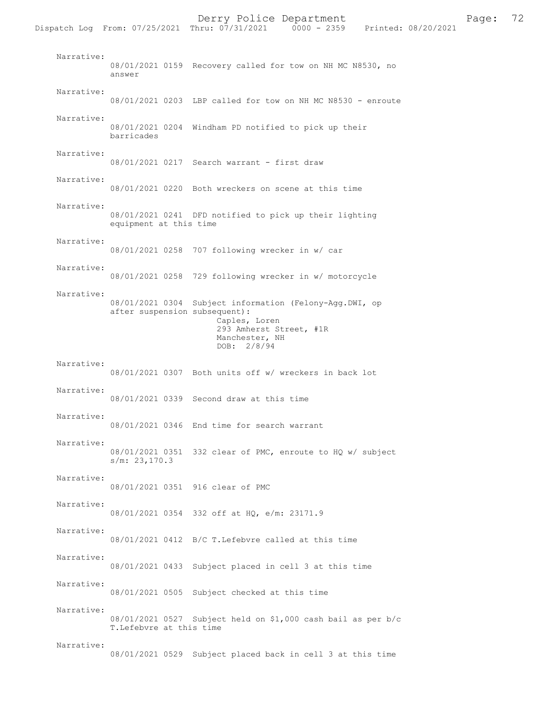Dispatch Log From: 07/25/2021 Thru: 07/31/2021 Narrative: 08/01/2021 0159 Recovery called for tow on NH MC N8530, no answer Narrative: 08/01/2021 0203 LBP called for tow on NH MC N8530 - enroute Narrative: 08/01/2021 0204 Windham PD notified to pick up their barricades Narrative: 08/01/2021 0217 Search warrant - first draw Narrative: 08/01/2021 0220 Both wreckers on scene at this time Narrative: 08/01/2021 0241 DFD notified to pick up their lighting equipment at this time Narrative: 08/01/2021 0258 707 following wrecker in w/ car Narrative: 08/01/2021 0258 729 following wrecker in w/ motorcycle Narrative: 08/01/2021 0304 Subject information (Felony-Agg.DWI, op after suspension subsequent): Caples, Loren 293 Amherst Street, #1R Manchester, NH DOB: 2/8/94 Narrative: 08/01/2021 0307 Both units off w/ wreckers in back lot Narrative: 08/01/2021 0339 Second draw at this time Narrative: 08/01/2021 0346 End time for search warrant Narrative: 08/01/2021 0351 332 clear of PMC, enroute to HQ w/ subject s/m: 23,170.3 Narrative: 08/01/2021 0351 916 clear of PMC Narrative: 08/01/2021 0354 332 off at HQ, e/m: 23171.9 Narrative: 08/01/2021 0412 B/C T.Lefebvre called at this time Narrative: 08/01/2021 0433 Subject placed in cell 3 at this time Narrative: 08/01/2021 0505 Subject checked at this time Narrative: 08/01/2021 0527 Subject held on \$1,000 cash bail as per b/c T.Lefebvre at this time Narrative: 08/01/2021 0529 Subject placed back in cell 3 at this time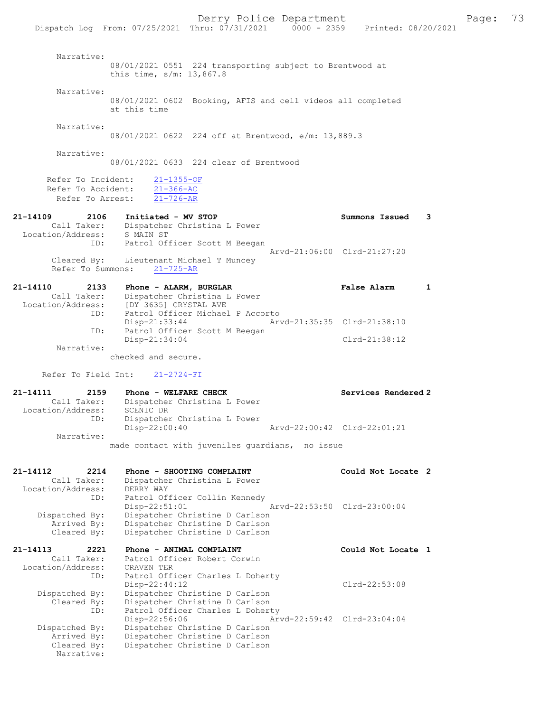|                                                                   | Derry Police Department<br>Dispatch Log From: 07/25/2021 Thru: 07/31/2021 0000 - 2359 Printed: 08/20/2021                                               |                             | 73<br>Page: |
|-------------------------------------------------------------------|---------------------------------------------------------------------------------------------------------------------------------------------------------|-----------------------------|-------------|
| Narrative:                                                        | 08/01/2021 0551 224 transporting subject to Brentwood at<br>this time, $s/m: 13,867.8$                                                                  |                             |             |
| Narrative:                                                        | 08/01/2021 0602 Booking, AFIS and cell videos all completed<br>at this time                                                                             |                             |             |
| Narrative:                                                        | 08/01/2021 0622 224 off at Brentwood, e/m: 13,889.3                                                                                                     |                             |             |
| Narrative:                                                        | 08/01/2021 0633 224 clear of Brentwood                                                                                                                  |                             |             |
| Refer To Accident:<br>Refer To Arrest:                            | Refer To Incident: 21-1355-OF<br>$21 - 366 - AC$<br>$21 - 726 - AR$                                                                                     |                             |             |
| 21-14109<br>Location/Address: S MAIN ST                           | 2106 Initiated - MV STOP<br>Call Taker: Dispatcher Christina L Power                                                                                    | Summons Issued 3            |             |
| Cleared By:<br>Refer To Summons:                                  | ID: Patrol Officer Scott M Beegan<br>Lieutenant Michael T Muncey<br>$21 - 725 - AR$                                                                     | Arvd-21:06:00 Clrd-21:27:20 |             |
| 21-14110                                                          | 2133 Phone - ALARM, BURGLAR<br>Call Taker: Dispatcher Christina L Power<br>Location/Address: [DY 3635] CRYSTAL AVE                                      | <b>False Alarm</b><br>1     |             |
| ID:<br>ID:                                                        | Patrol Officer Michael P Accorto<br>$Disp-21:33:44$<br>Patrol Officer Scott M Beegan                                                                    | Arvd-21:35:35 Clrd-21:38:10 |             |
| Narrative:                                                        | Disp-21:34:04                                                                                                                                           | Clrd-21:38:12               |             |
| Refer To Field Int:                                               | checked and secure.<br>$21 - 2724 - FI$                                                                                                                 |                             |             |
| 21-14111<br>2159<br>Call Taker:<br>Location/Address:              | <b>Phone - WELFARE CHECK</b><br>Dispatcher Christina L Power<br>SCENIC DR                                                                               | Services Rendered 2         |             |
| ID:                                                               | Dispatcher Christina L Power<br>Disp-22:00:40                                                                                                           | Arvd-22:00:42 Clrd-22:01:21 |             |
| Narrative:                                                        | made contact with juveniles quardians, no issue                                                                                                         |                             |             |
| 21-14112<br>2214<br>Call Taker:<br>Location/Address:<br>ID:       | Phone - SHOOTING COMPLAINT<br>Dispatcher Christina L Power<br>DERRY WAY<br>Patrol Officer Collin Kennedy                                                | Could Not Locate 2          |             |
| Dispatched By:<br>Arrived By:<br>Cleared By:                      | $Disp-22:51:01$<br>Dispatcher Christine D Carlson<br>Dispatcher Christine D Carlson<br>Dispatcher Christine D Carlson                                   | Arvd-22:53:50 Clrd-23:00:04 |             |
| 21-14113<br>2221<br>Call Taker:<br>Location/Address:              | Phone - ANIMAL COMPLAINT<br>Patrol Officer Robert Corwin<br>CRAVEN TER                                                                                  | Could Not Locate 1          |             |
| ID:<br>Dispatched By:<br>Cleared By:                              | Patrol Officer Charles L Doherty<br>$Disp-22:44:12$<br>Dispatcher Christine D Carlson<br>Dispatcher Christine D Carlson                                 | Clrd-22:53:08               |             |
| ID:<br>Dispatched By:<br>Arrived By:<br>Cleared By:<br>Narrative: | Patrol Officer Charles L Doherty<br>Disp-22:56:06<br>Dispatcher Christine D Carlson<br>Dispatcher Christine D Carlson<br>Dispatcher Christine D Carlson | Arvd-22:59:42 Clrd-23:04:04 |             |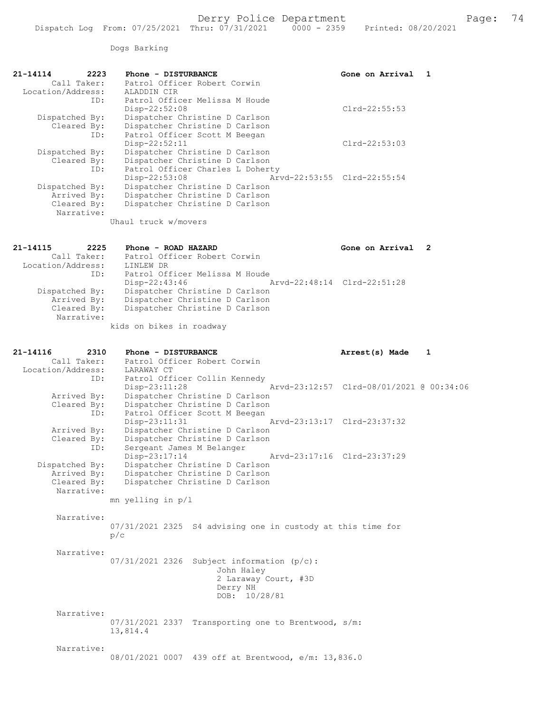Dogs Barking

| 21-14114<br>2223              | Phone - DISTURBANCE                                                | Gone on Arrival                          | -1           |
|-------------------------------|--------------------------------------------------------------------|------------------------------------------|--------------|
| Call Taker:                   | Patrol Officer Robert Corwin                                       |                                          |              |
| Location/Address:             | ALADDIN CIR                                                        |                                          |              |
| ID:                           | Patrol Officer Melissa M Houde                                     |                                          |              |
|                               | Disp-22:52:08                                                      | $Clrd-22:55:53$                          |              |
| Dispatched By:<br>Cleared By: | Dispatcher Christine D Carlson<br>Dispatcher Christine D Carlson   |                                          |              |
| ID:                           | Patrol Officer Scott M Beegan                                      |                                          |              |
|                               | $Disp-22:52:11$                                                    | $Clrd-22:53:03$                          |              |
| Dispatched By:                | Dispatcher Christine D Carlson                                     |                                          |              |
| Cleared By:                   | Dispatcher Christine D Carlson                                     |                                          |              |
| ID:                           | Patrol Officer Charles L Doherty                                   |                                          |              |
|                               | Disp-22:53:08                                                      | Arvd-22:53:55 Clrd-22:55:54              |              |
| Dispatched By:                | Dispatcher Christine D Carlson                                     |                                          |              |
| Arrived By:                   | Dispatcher Christine D Carlson                                     |                                          |              |
| Cleared By:                   | Dispatcher Christine D Carlson                                     |                                          |              |
| Narrative:                    |                                                                    |                                          |              |
|                               | Uhaul truck w/movers                                               |                                          |              |
| 21-14115<br>2225              | Phone - ROAD HAZARD                                                | Gone on Arrival                          | $\mathbf{2}$ |
| Call Taker:                   | Patrol Officer Robert Corwin                                       |                                          |              |
| Location/Address:             | LINLEW DR                                                          |                                          |              |
| ID:                           | Patrol Officer Melissa M Houde                                     |                                          |              |
|                               | Disp-22:43:46                                                      | Arvd-22:48:14 Clrd-22:51:28              |              |
| Dispatched By:                | Dispatcher Christine D Carlson                                     |                                          |              |
| Arrived By:<br>Cleared By:    | Dispatcher Christine D Carlson<br>Dispatcher Christine D Carlson   |                                          |              |
| Narrative:                    |                                                                    |                                          |              |
|                               | kids on bikes in roadway                                           |                                          |              |
| 21-14116<br>2310              | Phone - DISTURBANCE                                                | Arrest(s) Made                           | 1            |
| Call Taker:                   | Patrol Officer Robert Corwin                                       |                                          |              |
| Location/Address:             | LARAWAY CT                                                         |                                          |              |
| ID:                           | Patrol Officer Collin Kennedy                                      |                                          |              |
|                               | $Disp-23:11:28$                                                    | Arvd-23:12:57 Clrd-08/01/2021 @ 00:34:06 |              |
| Arrived By:                   | Dispatcher Christine D Carlson                                     |                                          |              |
| Cleared By:                   | Dispatcher Christine D Carlson                                     |                                          |              |
| ID:                           | Patrol Officer Scott M Beegan                                      |                                          |              |
|                               | Disp-23:11:31                                                      | Arvd-23:13:17 Clrd-23:37:32              |              |
| Arrived By:                   | Dispatcher Christine D Carlson                                     |                                          |              |
| Cleared By:<br>ID:            | Dispatcher Christine D Carlson<br>Sergeant James M Belanger        |                                          |              |
|                               | Disp-23:17:14 Arvd-23:17:16 Clrd-23:37:29                          |                                          |              |
| Dispatched By:                | Dispatcher Christine D Carlson                                     |                                          |              |
| Arrived By:                   | Dispatcher Christine D Carlson                                     |                                          |              |
| Cleared By:                   | Dispatcher Christine D Carlson                                     |                                          |              |
| Narrative:                    |                                                                    |                                          |              |
|                               | mn yelling in p/l                                                  |                                          |              |
|                               |                                                                    |                                          |              |
|                               |                                                                    |                                          |              |
| Narrative:                    |                                                                    |                                          |              |
|                               | 07/31/2021 2325 S4 advising one in custody at this time for<br>p/c |                                          |              |

Narrative:

07/31/2021 2326 Subject information (p/c): John Haley 2 Laraway Court, #3D Derry NH DOB: 10/28/81

 Narrative: 07/31/2021 2337 Transporting one to Brentwood, s/m: 13,814.4

## Narrative:

08/01/2021 0007 439 off at Brentwood, e/m: 13,836.0